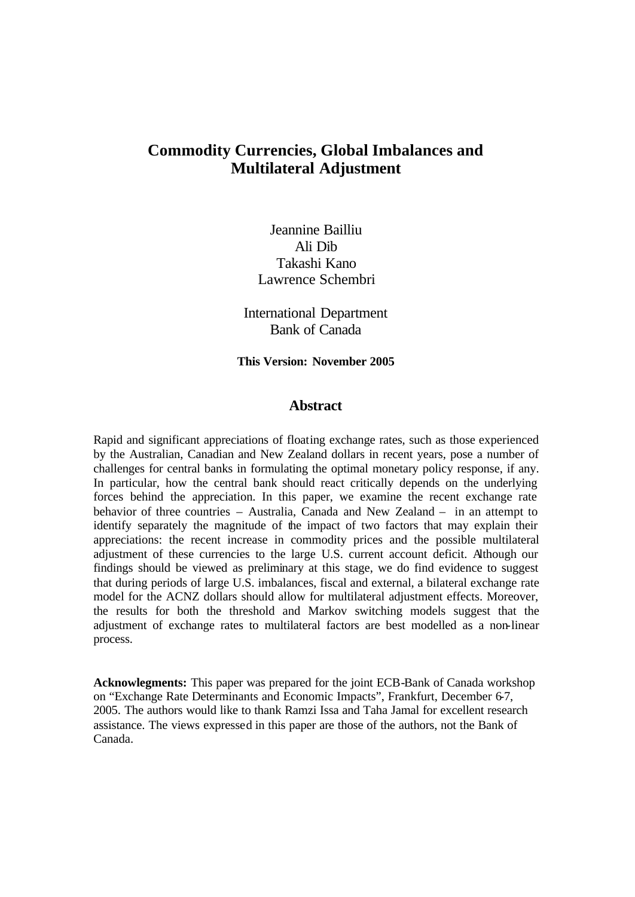# **Commodity Currencies, Global Imbalances and Multilateral Adjustment**

Jeannine Bailliu Ali Dib Takashi Kano Lawrence Schembri

International Department Bank of Canada

**This Version: November 2005**

# **Abstract**

Rapid and significant appreciations of floating exchange rates, such as those experienced by the Australian, Canadian and New Zealand dollars in recent years, pose a number of challenges for central banks in formulating the optimal monetary policy response, if any. In particular, how the central bank should react critically depends on the underlying forces behind the appreciation. In this paper, we examine the recent exchange rate behavior of three countries – Australia, Canada and New Zealand – in an attempt to identify separately the magnitude of the impact of two factors that may explain their appreciations: the recent increase in commodity prices and the possible multilateral adjustment of these currencies to the large U.S. current account deficit. Although our findings should be viewed as preliminary at this stage, we do find evidence to suggest that during periods of large U.S. imbalances, fiscal and external, a bilateral exchange rate model for the ACNZ dollars should allow for multilateral adjustment effects. Moreover, the results for both the threshold and Markov switching models suggest that the adjustment of exchange rates to multilateral factors are best modelled as a non-linear process.

**Acknowlegments:** This paper was prepared for the joint ECB-Bank of Canada workshop on "Exchange Rate Determinants and Economic Impacts", Frankfurt, December 6-7, 2005. The authors would like to thank Ramzi Issa and Taha Jamal for excellent research assistance. The views expressed in this paper are those of the authors, not the Bank of Canada.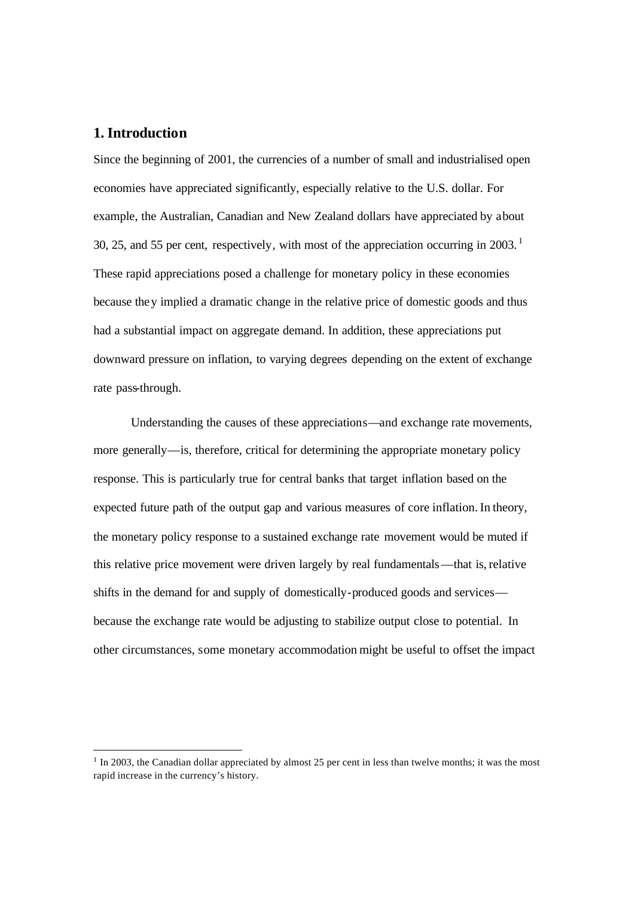# **1. Introduction**

Since the beginning of 2001, the currencies of a number of small and industrialised open economies have appreciated significantly, especially relative to the U.S. dollar. For example, the Australian, Canadian and New Zealand dollars have appreciated by about 30, 25, and 55 per cent, respectively, with most of the appreciation occurring in  $2003$ .<sup>1</sup> These rapid appreciations posed a challenge for monetary policy in these economies because they implied a dramatic change in the relative price of domestic goods and thus had a substantial impact on aggregate demand. In addition, these appreciations put downward pressure on inflation, to varying degrees depending on the extent of exchange rate pass-through.

Understanding the causes of these appreciations—and exchange rate movements, more generally—is, therefore, critical for determining the appropriate monetary policy response. This is particularly true for central banks that target inflation based on the expected future path of the output gap and various measures of core inflation. In theory, the monetary policy response to a sustained exchange rate movement would be muted if this relative price movement were driven largely by real fundamentals—that is, relative shifts in the demand for and supply of domestically-produced goods and services because the exchange rate would be adjusting to stabilize output close to potential. In other circumstances, some monetary accommodation might be useful to offset the impact

 $<sup>1</sup>$  In 2003, the Canadian dollar appreciated by almost 25 per cent in less than twelve months; it was the most</sup> rapid increase in the currency's history.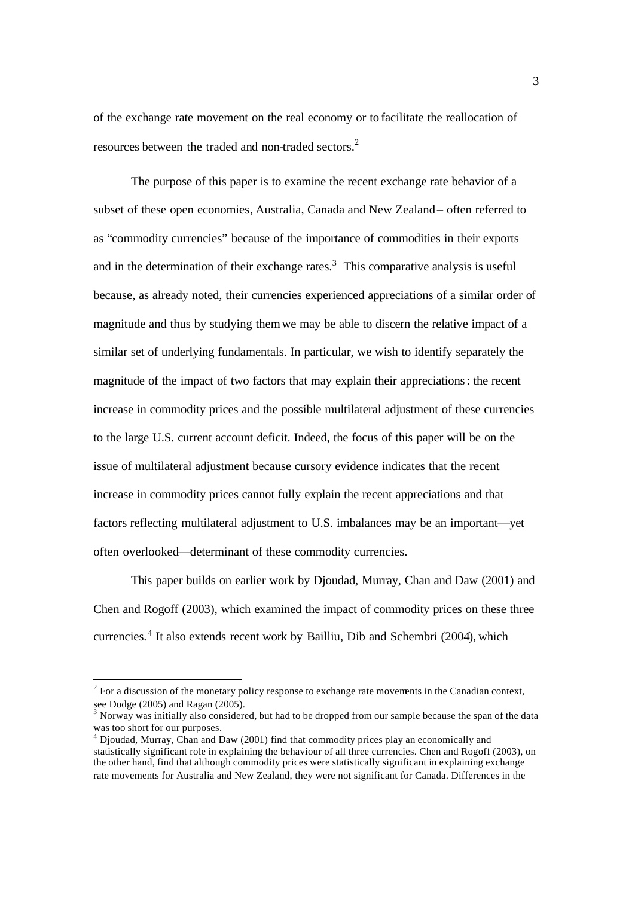of the exchange rate movement on the real economy or to facilitate the reallocation of resources between the traded and non-traded sectors.<sup>2</sup>

The purpose of this paper is to examine the recent exchange rate behavior of a subset of these open economies, Australia, Canada and New Zealand – often referred to as "commodity currencies" because of the importance of commodities in their exports and in the determination of their exchange rates. $3$  This comparative analysis is useful because, as already noted, their currencies experienced appreciations of a similar order of magnitude and thus by studying themwe may be able to discern the relative impact of a similar set of underlying fundamentals. In particular, we wish to identify separately the magnitude of the impact of two factors that may explain their appreciations: the recent increase in commodity prices and the possible multilateral adjustment of these currencies to the large U.S. current account deficit. Indeed, the focus of this paper will be on the issue of multilateral adjustment because cursory evidence indicates that the recent increase in commodity prices cannot fully explain the recent appreciations and that factors reflecting multilateral adjustment to U.S. imbalances may be an important—yet often overlooked—determinant of these commodity currencies.

This paper builds on earlier work by Djoudad, Murray, Chan and Daw (2001) and Chen and Rogoff (2003), which examined the impact of commodity prices on these three currencies. 4 It also extends recent work by Bailliu, Dib and Schembri (2004), which

 $2^2$  For a discussion of the monetary policy response to exchange rate movements in the Canadian context, see Dodge (2005) and Ragan (2005).

<sup>3</sup> Norway was initially also considered, but had to be dropped from our sample because the span of the data was too short for our purposes.

<sup>4</sup> Djoudad, Murray, Chan and Daw (2001) find that commodity prices play an economically and statistically significant role in explaining the behaviour of all three currencies. Chen and Rogoff (2003), on the other hand, find that although commodity prices were statistically significant in explaining exchange rate movements for Australia and New Zealand, they were not significant for Canada. Differences in the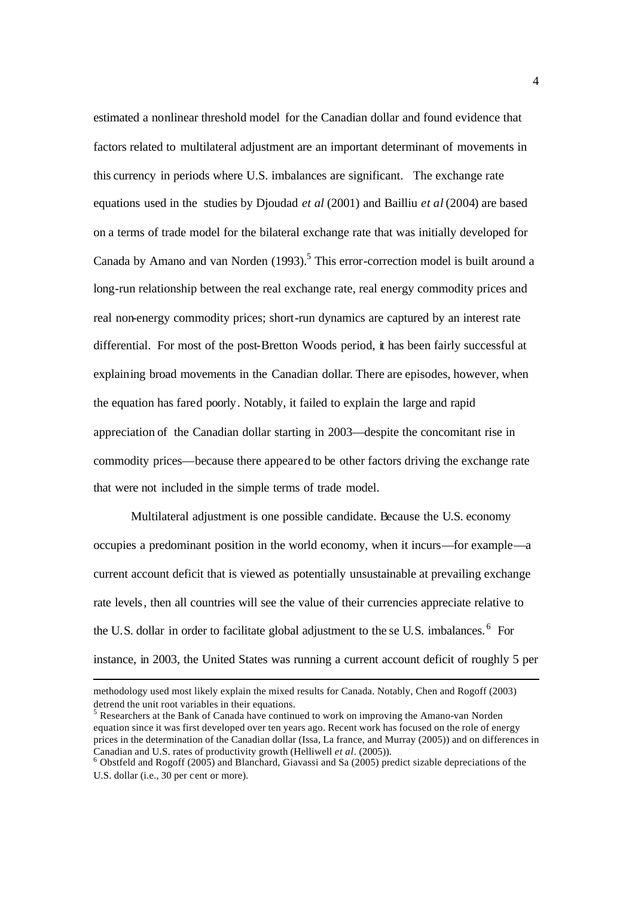estimated a nonlinear threshold model for the Canadian dollar and found evidence that factors related to multilateral adjustment are an important determinant of movements in this currency in periods where U.S. imbalances are significant. The exchange rate equations used in the studies by Djoudad *et al* (2001) and Bailliu *et al* (2004) are based on a terms of trade model for the bilateral exchange rate that was initially developed for Canada by Amano and van Norden (1993).<sup>5</sup> This error-correction model is built around a long-run relationship between the real exchange rate, real energy commodity prices and real non-energy commodity prices; short-run dynamics are captured by an interest rate differential. For most of the post-Bretton Woods period, it has been fairly successful at explaining broad movements in the Canadian dollar. There are episodes, however, when the equation has fared poorly. Notably, it failed to explain the large and rapid appreciation of the Canadian dollar starting in 2003—despite the concomitant rise in commodity prices—because there appeared to be other factors driving the exchange rate that were not included in the simple terms of trade model.

Multilateral adjustment is one possible candidate. Because the U.S. economy occupies a predominant position in the world economy, when it incurs—for example—a current account deficit that is viewed as potentially unsustainable at prevailing exchange rate levels, then all countries will see the value of their currencies appreciate relative to the U.S. dollar in order to facilitate global adjustment to the se U.S. imbalances.  $6$  For instance, in 2003, the United States was running a current account deficit of roughly 5 per

methodology used most likely explain the mixed results for Canada. Notably, Chen and Rogoff (2003) detrend the unit root variables in their equations.

 $<sup>5</sup>$  Researchers at the Bank of Canada have continued to work on improving the Amano-van Norden</sup> equation since it was first developed over ten years ago. Recent work has focused on the role of energy prices in the determination of the Canadian dollar (Issa, La france, and Murray (2005)) and on differences in Canadian and U.S. rates of productivity growth (Helliwell *et al*. (2005)).

<sup>6</sup> Obstfeld and Rogoff (2005) and Blanchard, Giavassi and Sa (2005) predict sizable depreciations of the U.S. dollar (i.e., 30 per cent or more).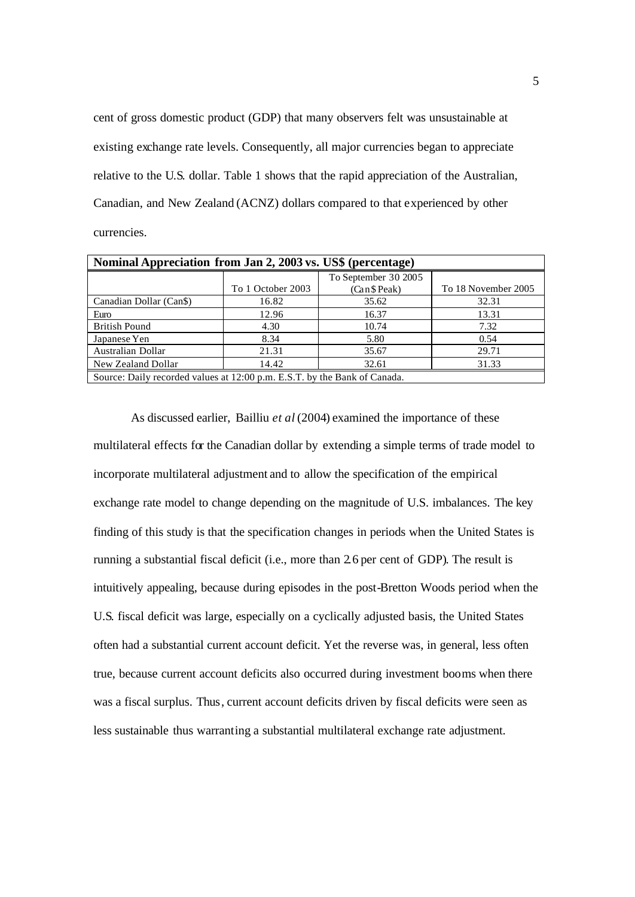cent of gross domestic product (GDP) that many observers felt was unsustainable at existing exchange rate levels. Consequently, all major currencies began to appreciate relative to the U.S. dollar. Table 1 shows that the rapid appreciation of the Australian, Canadian, and New Zealand (ACNZ) dollars compared to that experienced by other currencies.

| Nominal Appreciation from Jan 2, 2003 vs. US\$ (percentage)               |                   |                      |                     |
|---------------------------------------------------------------------------|-------------------|----------------------|---------------------|
|                                                                           |                   | To September 30 2005 |                     |
|                                                                           | To 1 October 2003 | (Can \$ Peak)        | To 18 November 2005 |
| Canadian Dollar (Can\$)                                                   | 16.82             | 35.62                | 32.31               |
| Euro                                                                      | 12.96             | 16.37                | 13.31               |
| <b>British Pound</b>                                                      | 4.30              | 10.74                | 7.32                |
| Japanese Yen                                                              | 8.34              | 5.80                 | 0.54                |
| Australian Dollar                                                         | 21.31             | 35.67                | 29.71               |
| New Zealand Dollar                                                        | 14.42             | 32.61                | 31.33               |
| Source: Daily recorded values at 12:00 p.m. E.S.T. by the Bank of Canada. |                   |                      |                     |

As discussed earlier, Bailliu *et al* (2004) examined the importance of these multilateral effects for the Canadian dollar by extending a simple terms of trade model to incorporate multilateral adjustment and to allow the specification of the empirical exchange rate model to change depending on the magnitude of U.S. imbalances. The key finding of this study is that the specification changes in periods when the United States is running a substantial fiscal deficit (i.e., more than 2.6 per cent of GDP). The result is intuitively appealing, because during episodes in the post-Bretton Woods period when the U.S. fiscal deficit was large, especially on a cyclically adjusted basis, the United States often had a substantial current account deficit. Yet the reverse was, in general, less often true, because current account deficits also occurred during investment booms when there was a fiscal surplus. Thus, current account deficits driven by fiscal deficits were seen as less sustainable thus warranting a substantial multilateral exchange rate adjustment.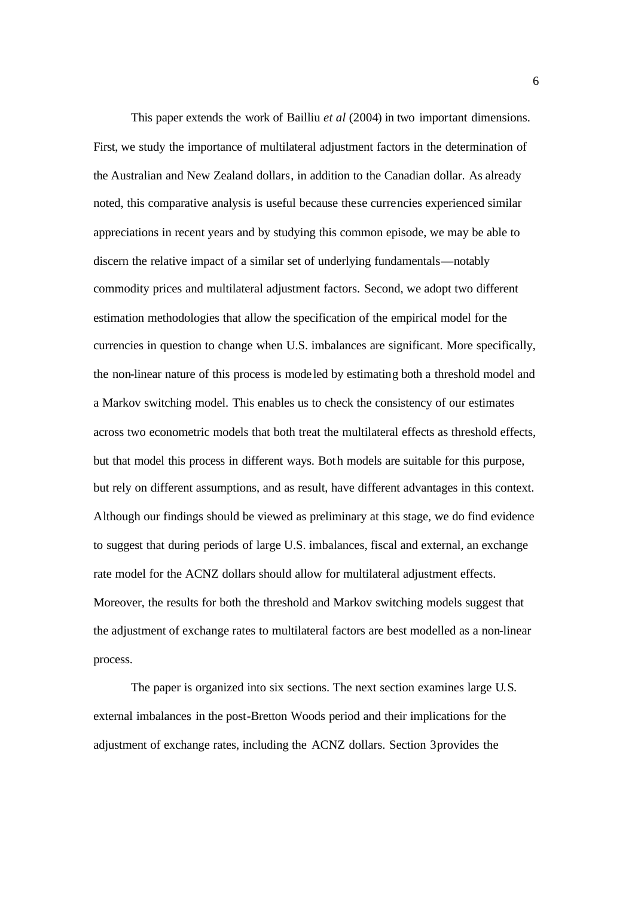This paper extends the work of Bailliu *et al* (2004) in two important dimensions. First, we study the importance of multilateral adjustment factors in the determination of the Australian and New Zealand dollars, in addition to the Canadian dollar. As already noted, this comparative analysis is useful because these currencies experienced similar appreciations in recent years and by studying this common episode, we may be able to discern the relative impact of a similar set of underlying fundamentals—notably commodity prices and multilateral adjustment factors. Second, we adopt two different estimation methodologies that allow the specification of the empirical model for the currencies in question to change when U.S. imbalances are significant. More specifically, the non-linear nature of this process is modeled by estimating both a threshold model and a Markov switching model. This enables us to check the consistency of our estimates across two econometric models that both treat the multilateral effects as threshold effects, but that model this process in different ways. Both models are suitable for this purpose, but rely on different assumptions, and as result, have different advantages in this context. Although our findings should be viewed as preliminary at this stage, we do find evidence to suggest that during periods of large U.S. imbalances, fiscal and external, an exchange rate model for the ACNZ dollars should allow for multilateral adjustment effects. Moreover, the results for both the threshold and Markov switching models suggest that the adjustment of exchange rates to multilateral factors are best modelled as a non-linear process.

The paper is organized into six sections. The next section examines large U.S. external imbalances in the post-Bretton Woods period and their implications for the adjustment of exchange rates, including the ACNZ dollars. Section 3 provides the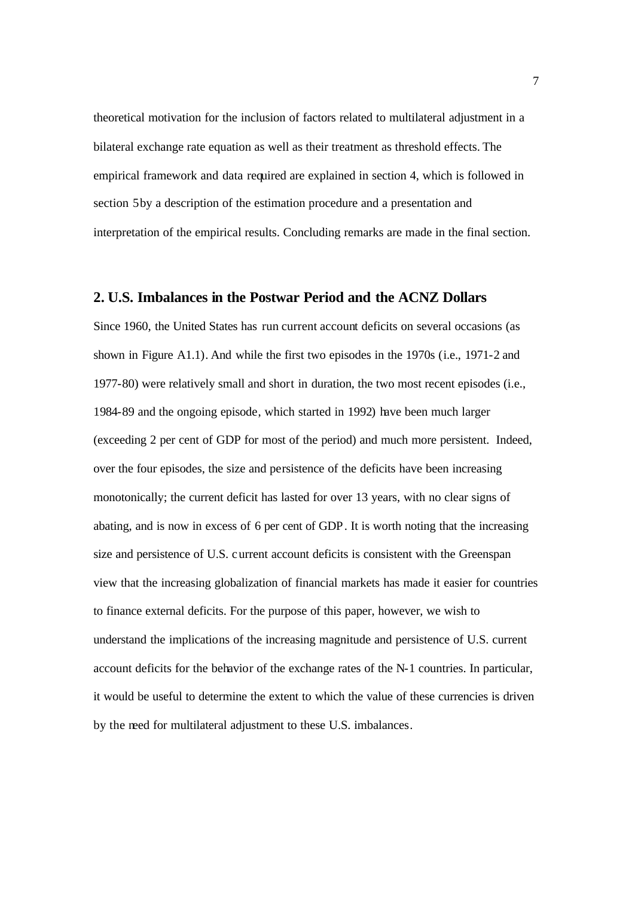theoretical motivation for the inclusion of factors related to multilateral adjustment in a bilateral exchange rate equation as well as their treatment as threshold effects. The empirical framework and data required are explained in section 4, which is followed in section 5 by a description of the estimation procedure and a presentation and interpretation of the empirical results. Concluding remarks are made in the final section.

# **2. U.S. Imbalances in the Postwar Period and the ACNZ Dollars**

Since 1960, the United States has run current account deficits on several occasions (as shown in Figure A1.1). And while the first two episodes in the 1970s (i.e., 1971-2 and 1977-80) were relatively small and short in duration, the two most recent episodes (i.e., 1984-89 and the ongoing episode, which started in 1992) have been much larger (exceeding 2 per cent of GDP for most of the period) and much more persistent. Indeed, over the four episodes, the size and persistence of the deficits have been increasing monotonically; the current deficit has lasted for over 13 years, with no clear signs of abating, and is now in excess of 6 per cent of GDP. It is worth noting that the increasing size and persistence of U.S. current account deficits is consistent with the Greenspan view that the increasing globalization of financial markets has made it easier for countries to finance external deficits. For the purpose of this paper, however, we wish to understand the implications of the increasing magnitude and persistence of U.S. current account deficits for the behavior of the exchange rates of the N-1 countries. In particular, it would be useful to determine the extent to which the value of these currencies is driven by the need for multilateral adjustment to these U.S. imbalances.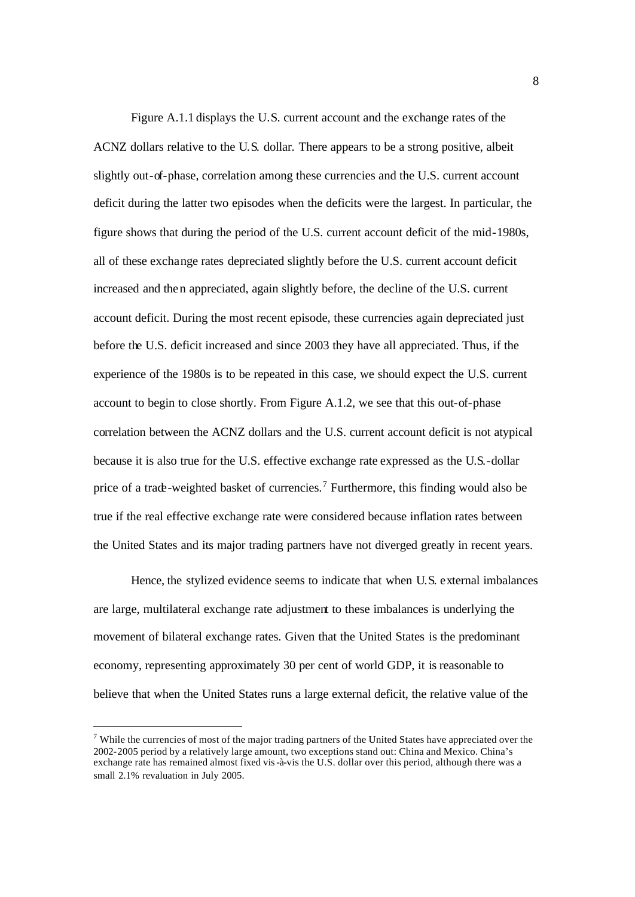Figure A.1.1 displays the U.S. current account and the exchange rates of the ACNZ dollars relative to the U.S. dollar. There appears to be a strong positive, albeit slightly out-of-phase, correlation among these currencies and the U.S. current account deficit during the latter two episodes when the deficits were the largest. In particular, the figure shows that during the period of the U.S. current account deficit of the mid-1980s, all of these exchange rates depreciated slightly before the U.S. current account deficit increased and then appreciated, again slightly before, the decline of the U.S. current account deficit. During the most recent episode, these currencies again depreciated just before the U.S. deficit increased and since 2003 they have all appreciated. Thus, if the experience of the 1980s is to be repeated in this case, we should expect the U.S. current account to begin to close shortly. From Figure A.1.2, we see that this out-of-phase correlation between the ACNZ dollars and the U.S. current account deficit is not atypical because it is also true for the U.S. effective exchange rate expressed as the U.S.-dollar price of a trade-weighted basket of currencies.<sup>7</sup> Furthermore, this finding would also be true if the real effective exchange rate were considered because inflation rates between the United States and its major trading partners have not diverged greatly in recent years.

Hence, the stylized evidence seems to indicate that when U.S. external imbalances are large, multilateral exchange rate adjustment to these imbalances is underlying the movement of bilateral exchange rates. Given that the United States is the predominant economy, representing approximately 30 per cent of world GDP, it is reasonable to believe that when the United States runs a large external deficit, the relative value of the

 $7$  While the currencies of most of the major trading partners of the United States have appreciated over the 2002-2005 period by a relatively large amount, two exceptions stand out: China and Mexico. China's exchange rate has remained almost fixed vis-à-vis the U.S. dollar over this period, although there was a small 2.1% revaluation in July 2005.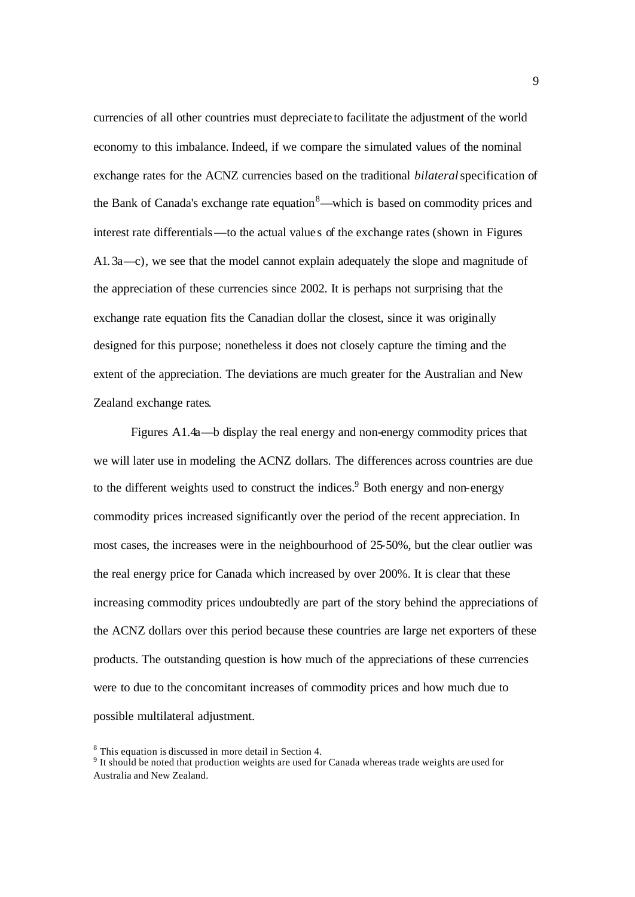currencies of all other countries must depreciate to facilitate the adjustment of the world economy to this imbalance. Indeed, if we compare the simulated values of the nominal exchange rates for the ACNZ currencies based on the traditional *bilateral* specification of the Bank of Canada's exchange rate equation<sup>8</sup>—which is based on commodity prices and interest rate differentials—to the actual value s of the exchange rates (shown in Figures A1. 3a—c), we see that the model cannot explain adequately the slope and magnitude of the appreciation of these currencies since 2002. It is perhaps not surprising that the exchange rate equation fits the Canadian dollar the closest, since it was originally designed for this purpose; nonetheless it does not closely capture the timing and the extent of the appreciation. The deviations are much greater for the Australian and New Zealand exchange rates.

Figures A1.4a—b display the real energy and non-energy commodity prices that we will later use in modeling the ACNZ dollars. The differences across countries are due to the different weights used to construct the indices. $9$  Both energy and non-energy commodity prices increased significantly over the period of the recent appreciation. In most cases, the increases were in the neighbourhood of 25-50%, but the clear outlier was the real energy price for Canada which increased by over 200%. It is clear that these increasing commodity prices undoubtedly are part of the story behind the appreciations of the ACNZ dollars over this period because these countries are large net exporters of these products. The outstanding question is how much of the appreciations of these currencies were to due to the concomitant increases of commodity prices and how much due to possible multilateral adjustment.

<sup>&</sup>lt;sup>8</sup> This equation is discussed in more detail in Section 4.

<sup>&</sup>lt;sup>9</sup> It should be noted that production weights are used for Canada whereas trade weights are used for Australia and New Zealand.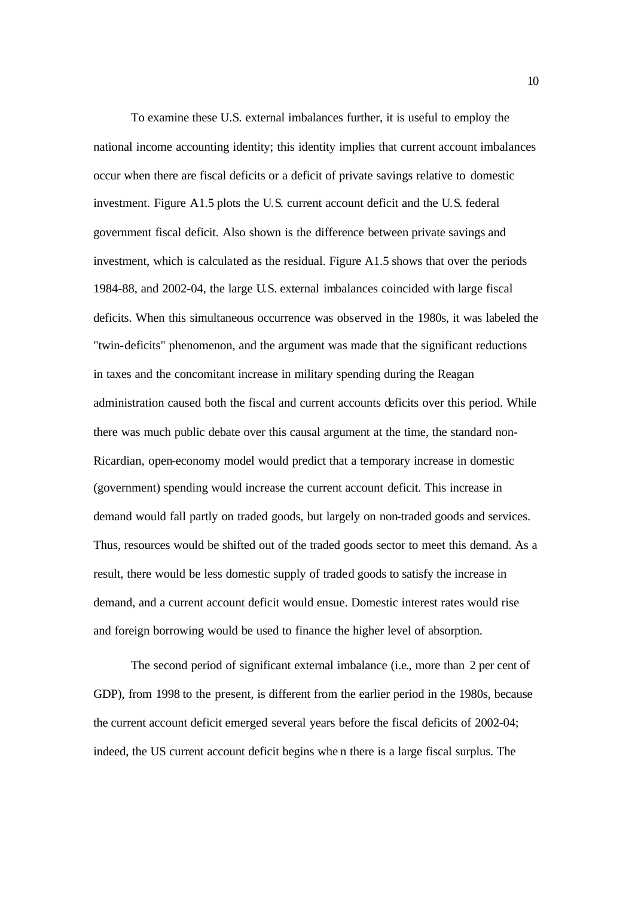To examine these U.S. external imbalances further, it is useful to employ the national income accounting identity; this identity implies that current account imbalances occur when there are fiscal deficits or a deficit of private savings relative to domestic investment. Figure A1.5 plots the U.S. current account deficit and the U.S. federal government fiscal deficit. Also shown is the difference between private savings and investment, which is calculated as the residual. Figure A1.5 shows that over the periods 1984-88, and 2002-04, the large U.S. external imbalances coincided with large fiscal deficits. When this simultaneous occurrence was observed in the 1980s, it was labeled the "twin-deficits" phenomenon, and the argument was made that the significant reductions in taxes and the concomitant increase in military spending during the Reagan administration caused both the fiscal and current accounts deficits over this period. While there was much public debate over this causal argument at the time, the standard non-Ricardian, open-economy model would predict that a temporary increase in domestic (government) spending would increase the current account deficit. This increase in demand would fall partly on traded goods, but largely on non-traded goods and services. Thus, resources would be shifted out of the traded goods sector to meet this demand. As a result, there would be less domestic supply of traded goods to satisfy the increase in demand, and a current account deficit would ensue. Domestic interest rates would rise and foreign borrowing would be used to finance the higher level of absorption.

The second period of significant external imbalance (i.e., more than 2 per cent of GDP), from 1998 to the present, is different from the earlier period in the 1980s, because the current account deficit emerged several years before the fiscal deficits of 2002-04; indeed, the US current account deficit begins whe n there is a large fiscal surplus. The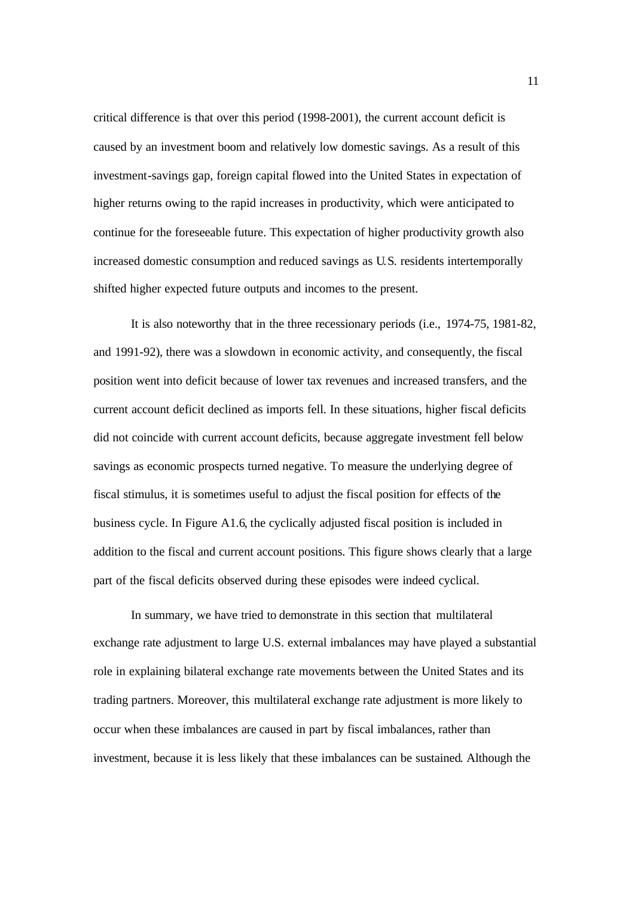critical difference is that over this period (1998-2001), the current account deficit is caused by an investment boom and relatively low domestic savings. As a result of this investment-savings gap, foreign capital flowed into the United States in expectation of higher returns owing to the rapid increases in productivity, which were anticipated to continue for the foreseeable future. This expectation of higher productivity growth also increased domestic consumption and reduced savings as U.S. residents intertemporally shifted higher expected future outputs and incomes to the present.

It is also noteworthy that in the three recessionary periods (i.e., 1974-75, 1981-82, and 1991-92), there was a slowdown in economic activity, and consequently, the fiscal position went into deficit because of lower tax revenues and increased transfers, and the current account deficit declined as imports fell. In these situations, higher fiscal deficits did not coincide with current account deficits, because aggregate investment fell below savings as economic prospects turned negative. To measure the underlying degree of fiscal stimulus, it is sometimes useful to adjust the fiscal position for effects of the business cycle. In Figure A1.6, the cyclically adjusted fiscal position is included in addition to the fiscal and current account positions. This figure shows clearly that a large part of the fiscal deficits observed during these episodes were indeed cyclical.

In summary, we have tried to demonstrate in this section that multilateral exchange rate adjustment to large U.S. external imbalances may have played a substantial role in explaining bilateral exchange rate movements between the United States and its trading partners. Moreover, this multilateral exchange rate adjustment is more likely to occur when these imbalances are caused in part by fiscal imbalances, rather than investment, because it is less likely that these imbalances can be sustained. Although the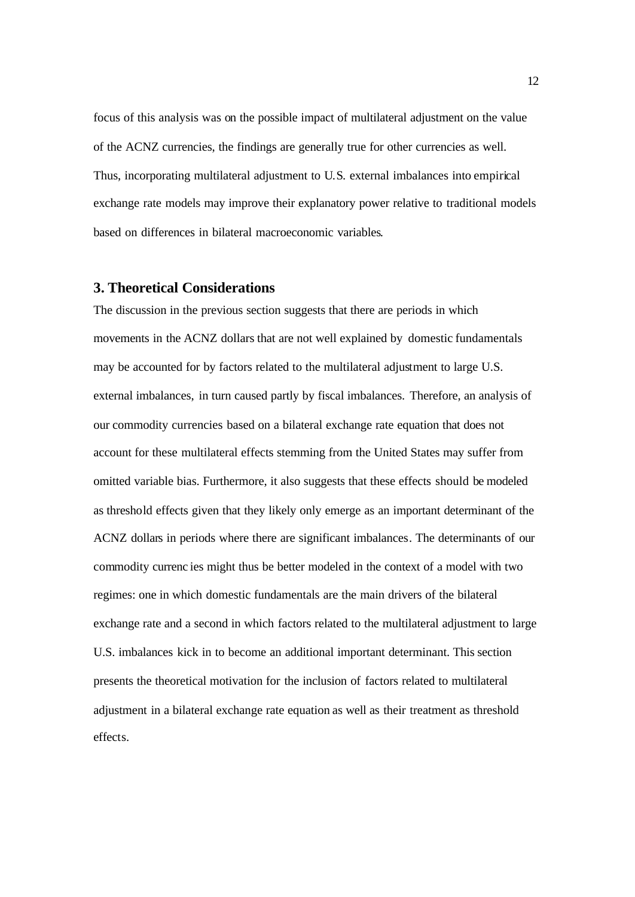focus of this analysis was on the possible impact of multilateral adjustment on the value of the ACNZ currencies, the findings are generally true for other currencies as well. Thus, incorporating multilateral adjustment to U.S. external imbalances into empirical exchange rate models may improve their explanatory power relative to traditional models based on differences in bilateral macroeconomic variables.

# **3. Theoretical Considerations**

The discussion in the previous section suggests that there are periods in which movements in the ACNZ dollars that are not well explained by domestic fundamentals may be accounted for by factors related to the multilateral adjustment to large U.S. external imbalances, in turn caused partly by fiscal imbalances. Therefore, an analysis of our commodity currencies based on a bilateral exchange rate equation that does not account for these multilateral effects stemming from the United States may suffer from omitted variable bias. Furthermore, it also suggests that these effects should be modeled as threshold effects given that they likely only emerge as an important determinant of the ACNZ dollars in periods where there are significant imbalances. The determinants of our commodity currenc ies might thus be better modeled in the context of a model with two regimes: one in which domestic fundamentals are the main drivers of the bilateral exchange rate and a second in which factors related to the multilateral adjustment to large U.S. imbalances kick in to become an additional important determinant. This section presents the theoretical motivation for the inclusion of factors related to multilateral adjustment in a bilateral exchange rate equation as well as their treatment as threshold effects.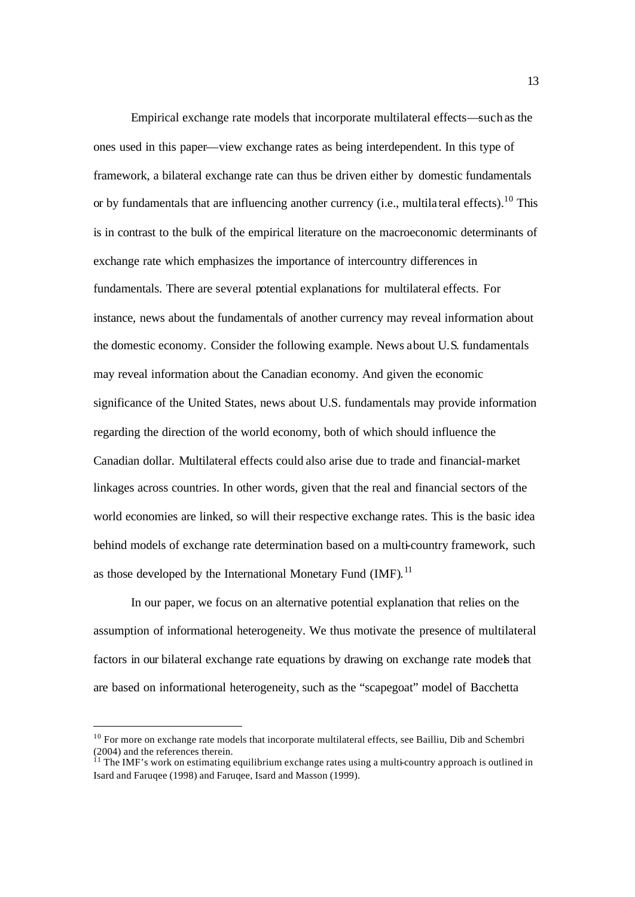Empirical exchange rate models that incorporate multilateral effects—such as the ones used in this paper—view exchange rates as being interdependent. In this type of framework, a bilateral exchange rate can thus be driven either by domestic fundamentals or by fundamentals that are influencing another currency (i.e., multila teral effects).<sup>10</sup> This is in contrast to the bulk of the empirical literature on the macroeconomic determinants of exchange rate which emphasizes the importance of intercountry differences in fundamentals. There are several potential explanations for multilateral effects. For instance, news about the fundamentals of another currency may reveal information about the domestic economy. Consider the following example. News about U.S. fundamentals may reveal information about the Canadian economy. And given the economic significance of the United States, news about U.S. fundamentals may provide information regarding the direction of the world economy, both of which should influence the Canadian dollar. Multilateral effects could also arise due to trade and financial-market linkages across countries. In other words, given that the real and financial sectors of the world economies are linked, so will their respective exchange rates. This is the basic idea behind models of exchange rate determination based on a multi-country framework, such as those developed by the International Monetary Fund  $(MF)$ .<sup>11</sup>

In our paper, we focus on an alternative potential explanation that relies on the assumption of informational heterogeneity. We thus motivate the presence of multilateral factors in our bilateral exchange rate equations by drawing on exchange rate models that are based on informational heterogeneity, such as the "scapegoat" model of Bacchetta

<sup>&</sup>lt;sup>10</sup> For more on exchange rate models that incorporate multilateral effects, see Bailliu, Dib and Schembri (2004) and the references therein.

 $11$  The IMF's work on estimating equilibrium exchange rates using a multi-country approach is outlined in Isard and Faruqee (1998) and Faruqee, Isard and Masson (1999).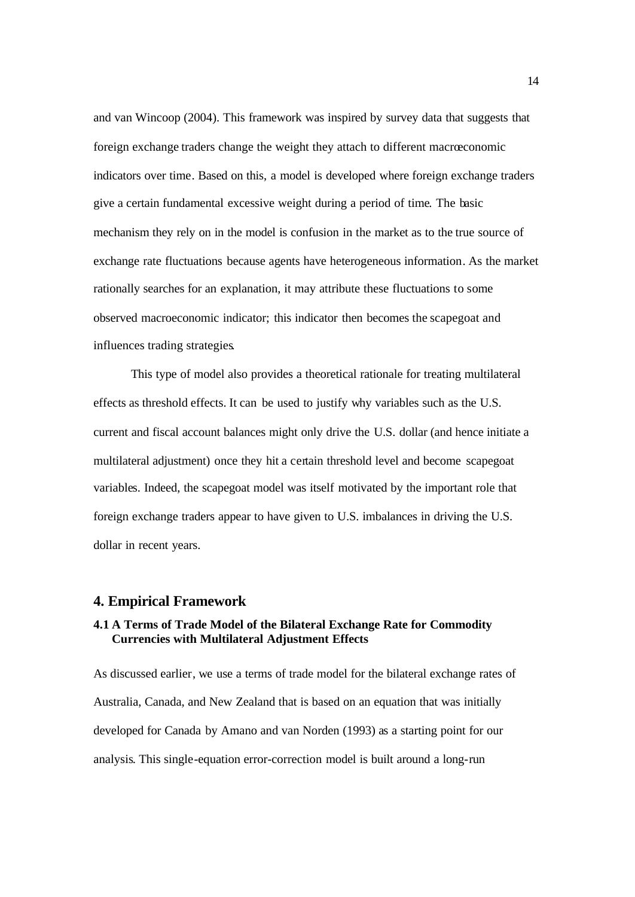and van Wincoop (2004). This framework was inspired by survey data that suggests that foreign exchange traders change the weight they attach to different macroeconomic indicators over time. Based on this, a model is developed where foreign exchange traders give a certain fundamental excessive weight during a period of time. The basic mechanism they rely on in the model is confusion in the market as to the true source of exchange rate fluctuations because agents have heterogeneous information. As the market rationally searches for an explanation, it may attribute these fluctuations to some observed macroeconomic indicator; this indicator then becomes the scapegoat and influences trading strategies.

This type of model also provides a theoretical rationale for treating multilateral effects as threshold effects. It can be used to justify why variables such as the U.S. current and fiscal account balances might only drive the U.S. dollar (and hence initiate a multilateral adjustment) once they hit a certain threshold level and become scapegoat variables. Indeed, the scapegoat model was itself motivated by the important role that foreign exchange traders appear to have given to U.S. imbalances in driving the U.S. dollar in recent years.

#### **4. Empirical Framework**

# **4.1 A Terms of Trade Model of the Bilateral Exchange Rate for Commodity Currencies with Multilateral Adjustment Effects**

As discussed earlier, we use a terms of trade model for the bilateral exchange rates of Australia, Canada, and New Zealand that is based on an equation that was initially developed for Canada by Amano and van Norden (1993) as a starting point for our analysis. This single-equation error-correction model is built around a long-run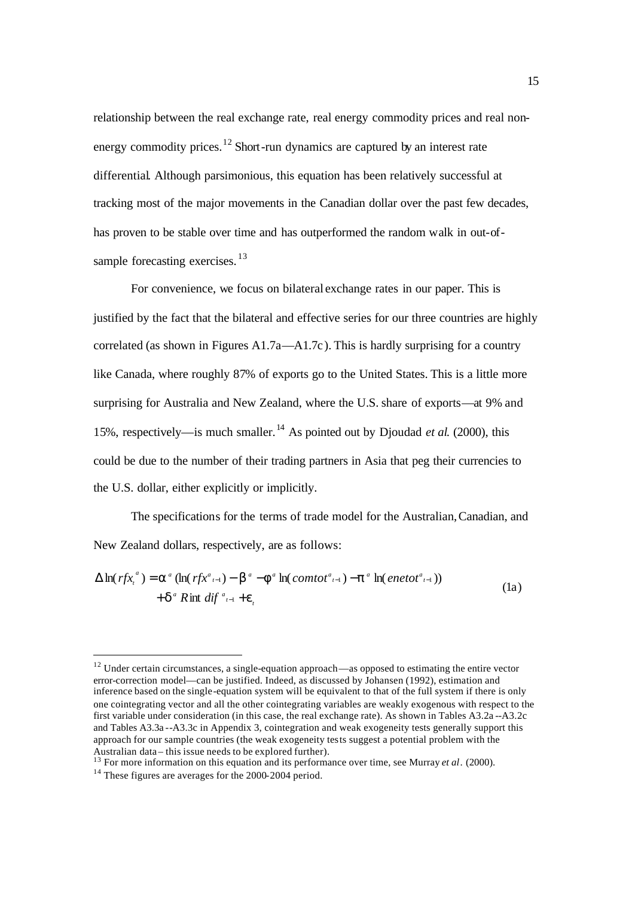relationship between the real exchange rate, real energy commodity prices and real nonenergy commodity prices.<sup>12</sup> Short-run dynamics are captured by an interest rate differential. Although parsimonious, this equation has been relatively successful at tracking most of the major movements in the Canadian dollar over the past few decades, has proven to be stable over time and has outperformed the random walk in out-ofsample forecasting exercises.<sup>13</sup>

For convenience, we focus on bilateral exchange rates in our paper. This is justified by the fact that the bilateral and effective series for our three countries are highly correlated (as shown in Figures A1.7a—A1.7c). This is hardly surprising for a country like Canada, where roughly 87% of exports go to the United States. This is a little more surprising for Australia and New Zealand, where the U.S. share of exports—at 9% and 15%, respectively—is much smaller.<sup>14</sup> As pointed out by Djoudad *et al.* (2000), this could be due to the number of their trading partners in Asia that peg their currencies to the U.S. dollar, either explicitly or implicitly.

The specifications for the terms of trade model for the Australian, Canadian, and New Zealand dollars, respectively, are as follows:

$$
\Delta \ln(rfx_i^a) = \mathbf{a}^a (\ln(rfx_{i-1}^a) - \mathbf{b}^a - \mathbf{f}^a \ln(\text{const}_{i-1}^a) - \mathbf{p}^a \ln(\text{enetot}_{i-1}^a))
$$
  
+ 
$$
\mathbf{d}^a R \text{int } \text{diff } \substack{a_{i-1} + \mathbf{e}_i} \tag{1a}
$$

 $12$  Under certain circumstances, a single-equation approach—as opposed to estimating the entire vector error-correction model—can be justified. Indeed, as discussed by Johansen (1992), estimation and inference based on the single-equation system will be equivalent to that of the full system if there is only one cointegrating vector and all the other cointegrating variables are weakly exogenous with respect to the first variable under consideration (in this case, the real exchange rate). As shown in Tables A3.2a --A3.2c and Tables A3.3a --A3.3c in Appendix 3, cointegration and weak exogeneity tests generally support this approach for our sample countries (the weak exogeneity tests suggest a potential problem with the Australian data – this issue needs to be explored further).

<sup>&</sup>lt;sup>13</sup> For more information on this equation and its performance over time, see Murray *et al.* (2000).

<sup>&</sup>lt;sup>14</sup> These figures are averages for the 2000-2004 period.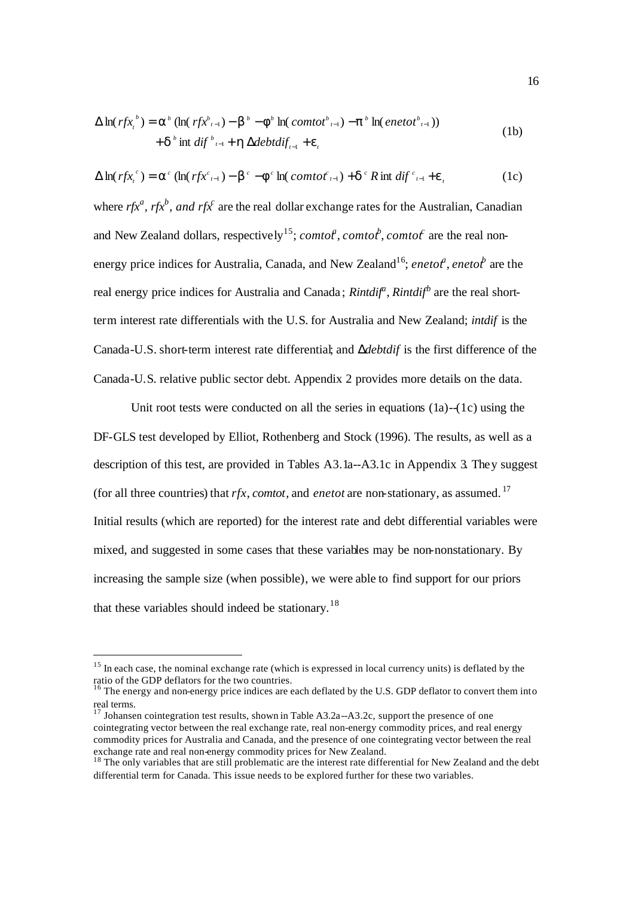$$
\Delta \ln(rfx_t^b) = \mathbf{a}^b (\ln(rfx_{t-1}^b) - \mathbf{b}^b - \mathbf{f}^b \ln(\text{contot}_{t-1}^b) - \mathbf{p}^b \ln(\text{enetot}_{t-1}^b))
$$
  
+ 
$$
\mathbf{d}^b \text{ int } \text{diff}_{t-1}^b + \mathbf{h} \,\Delta \text{debtdif}_{t-1} + \mathbf{e}_t
$$
 (1b)

$$
\Delta \ln(rfx_t^c) = \mathbf{a}^c (\ln(rfx_{t-1}^c) - \mathbf{b}^c - \mathbf{f}^c \ln(comto_{t-1}^c) + \mathbf{d}^c R \text{ int } dif_{t-1}^c + \mathbf{e}_t
$$
 (1c)

where  $r f x^a$ ,  $r f x^b$ , and  $r f x^c$  are the real dollar exchange rates for the Australian, Canadian and New Zealand dollars, respectively<sup>15</sup>; *comtof*, *comtof*, *comtof* are the real nonenergy price indices for Australia, Canada, and New Zealand<sup>16</sup>; *enetot<sup>h</sup>*, *enetot*<sup>b</sup> are the real energy price indices for Australia and Canada; *Rintdif<sup>a</sup>*, *Rintdif<sup>b</sup>* are the real shortterm interest rate differentials with the U.S. for Australia and New Zealand; *intdif* is the Canada-U.S. short-term interest rate differential; and *Ddebtdif* is the first difference of the Canada-U.S. relative public sector debt. Appendix 2 provides more details on the data.

Unit root tests were conducted on all the series in equations  $(1a)$ - $(1c)$  using the DF-GLS test developed by Elliot, Rothenberg and Stock (1996). The results, as well as a description of this test, are provided in Tables A3.1a--A3.1c in Appendix 3. They suggest (for all three countries) that  $rfx$ , *comtot*, and *enetot* are non-stationary, as assumed. <sup>17</sup> Initial results (which are reported) for the interest rate and debt differential variables were mixed, and suggested in some cases that these variables may be non-nonstationary. By increasing the sample size (when possible), we were able to find support for our priors that these variables should indeed be stationary.<sup>18</sup>

<sup>&</sup>lt;sup>15</sup> In each case, the nominal exchange rate (which is expressed in local currency units) is deflated by the ratio of the GDP deflators for the two countries.

 $16$  The energy and non-energy price indices are each deflated by the U.S. GDP deflator to convert them into real terms.

<sup>17</sup> Johansen cointegration test results, shown in Table A3.2a--A3.2c, support the presence of one cointegrating vector between the real exchange rate, real non-energy commodity prices, and real energy commodity prices for Australia and Canada, and the presence of one cointegrating vector between the real exchange rate and real non-energy commodity prices for New Zealand.

<sup>&</sup>lt;sup>18</sup> The only variables that are still problematic are the interest rate differential for New Zealand and the debt differential term for Canada. This issue needs to be explored further for these two variables.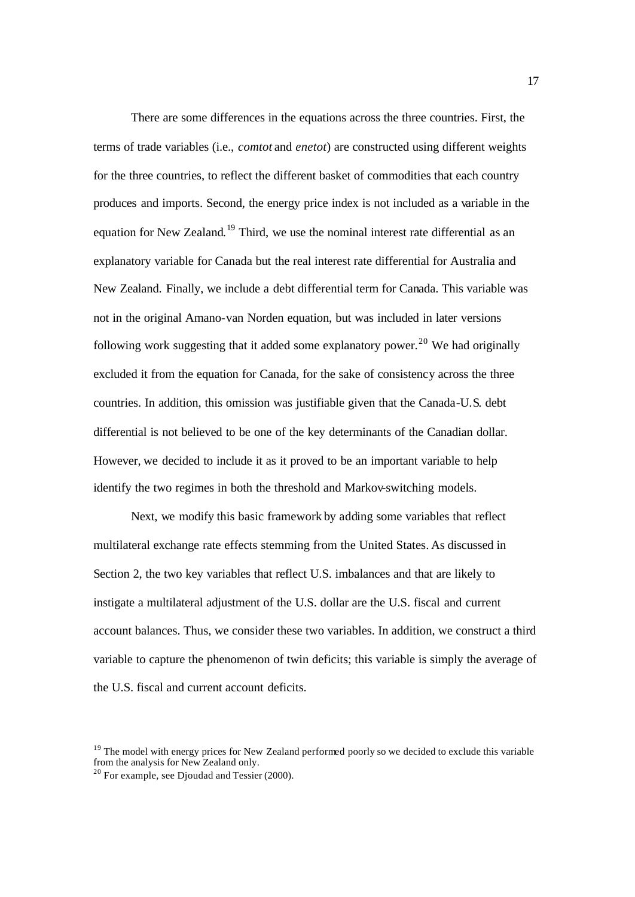There are some differences in the equations across the three countries. First, the terms of trade variables (i.e., *comtot* and *enetot*) are constructed using different weights for the three countries, to reflect the different basket of commodities that each country produces and imports. Second, the energy price index is not included as a variable in the equation for New Zealand.<sup>19</sup> Third, we use the nominal interest rate differential as an explanatory variable for Canada but the real interest rate differential for Australia and New Zealand. Finally, we include a debt differential term for Canada. This variable was not in the original Amano-van Norden equation, but was included in later versions following work suggesting that it added some explanatory power.<sup>20</sup> We had originally excluded it from the equation for Canada, for the sake of consistency across the three countries. In addition, this omission was justifiable given that the Canada-U.S. debt differential is not believed to be one of the key determinants of the Canadian dollar. However, we decided to include it as it proved to be an important variable to help identify the two regimes in both the threshold and Markov-switching models.

Next, we modify this basic framework by adding some variables that reflect multilateral exchange rate effects stemming from the United States. As discussed in Section 2, the two key variables that reflect U.S. imbalances and that are likely to instigate a multilateral adjustment of the U.S. dollar are the U.S. fiscal and current account balances. Thus, we consider these two variables. In addition, we construct a third variable to capture the phenomenon of twin deficits; this variable is simply the average of the U.S. fiscal and current account deficits.

 $19$  The model with energy prices for New Zealand performed poorly so we decided to exclude this variable from the analysis for New Zealand only.

<sup>&</sup>lt;sup>20</sup> For example, see Djoudad and Tessier (2000).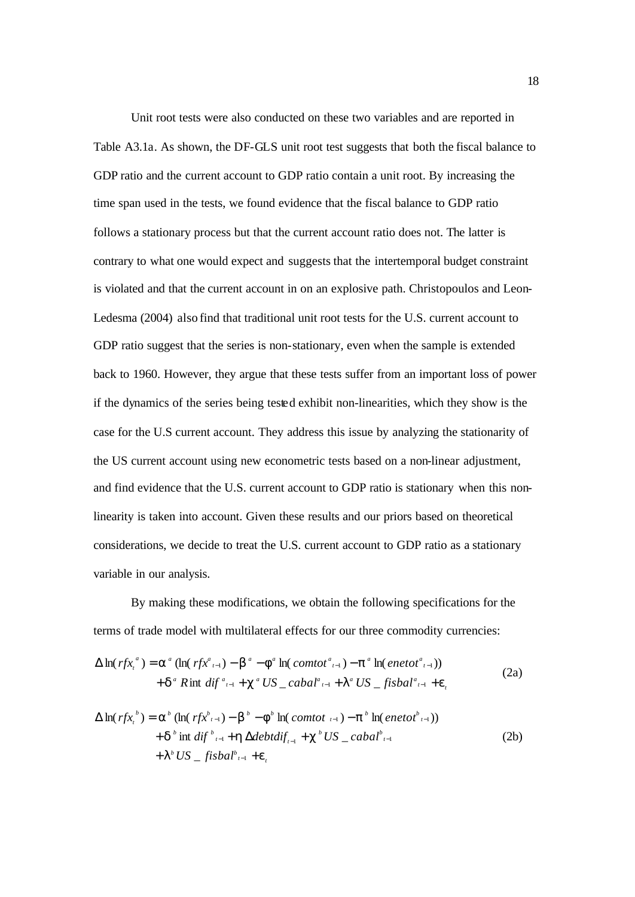Unit root tests were also conducted on these two variables and are reported in Table A3.1a. As shown, the DF-GLS unit root test suggests that both the fiscal balance to GDP ratio and the current account to GDP ratio contain a unit root. By increasing the time span used in the tests, we found evidence that the fiscal balance to GDP ratio follows a stationary process but that the current account ratio does not. The latter is contrary to what one would expect and suggests that the intertemporal budget constraint is violated and that the current account in on an explosive path. Christopoulos and Leon-Ledesma (2004) also find that traditional unit root tests for the U.S. current account to GDP ratio suggest that the series is non-stationary, even when the sample is extended back to 1960. However, they argue that these tests suffer from an important loss of power if the dynamics of the series being tested exhibit non-linearities, which they show is the case for the U.S current account. They address this issue by analyzing the stationarity of the US current account using new econometric tests based on a non-linear adjustment, and find evidence that the U.S. current account to GDP ratio is stationary when this nonlinearity is taken into account. Given these results and our priors based on theoretical considerations, we decide to treat the U.S. current account to GDP ratio as a stationary variable in our analysis.

By making these modifications, we obtain the following specifications for the terms of trade model with multilateral effects for our three commodity currencies:

$$
\Delta \ln(rfx_t^a) = \mathbf{a}^a (\ln(rfx_{t-1}^a) - \mathbf{b}^a - \mathbf{f}^a \ln(\text{const}_{t-1}^a) - \mathbf{p}^a \ln(\text{enetot}_{t-1}^a))
$$
  
+ 
$$
\mathbf{d}^a \text{ Rint } \text{diff }^{a_{t-1}} + \mathbf{c}^a \text{ US }_{\text{max}} \text{ cabal}_{t-1}^a + \mathbf{I}^a \text{ US }_{\text{max}} \text{ fishal}_{t-1}^a + \mathbf{e}_t
$$
 (2a)

$$
\Delta \ln(rfx_i^b) = \mathbf{a}^b (\ln(rfx_{i-1}^b) - \mathbf{b}^b - \mathbf{f}^b \ln(\text{comtot }_{i-1}) - \mathbf{p}^b \ln(\text{enetot }_{i-1}))
$$
  
+  $\mathbf{d}^b \text{ int } \text{diff }_{i-1}^b + \mathbf{h} \Delta \text{debtdiff}_{i-1} + \mathbf{c}^b \text{ US }_{\text{in}} \text{ cabal }_{i-1}^b$   
+  $\mathbf{I}^b \text{ US }_{\text{in}} \text{ fisbal }_{i-1}^b + \mathbf{e}_i$  (2b)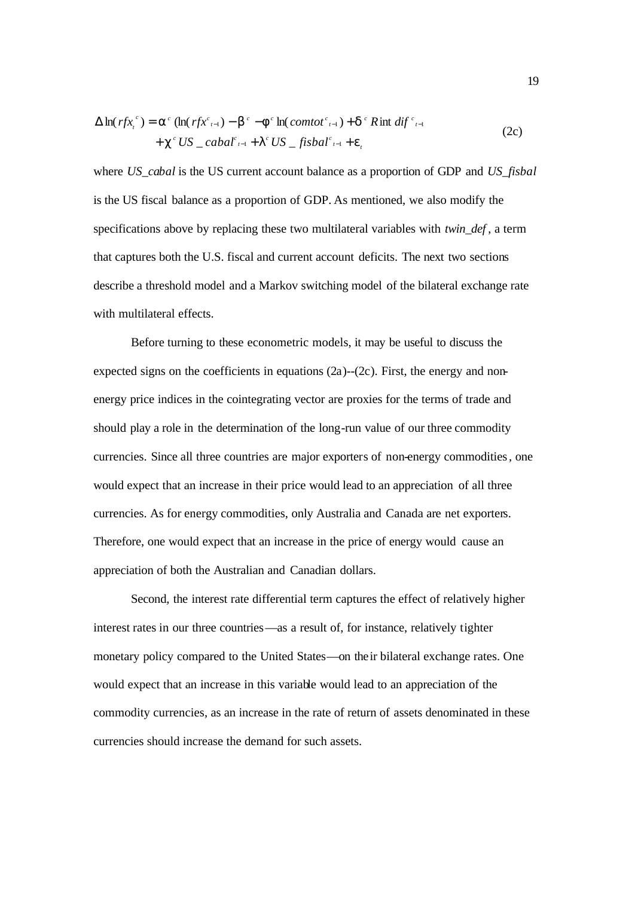$$
\Delta \ln(rfx_t^c) = \mathbf{a}^c (\ln(rfx_{t-1}^c) - \mathbf{b}^c - \mathbf{f}^c \ln(comtot_{t-1}^c) + \mathbf{d}^c R \text{int } dif_{t-1}^c
$$
  
+  $\mathbf{c}^c US\_cabal_{t-1}^c + \mathbf{I}^c US\_fisbal_{t-1}^c + \mathbf{e}_t$  (2c)

where *US\_cabal* is the US current account balance as a proportion of GDP and *US\_fisbal* is the US fiscal balance as a proportion of GDP. As mentioned, we also modify the specifications above by replacing these two multilateral variables with *twin\_def* , a term that captures both the U.S. fiscal and current account deficits. The next two sections describe a threshold model and a Markov switching model of the bilateral exchange rate with multilateral effects.

Before turning to these econometric models, it may be useful to discuss the expected signs on the coefficients in equations  $(2a)$ - $(2c)$ . First, the energy and nonenergy price indices in the cointegrating vector are proxies for the terms of trade and should play a role in the determination of the long-run value of our three commodity currencies. Since all three countries are major exporters of non-energy commodities, one would expect that an increase in their price would lead to an appreciation of all three currencies. As for energy commodities, only Australia and Canada are net exporters. Therefore, one would expect that an increase in the price of energy would cause an appreciation of both the Australian and Canadian dollars.

Second, the interest rate differential term captures the effect of relatively higher interest rates in our three countries—as a result of, for instance, relatively tighter monetary policy compared to the United States—on their bilateral exchange rates. One would expect that an increase in this variable would lead to an appreciation of the commodity currencies, as an increase in the rate of return of assets denominated in these currencies should increase the demand for such assets.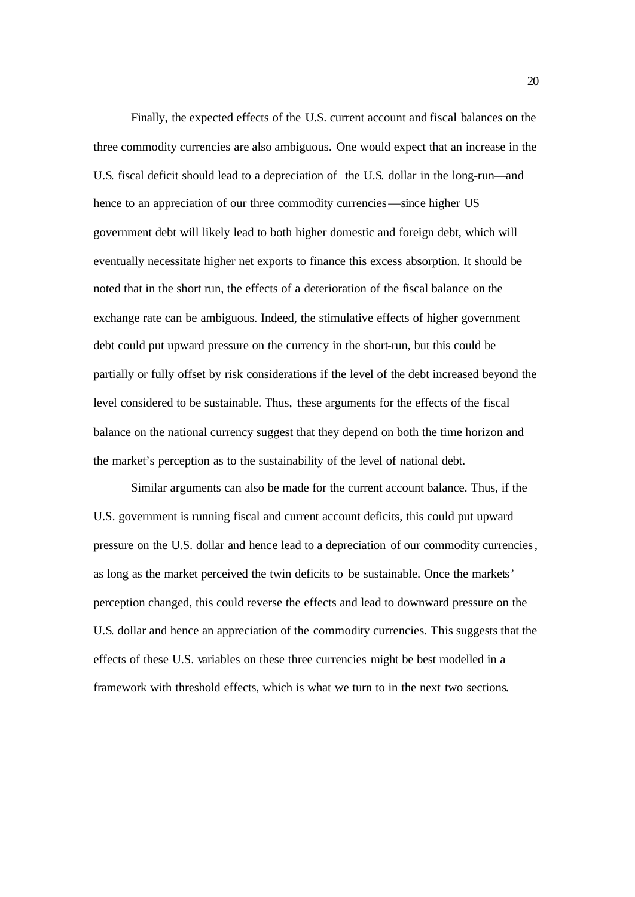Finally, the expected effects of the U.S. current account and fiscal balances on the three commodity currencies are also ambiguous. One would expect that an increase in the U.S. fiscal deficit should lead to a depreciation of the U.S. dollar in the long-run—and hence to an appreciation of our three commodity currencies—since higher US government debt will likely lead to both higher domestic and foreign debt, which will eventually necessitate higher net exports to finance this excess absorption. It should be noted that in the short run, the effects of a deterioration of the fiscal balance on the exchange rate can be ambiguous. Indeed, the stimulative effects of higher government debt could put upward pressure on the currency in the short-run, but this could be partially or fully offset by risk considerations if the level of the debt increased beyond the level considered to be sustainable. Thus, these arguments for the effects of the fiscal balance on the national currency suggest that they depend on both the time horizon and the market's perception as to the sustainability of the level of national debt.

Similar arguments can also be made for the current account balance. Thus, if the U.S. government is running fiscal and current account deficits, this could put upward pressure on the U.S. dollar and hence lead to a depreciation of our commodity currencies, as long as the market perceived the twin deficits to be sustainable. Once the markets' perception changed, this could reverse the effects and lead to downward pressure on the U.S. dollar and hence an appreciation of the commodity currencies. This suggests that the effects of these U.S. variables on these three currencies might be best modelled in a framework with threshold effects, which is what we turn to in the next two sections.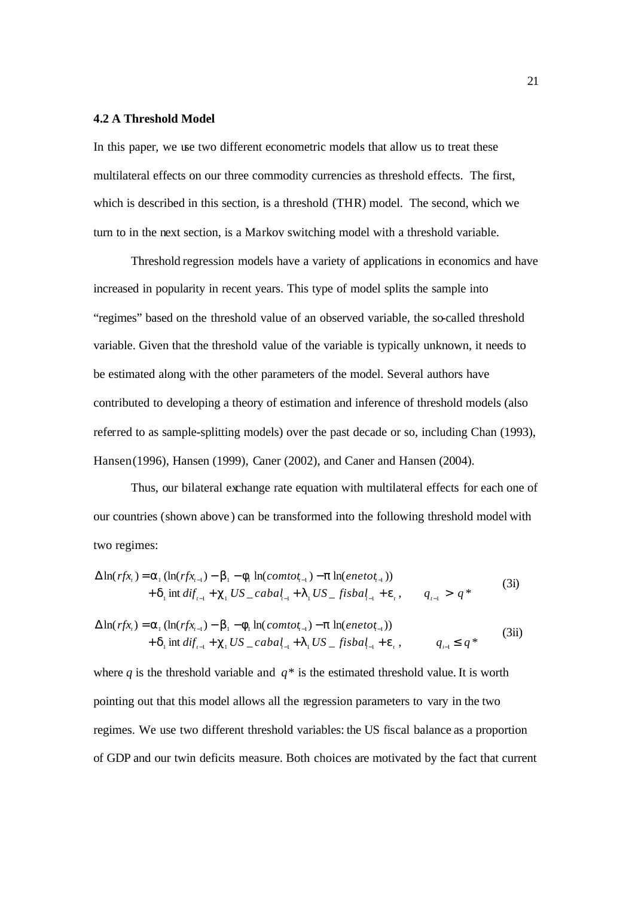#### **4.2 A Threshold Model**

In this paper, we use two different econometric models that allow us to treat these multilateral effects on our three commodity currencies as threshold effects. The first, which is described in this section, is a threshold (THR) model. The second, which we turn to in the next section, is a Markov switching model with a threshold variable.

Threshold regression models have a variety of applications in economics and have increased in popularity in recent years. This type of model splits the sample into "regimes" based on the threshold value of an observed variable, the so-called threshold variable. Given that the threshold value of the variable is typically unknown, it needs to be estimated along with the other parameters of the model. Several authors have contributed to developing a theory of estimation and inference of threshold models (also referred to as sample-splitting models) over the past decade or so, including Chan (1993), Hansen (1996), Hansen (1999), Caner (2002), and Caner and Hansen (2004).

Thus, our bilateral exchange rate equation with multilateral effects for each one of our countries (shown above ) can be transformed into the following threshold model with two regimes:

$$
\Delta \ln(rfx_i) = \mathbf{a}_1 (\ln(rfx_{i-1}) - \mathbf{b}_1 - \mathbf{f}_1 \ln(comtot_{i-1}) - \mathbf{p} \ln(enetot_{i-1})) + \mathbf{d}_1 \text{ int } diff_{i-1} + \mathbf{c}_1 US\_cabal_{i-1} + \mathbf{1}_1 US\_fishal_{i-1} + \mathbf{e}_i, \qquad q_{i-1} > q^*
$$
\n(3i)

$$
\Delta \ln(rfx_i) = \mathbf{a}_1 (\ln(rfx_{i-1}) - \mathbf{b}_1 - \mathbf{f}_1 \ln(comtot_{i-1}) - \mathbf{p} \ln(enetot_{i-1})) + \mathbf{d}_1 \text{ int } diff_{i-1} + \mathbf{c}_1 US\_cabal_{i-1} + \mathbf{I}_1 US\_fisbal_{i-1} + \mathbf{e}_i, \qquad q_{i-1} \leq q^*
$$
 (3ii)

where *q* is the threshold variable and  $q^*$  is the estimated threshold value. It is worth pointing out that this model allows all the regression parameters to vary in the two regimes. We use two different threshold variables: the US fiscal balance as a proportion of GDP and our twin deficits measure. Both choices are motivated by the fact that current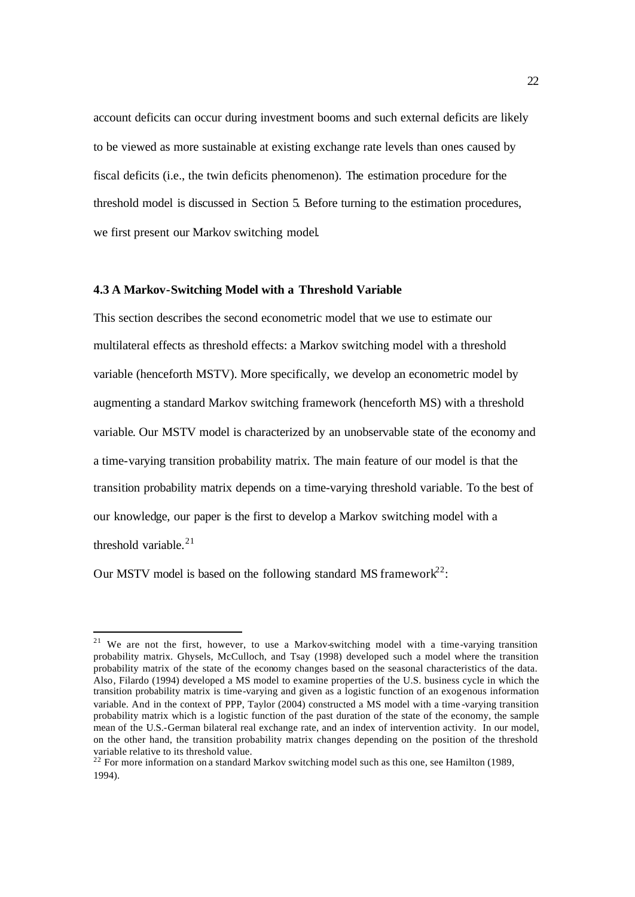account deficits can occur during investment booms and such external deficits are likely to be viewed as more sustainable at existing exchange rate levels than ones caused by fiscal deficits (i.e., the twin deficits phenomenon). The estimation procedure for the threshold model is discussed in Section 5. Before turning to the estimation procedures, we first present our Markov switching model.

#### **4.3 A Markov-Switching Model with a Threshold Variable**

This section describes the second econometric model that we use to estimate our multilateral effects as threshold effects: a Markov switching model with a threshold variable (henceforth MSTV). More specifically, we develop an econometric model by augmenting a standard Markov switching framework (henceforth MS) with a threshold variable. Our MSTV model is characterized by an unobservable state of the economy and a time-varying transition probability matrix. The main feature of our model is that the transition probability matrix depends on a time-varying threshold variable. To the best of our knowledge, our paper is the first to develop a Markov switching model with a threshold variable.<sup>21</sup>

Our MSTV model is based on the following standard MS framework<sup>22</sup>:

<sup>&</sup>lt;sup>21</sup> We are not the first, however, to use a Markov-switching model with a time-varying transition probability matrix. Ghysels, McCulloch, and Tsay (1998) developed such a model where the transition probability matrix of the state of the economy changes based on the seasonal characteristics of the data. Also, Filardo (1994) developed a MS model to examine properties of the U.S. business cycle in which the transition probability matrix is time-varying and given as a logistic function of an exogenous information variable. And in the context of PPP, Taylor (2004) constructed a MS model with a time -varying transition probability matrix which is a logistic function of the past duration of the state of the economy, the sample mean of the U.S.-German bilateral real exchange rate, and an index of intervention activity. In our model, on the other hand, the transition probability matrix changes depending on the position of the threshold variable relative to its threshold value.

 $22$  For more information on a standard Markov switching model such as this one, see Hamilton (1989, 1994).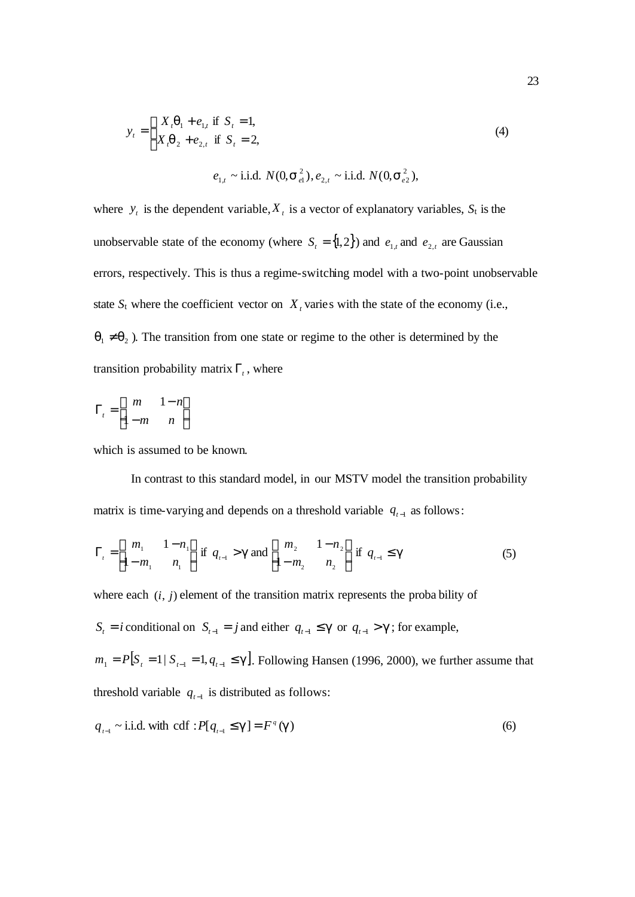$$
y_{t} = \begin{cases} X_{t} \mathbf{q}_{1} + e_{1,t} \text{ if } S_{t} = 1, \\ X_{t} \mathbf{q}_{2} + e_{2,t} \text{ if } S_{t} = 2, \end{cases}
$$
\n
$$
e_{1,t} \sim \text{i.i.d. } N(0, \mathbf{s}_{e1}^{2}), e_{2,t} \sim \text{i.i.d. } N(0, \mathbf{s}_{e2}^{2}),
$$
\n(4)

where  $y_t$  is the dependent variable,  $X_t$  is a vector of explanatory variables,  $S_t$  is the unobservable state of the economy (where  $S_t = \{1, 2\}$ ) and  $e_{1,t}$  and  $e_{2,t}$  are Gaussian errors, respectively. This is thus a regime-switching model with a two-point unobservable state  $S_t$  where the coefficient vector on  $X_t$  varies with the state of the economy (i.e.,  $q_1 \neq q_2$ ). The transition from one state or regime to the other is determined by the transition probability matrix  $\Gamma_t$ , where

$$
\Gamma_t = \begin{bmatrix} m & 1 - n \\ 1 - m & n \end{bmatrix}
$$

which is assumed to be known.

In contrast to this standard model, in our MSTV model the transition probability matrix is time-varying and depends on a threshold variable  $q_{t-1}$  as follows:

$$
\Gamma_{t} = \begin{bmatrix} m_{1} & 1 - n_{1} \\ 1 - m_{1} & n_{1} \end{bmatrix} \text{ if } q_{t-1} > \mathbf{g} \text{ and } \begin{bmatrix} m_{2} & 1 - n_{2} \\ 1 - m_{2} & n_{2} \end{bmatrix} \text{ if } q_{t-1} \leq \mathbf{g}
$$
 (5)

where each  $(i, j)$  element of the transition matrix represents the proba bility of

 $S_t = i$  conditional on  $S_{t-1} = j$  and either  $q_{t-1} \leq g$  or  $q_{t-1} > g$ ; for example,

 $m_1 = P[S_t = 1 | S_{t-1} = 1, q_{t-1} \le g]$ . Following Hansen (1996, 2000), we further assume that threshold variable  $q_{t-1}$  is distributed as follows:

$$
q_{t-1} \sim
$$
 i.i.d. with cdf :  $P[q_{t-1} \leq g] = F^g(g)$  (6)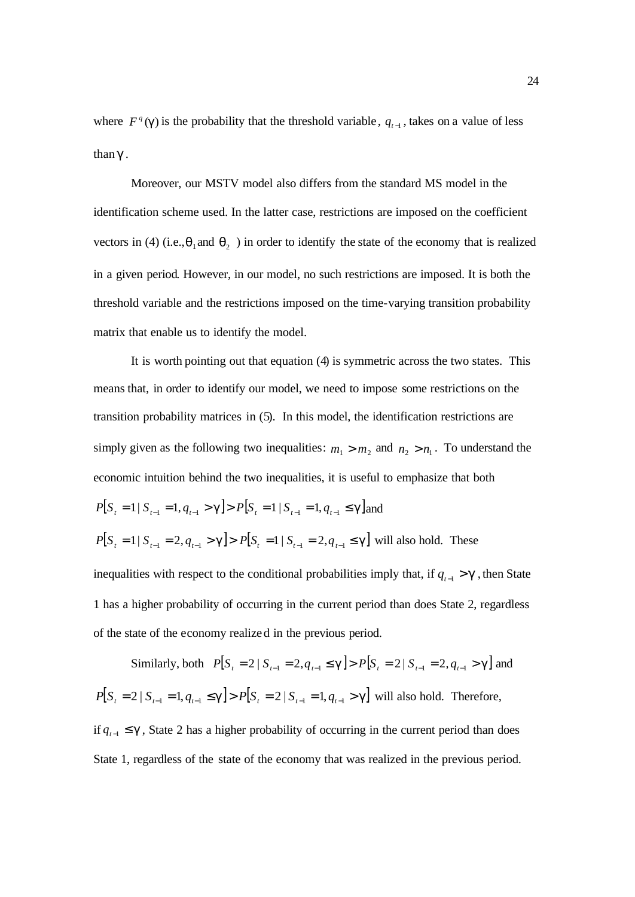where  $F^q$  (*g*) is the probability that the threshold variable,  $q_{t-1}$ , takes on a value of less than *g* .

Moreover, our MSTV model also differs from the standard MS model in the identification scheme used. In the latter case, restrictions are imposed on the coefficient vectors in (4) (i.e., $\mathbf{q}_1$  and  $\mathbf{q}_2$ ) in order to identify the state of the economy that is realized in a given period. However, in our model, no such restrictions are imposed. It is both the threshold variable and the restrictions imposed on the time-varying transition probability matrix that enable us to identify the model.

It is worth pointing out that equation (4) is symmetric across the two states. This means that, in order to identify our model, we need to impose some restrictions on the transition probability matrices in (5). In this model, the identification restrictions are simply given as the following two inequalities:  $m_1 > m_2$  and  $n_2 > n_1$ . To understand the economic intuition behind the two inequalities, it is useful to emphasize that both  $P[S_i = 1 | S_{i-1} = 1, q_{i-1} > g] > P[S_i = 1 | S_{i-1} = 1, q_{i-1} \le g]$  and  $P[S_i = 1 | S_{i-1} = 2, q_{i-1} > g] > P[S_i = 1 | S_{i-1} = 2, q_{i-1} \le g]$  will also hold. These inequalities with respect to the conditional probabilities imply that, if  $q_{t-1} > g$ , then State 1 has a higher probability of occurring in the current period than does State 2, regardless

Similarly, both  $P[S_i = 2 | S_{i-1} = 2, q_{i-1} \le g] > P[S_i = 2 | S_{i-1} = 2, q_{i-1} > g]$  and  $P[S_t = 2 | S_{t-1} = 1, q_{t-1} \le g] > P[S_t = 2 | S_{t-1} = 1, q_{t-1} > g]$  will also hold. Therefore, if  $q_{t-1}$  ≤ **g**, State 2 has a higher probability of occurring in the current period than does

of the state of the economy realized in the previous period.

State 1, regardless of the state of the economy that was realized in the previous period.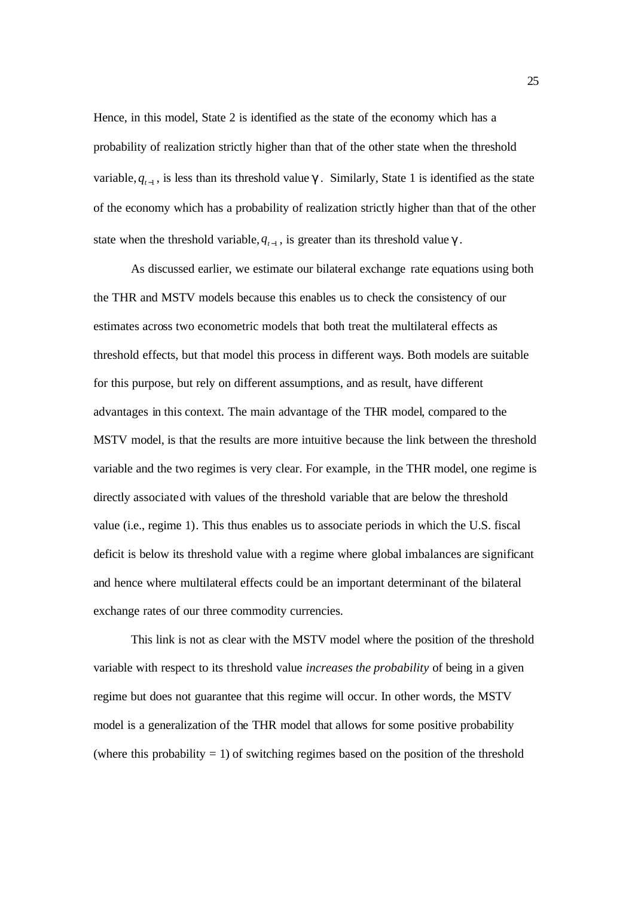Hence, in this model, State 2 is identified as the state of the economy which has a probability of realization strictly higher than that of the other state when the threshold variable,  $q_{t-1}$ , is less than its threshold value  $g$ . Similarly, State 1 is identified as the state of the economy which has a probability of realization strictly higher than that of the other state when the threshold variable,  $q_{t-1}$ , is greater than its threshold value  $g$ .

As discussed earlier, we estimate our bilateral exchange rate equations using both the THR and MSTV models because this enables us to check the consistency of our estimates across two econometric models that both treat the multilateral effects as threshold effects, but that model this process in different ways. Both models are suitable for this purpose, but rely on different assumptions, and as result, have different advantages in this context. The main advantage of the THR model, compared to the MSTV model, is that the results are more intuitive because the link between the threshold variable and the two regimes is very clear. For example, in the THR model, one regime is directly associated with values of the threshold variable that are below the threshold value (i.e., regime 1). This thus enables us to associate periods in which the U.S. fiscal deficit is below its threshold value with a regime where global imbalances are significant and hence where multilateral effects could be an important determinant of the bilateral exchange rates of our three commodity currencies.

This link is not as clear with the MSTV model where the position of the threshold variable with respect to its threshold value *increases the probability* of being in a given regime but does not guarantee that this regime will occur. In other words, the MSTV model is a generalization of the THR model that allows for some positive probability (where this probability  $= 1$ ) of switching regimes based on the position of the threshold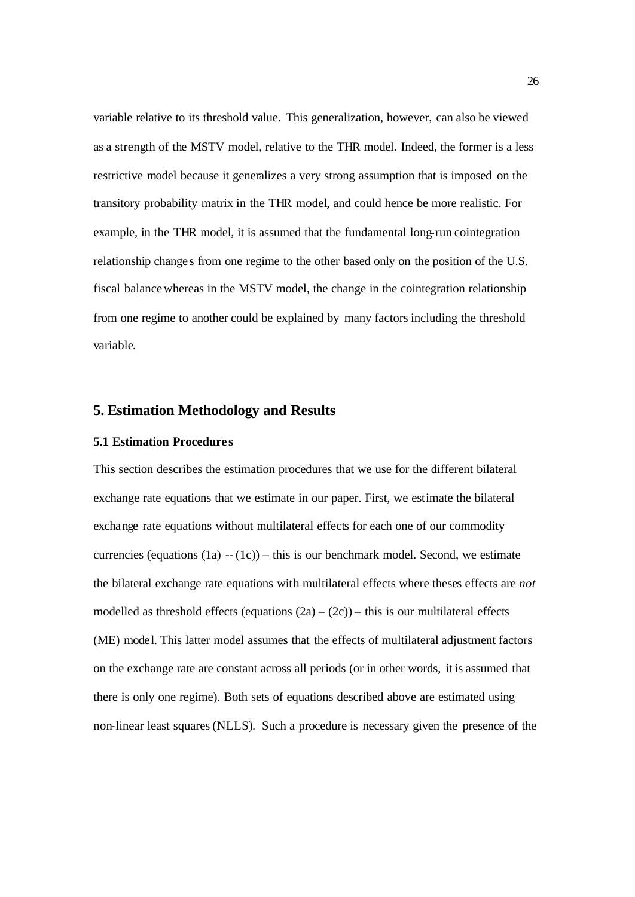variable relative to its threshold value. This generalization, however, can also be viewed as a strength of the MSTV model, relative to the THR model. Indeed, the former is a less restrictive model because it generalizes a very strong assumption that is imposed on the transitory probability matrix in the THR model, and could hence be more realistic. For example, in the THR model, it is assumed that the fundamental long-run cointegration relationship change s from one regime to the other based only on the position of the U.S. fiscal balancewhereas in the MSTV model, the change in the cointegration relationship from one regime to another could be explained by many factors including the threshold variable.

# **5. Estimation Methodology and Results**

### **5.1 Estimation Procedure s**

This section describes the estimation procedures that we use for the different bilateral exchange rate equations that we estimate in our paper. First, we estimate the bilateral exchange rate equations without multilateral effects for each one of our commodity currencies (equations  $(1a) - (1c)$ ) – this is our benchmark model. Second, we estimate the bilateral exchange rate equations with multilateral effects where theses effects are *not* modelled as threshold effects (equations  $(2a) - (2c)$ ) – this is our multilateral effects (ME) model. This latter model assumes that the effects of multilateral adjustment factors on the exchange rate are constant across all periods (or in other words, it is assumed that there is only one regime). Both sets of equations described above are estimated using non-linear least squares (NLLS). Such a procedure is necessary given the presence of the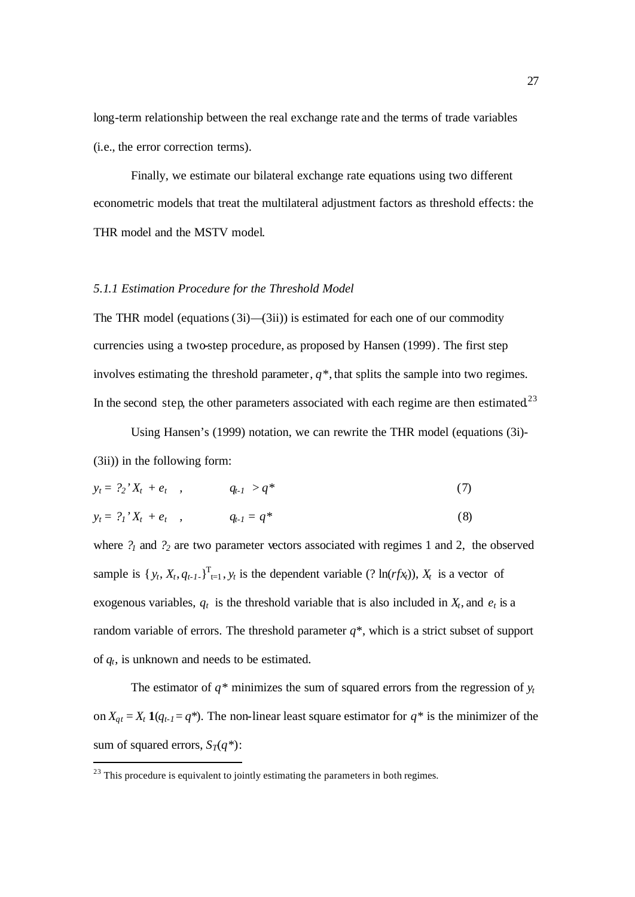long-term relationship between the real exchange rate and the terms of trade variables (i.e., the error correction terms).

Finally, we estimate our bilateral exchange rate equations using two different econometric models that treat the multilateral adjustment factors as threshold effects: the THR model and the MSTV model.

#### *5.1.1 Estimation Procedure for the Threshold Model*

The THR model (equations  $(3i)$ — $(3ii)$ ) is estimated for each one of our commodity currencies using a two-step procedure, as proposed by Hansen (1999). The first step involves estimating the threshold parameter,  $q^*$ , that splits the sample into two regimes. In the second step, the other parameters associated with each regime are then estimated.<sup>23</sup>

Using Hansen's (1999) notation, we can rewrite the THR model (equations (3i)- (3ii)) in the following form:

$$
y_t = ?_2' X_t + e_t \quad , \qquad q_{t-1} > q^* \tag{7}
$$

$$
y_t = ?_1' X_t + e_t \quad , \qquad q_{t-1} = q^* \tag{8}
$$

where *?<sup>1</sup>* and *?<sup>2</sup>* are two parameter vectors associated with regimes 1 and 2, the observed sample is  $\{y_t, X_t, q_{t-1}\}_{t=1}^T$ ,  $y_t$  is the dependent variable (? ln(*rfx*<sub>*t*</sub>)),  $X_t$  is a vector of exogenous variables,  $q_t$  is the threshold variable that is also included in  $X_t$ , and  $e_t$  is a random variable of errors. The threshold parameter  $q^*$ , which is a strict subset of support of *qt*, is unknown and needs to be estimated.

The estimator of  $q^*$  minimizes the sum of squared errors from the regression of  $y_t$ on  $X_{qt} = X_t \mathbf{1}(q_{t-1} = q^*)$ . The non-linear least square estimator for  $q^*$  is the minimizer of the sum of squared errors,  $S_T(q^*)$ :

l

 $23$  This procedure is equivalent to jointly estimating the parameters in both regimes.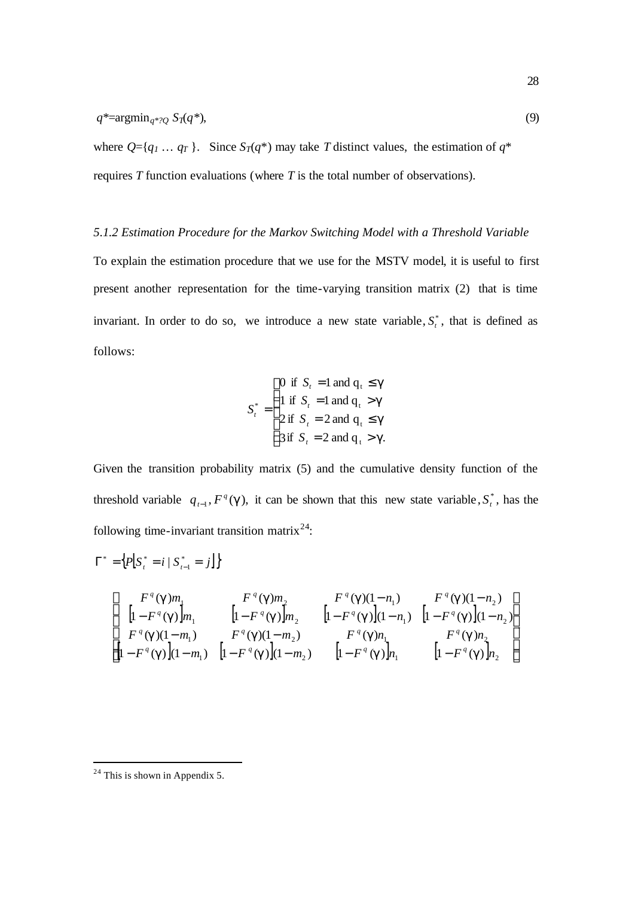where  $Q = \{q_1 \dots q_T\}$ . Since  $S_T(q^*)$  may take *T* distinct values, the estimation of  $q^*$ requires *T* function evaluations (where *T* is the total number of observations).

### *5.1.2 Estimation Procedure for the Markov Switching Model with a Threshold Variable*

To explain the estimation procedure that we use for the MSTV model, it is useful to first present another representation for the time-varying transition matrix (2) that is time invariant. In order to do so, we introduce a new state variable,  $S_t^*$ , that is defined as follows:

$$
S_t^* = \begin{cases} 0 \text{ if } S_t = 1 \text{ and } q_t \leq g \\ 1 \text{ if } S_t = 1 \text{ and } q_t > g \\ 2 \text{ if } S_t = 2 \text{ and } q_t \leq g \\ 3 \text{ if } S_t = 2 \text{ and } q_t > g. \end{cases}
$$

Given the transition probability matrix (5) and the cumulative density function of the threshold variable  $q_{t-1}$ ,  $F^q(\mathbf{g})$ , it can be shown that this new state variable,  $S_t^*$  $S_t^*$ , has the following time-invariant transition matrix  $24$ :

$$
\Gamma^* = \left\{ P \Big[ S_i^* = i \mid S_{i-1}^* = j \Big] \right\}
$$
\n
$$
\left[ \begin{array}{ccc} F^q(\mathbf{g})m_1 & F^q(\mathbf{g})m_2 & F^q(\mathbf{g})(1-n_1) & F^q(\mathbf{g})(1-n_2) \\ \left[ 1 - F^q(\mathbf{g}) \right]m_1 & \left[ 1 - F^q(\mathbf{g}) \right]m_2 & \left[ 1 - F^q(\mathbf{g}) \right] (1-n_1) & \left[ 1 - F^q(\mathbf{g}) \right] (1-n_2) \\ F^q(\mathbf{g})(1-m_1) & F^q(\mathbf{g})(1-m_2) & F^q(\mathbf{g})n_1 & F^q(\mathbf{g})n_2 \\ \left[ 1 - F^q(\mathbf{g}) \right] (1-m_1) & \left[ 1 - F^q(\mathbf{g}) \right] (1-m_2) & \left[ 1 - F^q(\mathbf{g}) \right]n_1 & \left[ 1 - F^q(\mathbf{g}) \right]n_2 \end{array} \right].
$$

l

 $24$  This is shown in Appendix 5.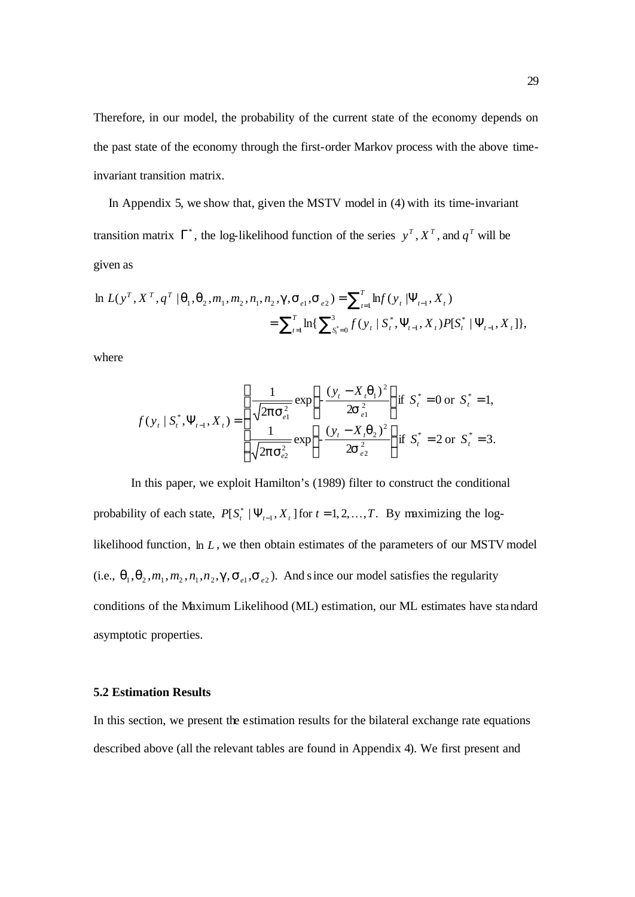Therefore, in our model, the probability of the current state of the economy depends on the past state of the economy through the first-order Markov process with the above timeinvariant transition matrix.

 In Appendix 5, we show that, given the MSTV model in (4) with its time-invariant transition matrix  $\Gamma^*$ , the log-likelihood function of the series  $y^T$ ,  $X^T$ , and  $q^T$  will be given as

$$
\ln L(y^T, X^T, q^T | \mathbf{q}_1, \mathbf{q}_2, m_1, m_2, n_1, n_2, \mathbf{g}, \mathbf{S}_{e1}, \mathbf{S}_{e2}) = \sum_{t=1}^T \ln f(y_t | \Psi_{t-1}, X_t)
$$
  
= 
$$
\sum_{t=1}^T \ln \{ \sum_{s_t^* = 0}^3 f(y_t | S_t^*, \Psi_{t-1}, X_t) P[S_t^* | \Psi_{t-1}, X_t],
$$

where

$$
f(y_t | S_t^*, \Psi_{t-1}, X_t) = \begin{cases} \frac{1}{\sqrt{2\mathbf{p} s_{e1}^2}} \exp\left\{-\frac{(y_t - X_t \mathbf{q}_1)^2}{2\mathbf{s}_{e1}^2}\right\} \text{if } S_t^* = 0 \text{ or } S_t^* = 1, \\ \frac{1}{\sqrt{2\mathbf{p} s_{e2}^2}} \exp\left\{-\frac{(y_t - X_t \mathbf{q}_2)^2}{2\mathbf{s}_{e2}^2}\right\} \text{if } S_t^* = 2 \text{ or } S_t^* = 3. \end{cases}
$$

In this paper, we exploit Hamilton's (1989) filter to construct the conditional probability of each state,  $P[S_t^* | \Psi_{t-1}, X_t]$  for  $t = 1, 2, ..., T$ . By maximizing the loglikelihood function, ln *L* , we then obtain estimates of the parameters of our MSTV model (i.e.,  $\mathbf{q}_1, \mathbf{q}_2, m_1, m_2, n_1, n_2, \mathbf{g}, \mathbf{s}_{e_1}, \mathbf{s}_{e_2}$ ). And since our model satisfies the regularity conditions of the Maximum Likelihood (ML) estimation, our ML estimates have standard asymptotic properties.

#### **5.2 Estimation Results**

In this section, we present the estimation results for the bilateral exchange rate equations described above (all the relevant tables are found in Appendix 4). We first present and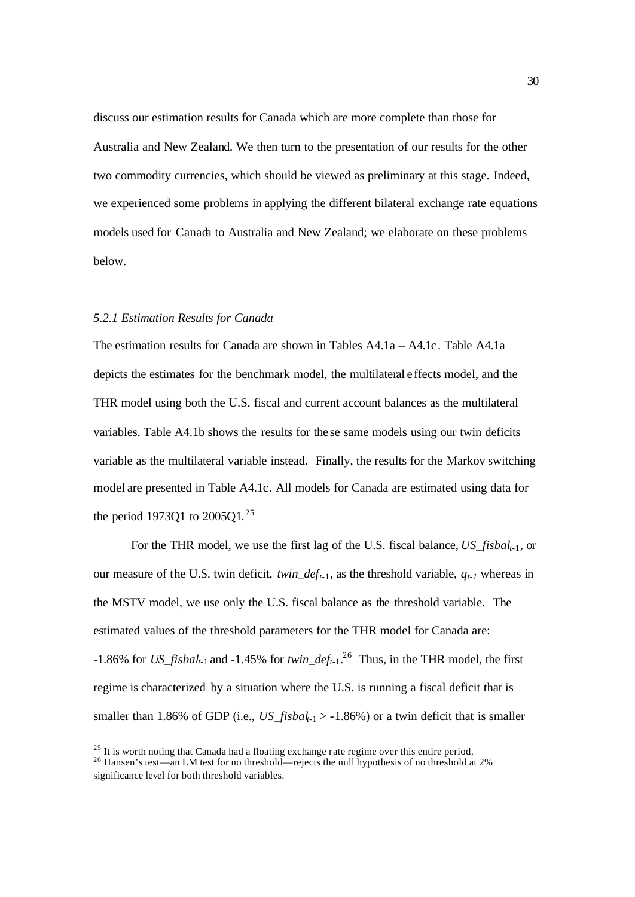discuss our estimation results for Canada which are more complete than those for Australia and New Zealand. We then turn to the presentation of our results for the other two commodity currencies, which should be viewed as preliminary at this stage. Indeed, we experienced some problems in applying the different bilateral exchange rate equations models used for Canada to Australia and New Zealand; we elaborate on these problems below.

#### *5.2.1 Estimation Results for Canada*

The estimation results for Canada are shown in Tables A4.1a – A4.1c. Table A4.1a depicts the estimates for the benchmark model, the multilateral effects model, and the THR model using both the U.S. fiscal and current account balances as the multilateral variables. Table A4.1b shows the results for the se same models using our twin deficits variable as the multilateral variable instead. Finally, the results for the Markov switching model are presented in Table A4.1c. All models for Canada are estimated using data for the period 1973Q1 to  $2005Q1$ .<sup>25</sup>

For the THR model, we use the first lag of the U.S. fiscal balance, *US\_fisbalt-*1, or our measure of the U.S. twin deficit, *twin\_deft-*1, as the threshold variable, *qt-1* whereas in the MSTV model, we use only the U.S. fiscal balance as the threshold variable. The estimated values of the threshold parameters for the THR model for Canada are: -1.86% for *US\_fisbal<sub>t-1</sub>* and -1.45% for *twin\_def<sub>t-1</sub>*.<sup>26</sup> Thus, in the THR model, the first regime is characterized by a situation where the U.S. is running a fiscal deficit that is smaller than 1.86% of GDP (i.e.,  $US_f$ *isbal*<sub> $t-1$ </sub> > -1.86%) or a twin deficit that is smaller

 $25$  It is worth noting that Canada had a floating exchange rate regime over this entire period.

<sup>&</sup>lt;sup>26</sup> Hansen's test—an LM test for no threshold—rejects the null hypothesis of no threshold at 2% significance level for both threshold variables.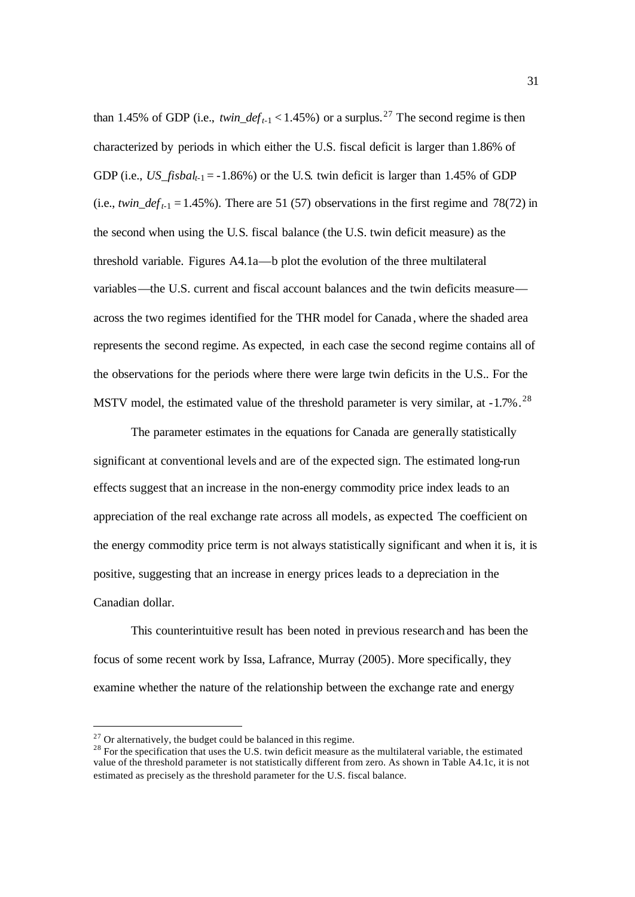than 1.45% of GDP (i.e.,  $twin\_def_{t-1} < 1.45\%$ ) or a surplus.<sup>27</sup> The second regime is then characterized by periods in which either the U.S. fiscal deficit is larger than 1.86% of GDP (i.e., *US\_fisbal<sub>t-1</sub>* = -1.86%) or the U.S. twin deficit is larger than 1.45% of GDP (i.e., *twin\_deft-*1 = 1.45%). There are 51 (57) observations in the first regime and 78(72) in the second when using the U.S. fiscal balance (the U.S. twin deficit measure) as the threshold variable. Figures A4.1a—b plot the evolution of the three multilateral variables—the U.S. current and fiscal account balances and the twin deficits measure across the two regimes identified for the THR model for Canada , where the shaded area represents the second regime. As expected, in each case the second regime contains all of the observations for the periods where there were large twin deficits in the U.S.. For the MSTV model, the estimated value of the threshold parameter is very similar, at  $-1.7\%$ .<sup>28</sup>

The parameter estimates in the equations for Canada are generally statistically significant at conventional levels and are of the expected sign. The estimated long-run effects suggest that an increase in the non-energy commodity price index leads to an appreciation of the real exchange rate across all models, as expected. The coefficient on the energy commodity price term is not always statistically significant and when it is, it is positive, suggesting that an increase in energy prices leads to a depreciation in the Canadian dollar.

This counterintuitive result has been noted in previous research and has been the focus of some recent work by Issa, Lafrance, Murray (2005). More specifically, they examine whether the nature of the relationship between the exchange rate and energy

 $27$  Or alternatively, the budget could be balanced in this regime.

<sup>&</sup>lt;sup>28</sup> For the specification that uses the U.S. twin deficit measure as the multilateral variable, the estimated value of the threshold parameter is not statistically different from zero. As shown in Table A4.1c, it is not estimated as precisely as the threshold parameter for the U.S. fiscal balance.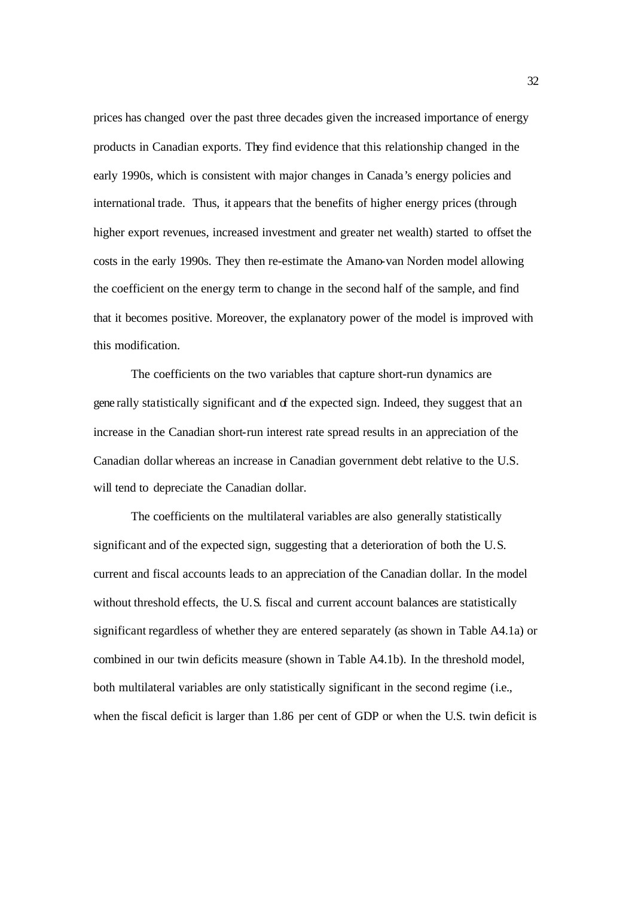prices has changed over the past three decades given the increased importance of energy products in Canadian exports. They find evidence that this relationship changed in the early 1990s, which is consistent with major changes in Canada's energy policies and international trade. Thus, it appears that the benefits of higher energy prices (through higher export revenues, increased investment and greater net wealth) started to offset the costs in the early 1990s. They then re-estimate the Amano-van Norden model allowing the coefficient on the energy term to change in the second half of the sample, and find that it becomes positive. Moreover, the explanatory power of the model is improved with this modification.

The coefficients on the two variables that capture short-run dynamics are gene rally statistically significant and of the expected sign. Indeed, they suggest that an increase in the Canadian short-run interest rate spread results in an appreciation of the Canadian dollar whereas an increase in Canadian government debt relative to the U.S. will tend to depreciate the Canadian dollar.

The coefficients on the multilateral variables are also generally statistically significant and of the expected sign, suggesting that a deterioration of both the U.S. current and fiscal accounts leads to an appreciation of the Canadian dollar. In the model without threshold effects, the U.S. fiscal and current account balances are statistically significant regardless of whether they are entered separately (as shown in Table A4.1a) or combined in our twin deficits measure (shown in Table A4.1b). In the threshold model, both multilateral variables are only statistically significant in the second regime (i.e., when the fiscal deficit is larger than 1.86 per cent of GDP or when the U.S. twin deficit is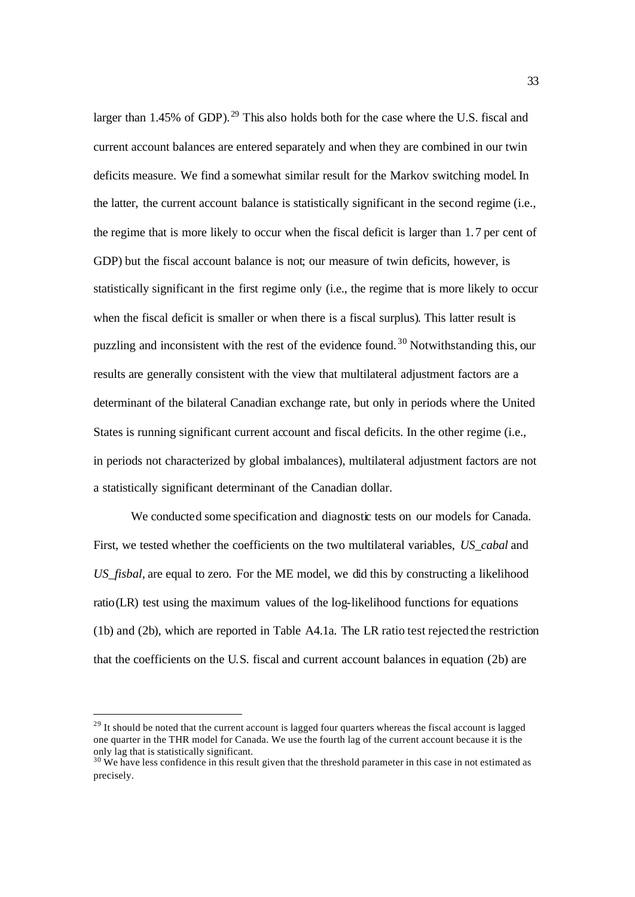larger than 1.45% of GDP).<sup>29</sup> This also holds both for the case where the U.S. fiscal and current account balances are entered separately and when they are combined in our twin deficits measure. We find a somewhat similar result for the Markov switching model. In the latter, the current account balance is statistically significant in the second regime (i.e., the regime that is more likely to occur when the fiscal deficit is larger than 1.7 per cent of GDP) but the fiscal account balance is not; our measure of twin deficits, however, is statistically significant in the first regime only (i.e., the regime that is more likely to occur when the fiscal deficit is smaller or when there is a fiscal surplus). This latter result is puzzling and inconsistent with the rest of the evidence found. <sup>30</sup> Notwithstanding this, our results are generally consistent with the view that multilateral adjustment factors are a determinant of the bilateral Canadian exchange rate, but only in periods where the United States is running significant current account and fiscal deficits. In the other regime (i.e., in periods not characterized by global imbalances), multilateral adjustment factors are not a statistically significant determinant of the Canadian dollar.

We conducted some specification and diagnostic tests on our models for Canada. First, we tested whether the coefficients on the two multilateral variables, *US\_cabal* and *US\_fisbal*, are equal to zero. For the ME model, we did this by constructing a likelihood ratio(LR) test using the maximum values of the log-likelihood functions for equations (1b) and (2b), which are reported in Table A4.1a. The LR ratio test rejected the restriction that the coefficients on the U.S. fiscal and current account balances in equation (2b) are

<sup>&</sup>lt;sup>29</sup> It should be noted that the current account is lagged four quarters whereas the fiscal account is lagged one quarter in the THR model for Canada. We use the fourth lag of the current account because it is the only lag that is statistically significant.

<sup>&</sup>lt;sup>30</sup> We have less confidence in this result given that the threshold parameter in this case in not estimated as precisely.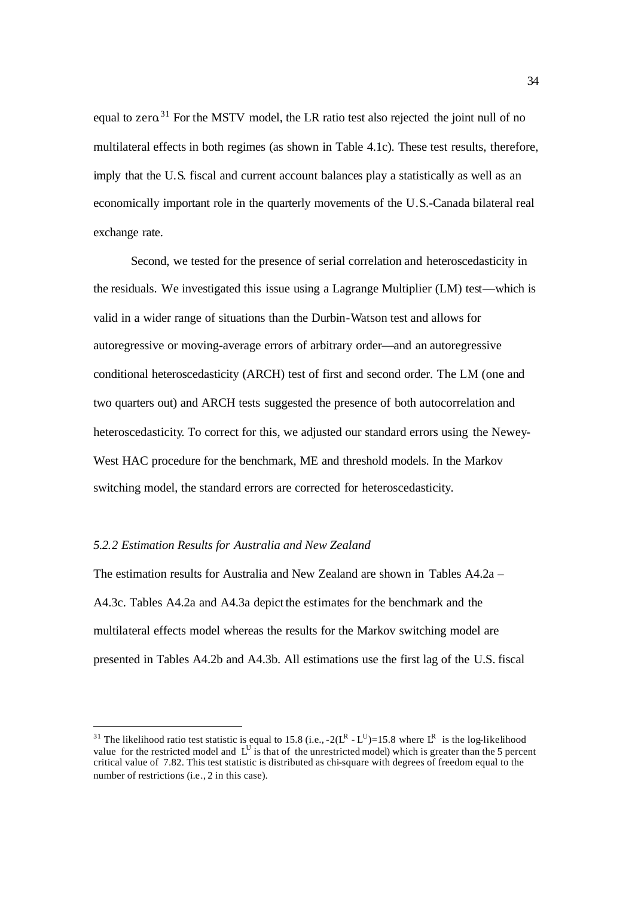equal to zero.<sup>31</sup> For the MSTV model, the LR ratio test also rejected the joint null of no multilateral effects in both regimes (as shown in Table 4.1c). These test results, therefore, imply that the U.S. fiscal and current account balances play a statistically as well as an economically important role in the quarterly movements of the U.S.-Canada bilateral real exchange rate.

Second, we tested for the presence of serial correlation and heteroscedasticity in the residuals. We investigated this issue using a Lagrange Multiplier (LM) test—which is valid in a wider range of situations than the Durbin-Watson test and allows for autoregressive or moving-average errors of arbitrary order—and an autoregressive conditional heteroscedasticity (ARCH) test of first and second order. The LM (one and two quarters out) and ARCH tests suggested the presence of both autocorrelation and heteroscedasticity. To correct for this, we adjusted our standard errors using the Newey-West HAC procedure for the benchmark, ME and threshold models. In the Markov switching model, the standard errors are corrected for heteroscedasticity.

#### *5.2.2 Estimation Results for Australia and New Zealand*

The estimation results for Australia and New Zealand are shown in Tables A4.2a – A4.3c. Tables A4.2a and A4.3a depict the estimates for the benchmark and the multilateral effects model whereas the results for the Markov switching model are presented in Tables A4.2b and A4.3b. All estimations use the first lag of the U.S. fiscal

<sup>&</sup>lt;sup>31</sup> The likelihood ratio test statistic is equal to 15.8 (i.e.,  $-2(L^R - L^U) = 15.8$  where  $L^R$  is the log-likelihood value for the restricted model and  $L^U$  is that of the unrestricted model) which is greater than the 5 percent critical value of 7.82. This test statistic is distributed as chi-square with degrees of freedom equal to the number of restrictions (i.e., 2 in this case).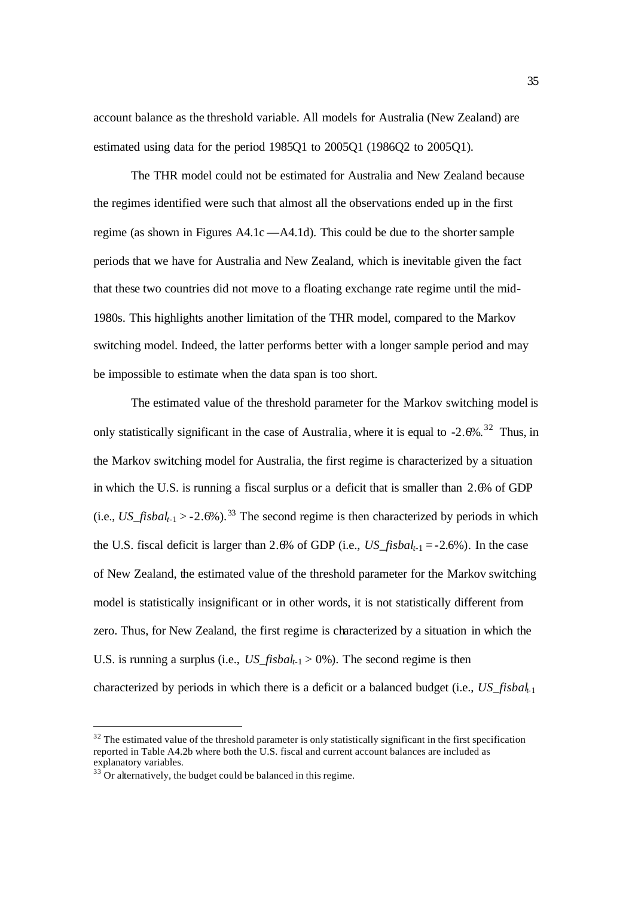account balance as the threshold variable. All models for Australia (New Zealand) are estimated using data for the period 1985Q1 to 2005Q1 (1986Q2 to 2005Q1).

The THR model could not be estimated for Australia and New Zealand because the regimes identified were such that almost all the observations ended up in the first regime (as shown in Figures A4.1c —A4.1d). This could be due to the shorter sample periods that we have for Australia and New Zealand, which is inevitable given the fact that these two countries did not move to a floating exchange rate regime until the mid-1980s. This highlights another limitation of the THR model, compared to the Markov switching model. Indeed, the latter performs better with a longer sample period and may be impossible to estimate when the data span is too short.

The estimated value of the threshold parameter for the Markov switching model is only statistically significant in the case of Australia, where it is equal to  $-2.6\%$ .<sup>32</sup> Thus, in the Markov switching model for Australia, the first regime is characterized by a situation in which the U.S. is running a fiscal surplus or a deficit that is smaller than 2.6% of GDP  $(i.e., US\_fishal_{t-1} > -2.6\%)$ .<sup>33</sup> The second regime is then characterized by periods in which the U.S. fiscal deficit is larger than 2.6% of GDP (i.e., *US\_fisbalt-*1 = -2.6%). In the case of New Zealand, the estimated value of the threshold parameter for the Markov switching model is statistically insignificant or in other words, it is not statistically different from zero. Thus, for New Zealand, the first regime is characterized by a situation in which the U.S. is running a surplus (i.e., *US\_fisbal<sub>t-1</sub>* > 0%). The second regime is then characterized by periods in which there is a deficit or a balanced budget (i.e., *US\_fisbalt-*<sup>1</sup>

 $32$  The estimated value of the threshold parameter is only statistically significant in the first specification reported in Table A4.2b where both the U.S. fiscal and current account balances are included as explanatory variables.

 $33\overline{3}$  Or alternatively, the budget could be balanced in this regime.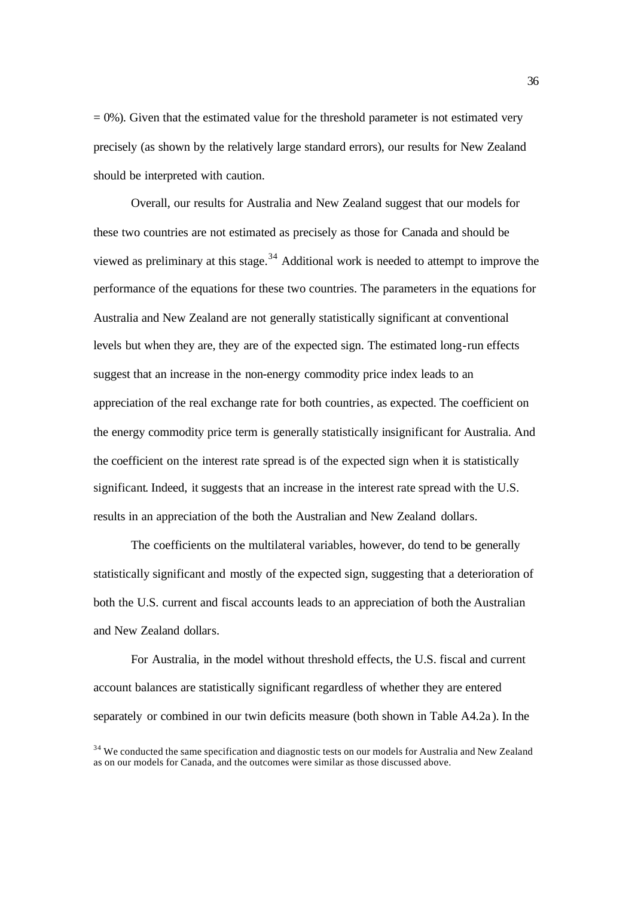$= 0$ %). Given that the estimated value for the threshold parameter is not estimated very precisely (as shown by the relatively large standard errors), our results for New Zealand should be interpreted with caution.

Overall, our results for Australia and New Zealand suggest that our models for these two countries are not estimated as precisely as those for Canada and should be viewed as preliminary at this stage.<sup>34</sup> Additional work is needed to attempt to improve the performance of the equations for these two countries. The parameters in the equations for Australia and New Zealand are not generally statistically significant at conventional levels but when they are, they are of the expected sign. The estimated long-run effects suggest that an increase in the non-energy commodity price index leads to an appreciation of the real exchange rate for both countries, as expected. The coefficient on the energy commodity price term is generally statistically insignificant for Australia. And the coefficient on the interest rate spread is of the expected sign when it is statistically significant. Indeed, it suggests that an increase in the interest rate spread with the U.S. results in an appreciation of the both the Australian and New Zealand dollars.

The coefficients on the multilateral variables, however, do tend to be generally statistically significant and mostly of the expected sign, suggesting that a deterioration of both the U.S. current and fiscal accounts leads to an appreciation of both the Australian and New Zealand dollars.

For Australia, in the model without threshold effects, the U.S. fiscal and current account balances are statistically significant regardless of whether they are entered separately or combined in our twin deficits measure (both shown in Table A4.2a ). In the

<sup>&</sup>lt;sup>34</sup> We conducted the same specification and diagnostic tests on our models for Australia and New Zealand as on our models for Canada, and the outcomes were similar as those discussed above.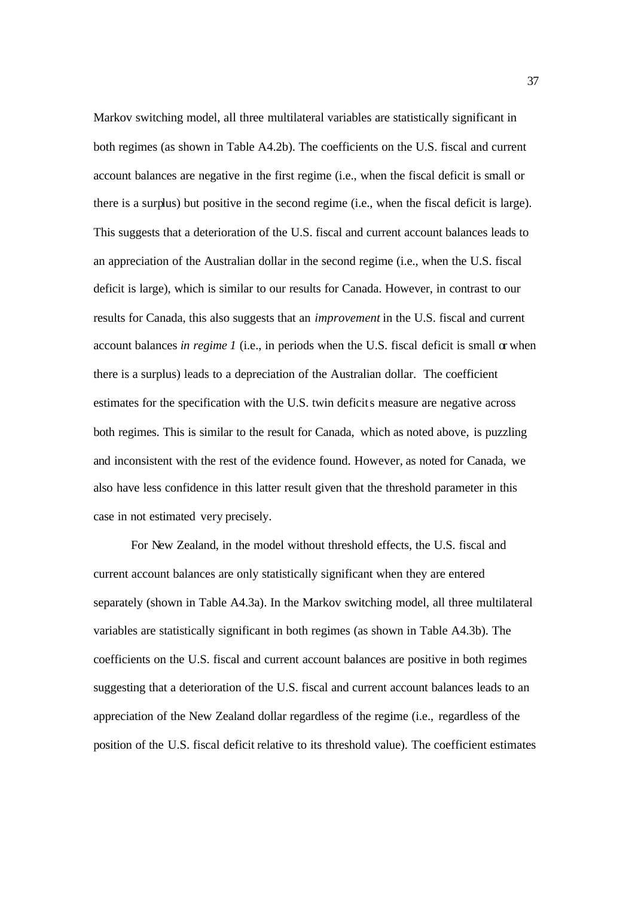Markov switching model, all three multilateral variables are statistically significant in both regimes (as shown in Table A4.2b). The coefficients on the U.S. fiscal and current account balances are negative in the first regime (i.e., when the fiscal deficit is small or there is a surplus) but positive in the second regime (i.e., when the fiscal deficit is large). This suggests that a deterioration of the U.S. fiscal and current account balances leads to an appreciation of the Australian dollar in the second regime (i.e., when the U.S. fiscal deficit is large), which is similar to our results for Canada. However, in contrast to our results for Canada, this also suggests that an *improvement* in the U.S. fiscal and current account balances *in regime 1* (i.e., in periods when the U.S. fiscal deficit is small or when there is a surplus) leads to a depreciation of the Australian dollar. The coefficient estimates for the specification with the U.S. twin deficits measure are negative across both regimes. This is similar to the result for Canada, which as noted above, is puzzling and inconsistent with the rest of the evidence found. However, as noted for Canada, we also have less confidence in this latter result given that the threshold parameter in this case in not estimated very precisely.

For New Zealand, in the model without threshold effects, the U.S. fiscal and current account balances are only statistically significant when they are entered separately (shown in Table A4.3a). In the Markov switching model, all three multilateral variables are statistically significant in both regimes (as shown in Table A4.3b). The coefficients on the U.S. fiscal and current account balances are positive in both regimes suggesting that a deterioration of the U.S. fiscal and current account balances leads to an appreciation of the New Zealand dollar regardless of the regime (i.e., regardless of the position of the U.S. fiscal deficit relative to its threshold value). The coefficient estimates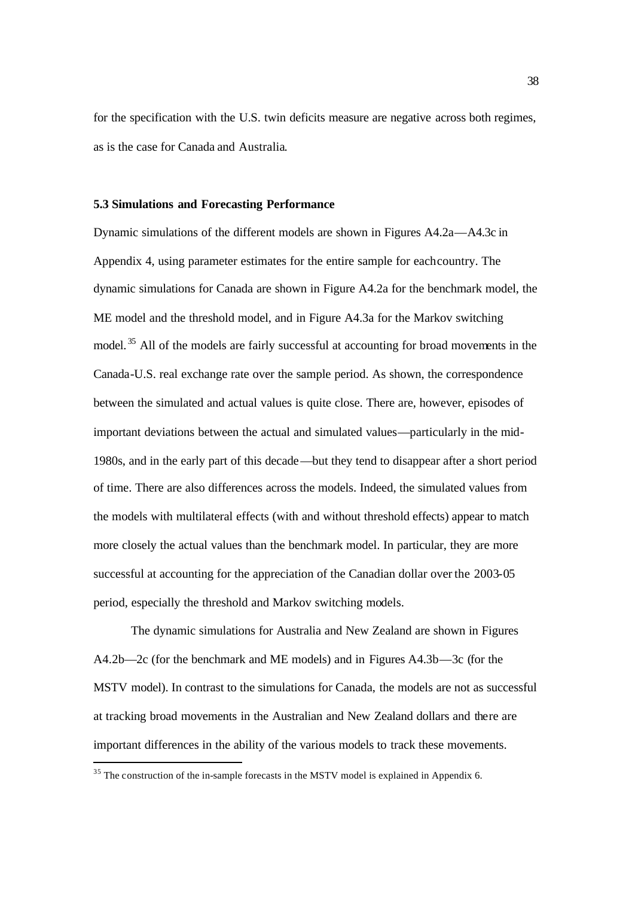for the specification with the U.S. twin deficits measure are negative across both regimes, as is the case for Canada and Australia.

#### **5.3 Simulations and Forecasting Performance**

Dynamic simulations of the different models are shown in Figures A4.2a—A4.3c in Appendix 4, using parameter estimates for the entire sample for each country. The dynamic simulations for Canada are shown in Figure A4.2a for the benchmark model, the ME model and the threshold model, and in Figure A4.3a for the Markov switching model. <sup>35</sup> All of the models are fairly successful at accounting for broad movements in the Canada-U.S. real exchange rate over the sample period. As shown, the correspondence between the simulated and actual values is quite close. There are, however, episodes of important deviations between the actual and simulated values—particularly in the mid-1980s, and in the early part of this decade—but they tend to disappear after a short period of time. There are also differences across the models. Indeed, the simulated values from the models with multilateral effects (with and without threshold effects) appear to match more closely the actual values than the benchmark model. In particular, they are more successful at accounting for the appreciation of the Canadian dollar over the 2003-05 period, especially the threshold and Markov switching models.

The dynamic simulations for Australia and New Zealand are shown in Figures A4.2b—2c (for the benchmark and ME models) and in Figures A4.3b—3c (for the MSTV model). In contrast to the simulations for Canada, the models are not as successful at tracking broad movements in the Australian and New Zealand dollars and there are important differences in the ability of the various models to track these movements.

l

<sup>&</sup>lt;sup>35</sup> The construction of the in-sample forecasts in the MSTV model is explained in Appendix 6.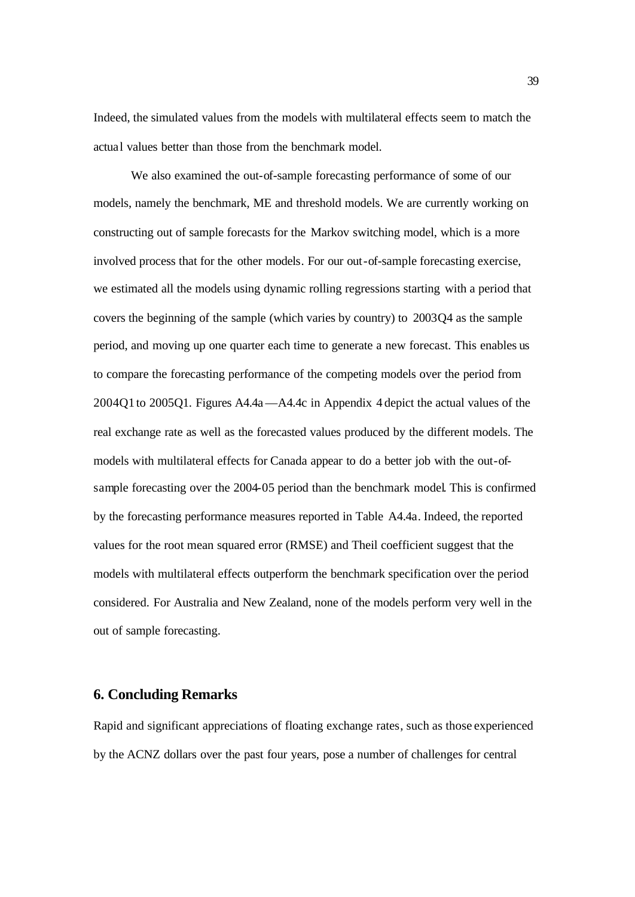Indeed, the simulated values from the models with multilateral effects seem to match the actual values better than those from the benchmark model.

We also examined the out-of-sample forecasting performance of some of our models, namely the benchmark, ME and threshold models. We are currently working on constructing out of sample forecasts for the Markov switching model, which is a more involved process that for the other models. For our out-of-sample forecasting exercise, we estimated all the models using dynamic rolling regressions starting with a period that covers the beginning of the sample (which varies by country) to 2003Q4 as the sample period, and moving up one quarter each time to generate a new forecast. This enables us to compare the forecasting performance of the competing models over the period from 2004Q1 to 2005Q1. Figures A4.4a—A4.4c in Appendix 4 depict the actual values of the real exchange rate as well as the forecasted values produced by the different models. The models with multilateral effects for Canada appear to do a better job with the out-ofsample forecasting over the 2004-05 period than the benchmark model. This is confirmed by the forecasting performance measures reported in Table A4.4a. Indeed, the reported values for the root mean squared error (RMSE) and Theil coefficient suggest that the models with multilateral effects outperform the benchmark specification over the period considered. For Australia and New Zealand, none of the models perform very well in the out of sample forecasting.

### **6. Concluding Remarks**

Rapid and significant appreciations of floating exchange rates, such as those experienced by the ACNZ dollars over the past four years, pose a number of challenges for central

39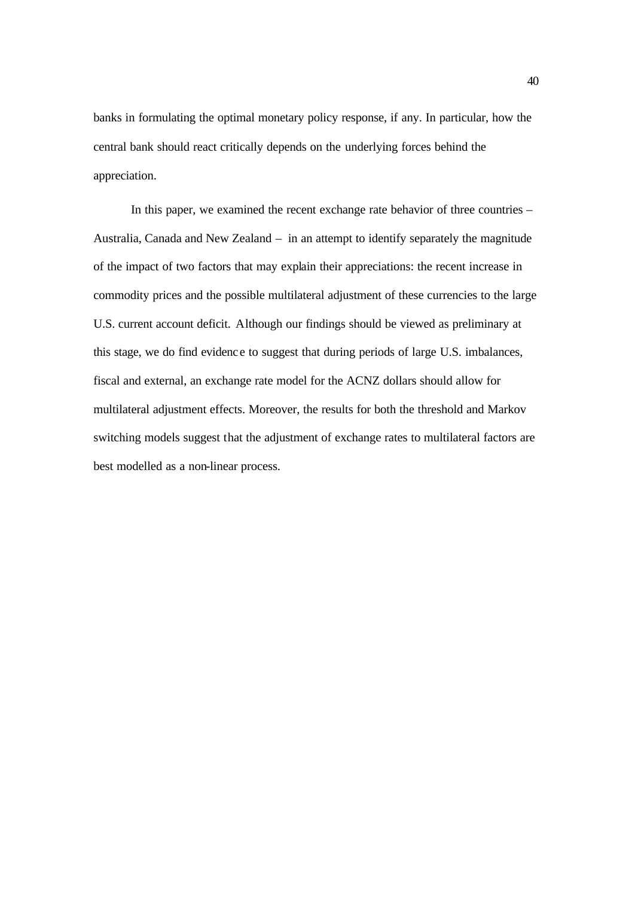banks in formulating the optimal monetary policy response, if any. In particular, how the central bank should react critically depends on the underlying forces behind the appreciation.

In this paper, we examined the recent exchange rate behavior of three countries – Australia, Canada and New Zealand – in an attempt to identify separately the magnitude of the impact of two factors that may explain their appreciations: the recent increase in commodity prices and the possible multilateral adjustment of these currencies to the large U.S. current account deficit. Although our findings should be viewed as preliminary at this stage, we do find evidenc e to suggest that during periods of large U.S. imbalances, fiscal and external, an exchange rate model for the ACNZ dollars should allow for multilateral adjustment effects. Moreover, the results for both the threshold and Markov switching models suggest that the adjustment of exchange rates to multilateral factors are best modelled as a non-linear process.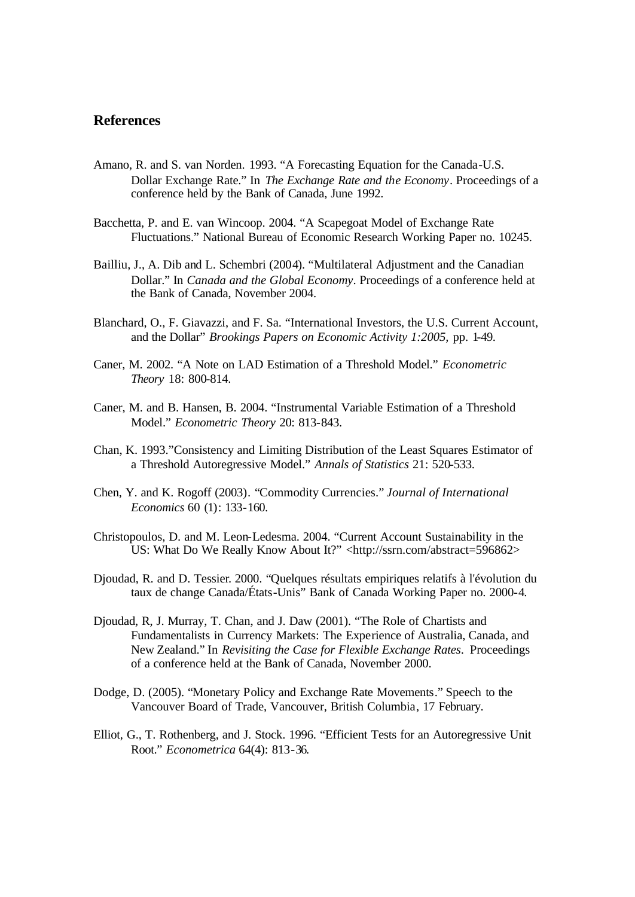## **References**

- Amano, R. and S. van Norden. 1993. "A Forecasting Equation for the Canada-U.S. Dollar Exchange Rate." In *The Exchange Rate and the Economy*. Proceedings of a conference held by the Bank of Canada, June 1992.
- Bacchetta, P. and E. van Wincoop. 2004. "A Scapegoat Model of Exchange Rate Fluctuations." National Bureau of Economic Research Working Paper no. 10245.
- Bailliu, J., A. Dib and L. Schembri (2004). "Multilateral Adjustment and the Canadian Dollar." In *Canada and the Global Economy*. Proceedings of a conference held at the Bank of Canada, November 2004.
- Blanchard, O., F. Giavazzi, and F. Sa. "International Investors, the U.S. Current Account, and the Dollar" *Brookings Papers on Economic Activity 1:2005,* pp. 1-49.
- Caner, M. 2002. "A Note on LAD Estimation of a Threshold Model." *Econometric Theory* 18: 800-814.
- Caner, M. and B. Hansen, B. 2004. "Instrumental Variable Estimation of a Threshold Model." *Econometric Theory* 20: 813-843.
- Chan, K. 1993."Consistency and Limiting Distribution of the Least Squares Estimator of a Threshold Autoregressive Model." *Annals of Statistics* 21: 520-533.
- Chen, Y. and K. Rogoff (2003). "Commodity Currencies." *Journal of International Economics* 60 (1): 133-160.
- Christopoulos, D. and M. Leon-Ledesma. 2004. "Current Account Sustainability in the US: What Do We Really Know About It?" <http://ssrn.com/abstract=596862>
- Djoudad, R. and D. Tessier. 2000. "Quelques résultats empiriques relatifs à l'évolution du taux de change Canada/États-Unis" Bank of Canada Working Paper no. 2000-4.
- Djoudad, R, J. Murray, T. Chan, and J. Daw (2001). "The Role of Chartists and Fundamentalists in Currency Markets: The Experience of Australia, Canada, and New Zealand." In *Revisiting the Case for Flexible Exchange Rates*. Proceedings of a conference held at the Bank of Canada, November 2000.
- Dodge, D. (2005). "Monetary Policy and Exchange Rate Movements." Speech to the Vancouver Board of Trade, Vancouver, British Columbia, 17 February.
- Elliot, G., T. Rothenberg, and J. Stock. 1996. "Efficient Tests for an Autoregressive Unit Root." *Econometrica* 64(4): 813-36.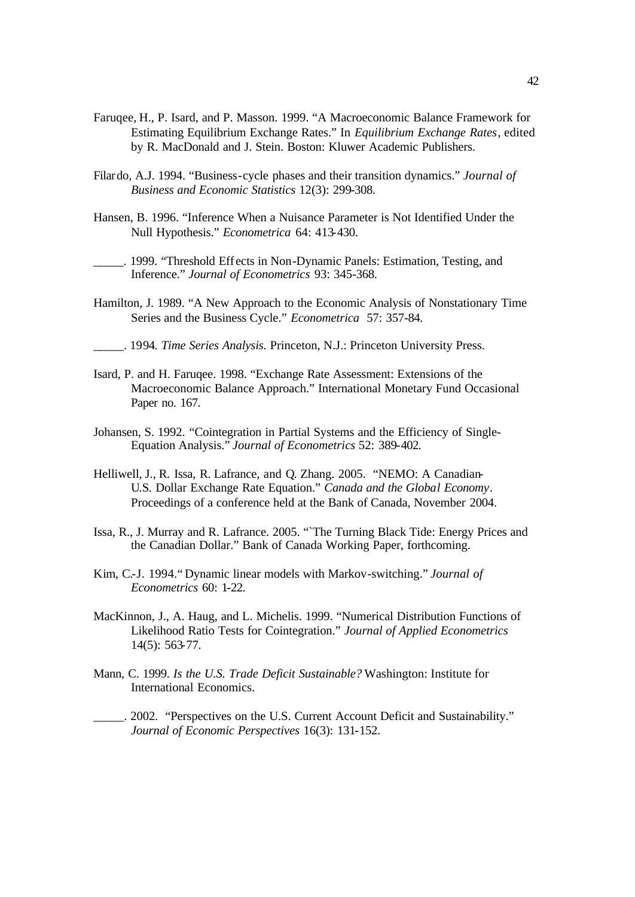- Faruqee, H., P. Isard, and P. Masson. 1999. "A Macroeconomic Balance Framework for Estimating Equilibrium Exchange Rates." In *Equilibrium Exchange Rates*, edited by R. MacDonald and J. Stein. Boston: Kluwer Academic Publishers.
- Filardo, A.J. 1994. "Business-cycle phases and their transition dynamics." *Journal of Business and Economic Statistics* 12(3): 299-308.
- Hansen, B. 1996. "Inference When a Nuisance Parameter is Not Identified Under the Null Hypothesis." *Econometrica* 64: 413-430.

\_\_\_\_\_. 1999. "Threshold Eff ects in Non-Dynamic Panels: Estimation, Testing, and Inference." *Journal of Econometrics* 93: 345-368.

- Hamilton, J. 1989. "A New Approach to the Economic Analysis of Nonstationary Time Series and the Business Cycle." *Econometrica* 57: 357-84.
- \_\_\_\_\_. 1994. *Time Series Analysis.* Princeton, N.J.: Princeton University Press.
- Isard, P. and H. Faruqee. 1998. "Exchange Rate Assessment: Extensions of the Macroeconomic Balance Approach." International Monetary Fund Occasional Paper no. 167.
- Johansen, S. 1992. "Cointegration in Partial Systems and the Efficiency of Single-Equation Analysis." *Journal of Econometrics* 52: 389-402.
- Helliwell, J., R. Issa, R. Lafrance, and Q. Zhang. 2005. "NEMO: A Canadian-U.S. Dollar Exchange Rate Equation." *Canada and the Global Economy*. Proceedings of a conference held at the Bank of Canada, November 2004.
- Issa, R., J. Murray and R. Lafrance. 2005. "The Turning Black Tide: Energy Prices and the Canadian Dollar." Bank of Canada Working Paper, forthcoming.
- Kim, C.-J. 1994." Dynamic linear models with Markov-switching." *Journal of Econometrics* 60: 1-22.
- MacKinnon, J., A. Haug, and L. Michelis. 1999. "Numerical Distribution Functions of Likelihood Ratio Tests for Cointegration." *Journal of Applied Econometrics* 14(5): 563-77.
- Mann, C. 1999. *Is the U.S. Trade Deficit Sustainable?* Washington: Institute for International Economics.
- \_\_\_\_\_. 2002. "Perspectives on the U.S. Current Account Deficit and Sustainability." *Journal of Economic Perspectives* 16(3): 131-152.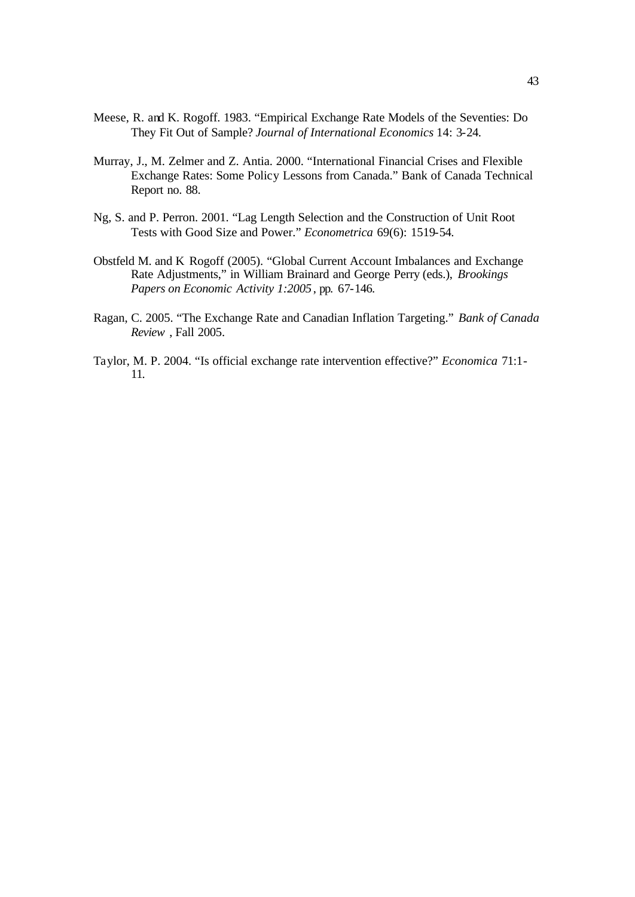- Meese, R. and K. Rogoff. 1983. "Empirical Exchange Rate Models of the Seventies: Do They Fit Out of Sample? *Journal of International Economics* 14: 3-24.
- Murray, J., M. Zelmer and Z. Antia. 2000. "International Financial Crises and Flexible Exchange Rates: Some Policy Lessons from Canada." Bank of Canada Technical Report no. 88.
- Ng, S. and P. Perron. 2001. "Lag Length Selection and the Construction of Unit Root Tests with Good Size and Power." *Econometrica* 69(6): 1519-54.
- Obstfeld M. and K Rogoff (2005). "Global Current Account Imbalances and Exchange Rate Adjustments," in William Brainard and George Perry (eds.), *Brookings Papers on Economic Activity 1:2005*, pp. 67-146.
- Ragan, C. 2005. "The Exchange Rate and Canadian Inflation Targeting." *Bank of Canada Review* , Fall 2005.
- Taylor, M. P. 2004. "Is official exchange rate intervention effective?" *Economica* 71:1- 11.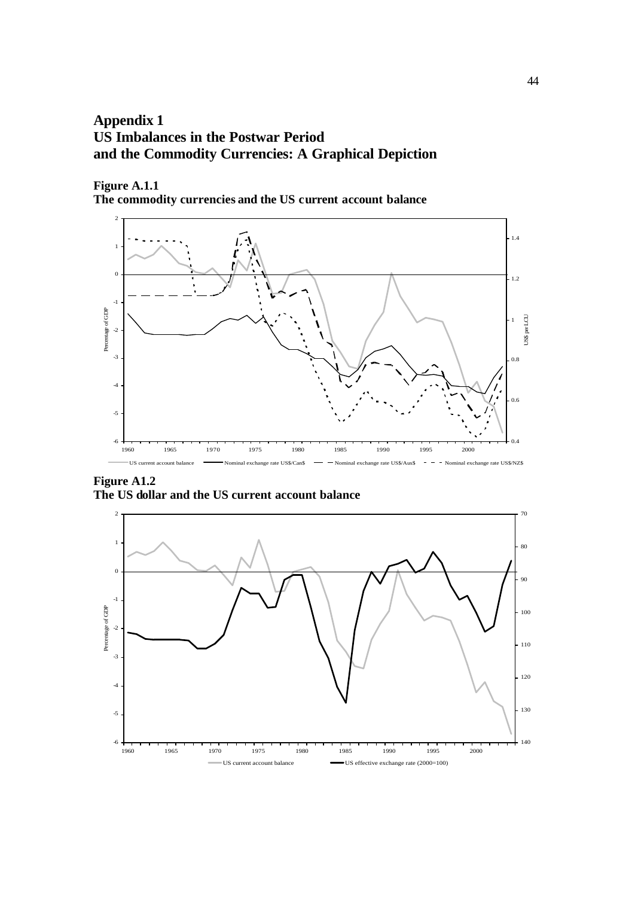# **Appendix 1 US Imbalances in the Postwar Period and the Commodity Currencies: A Graphical Depiction**

**Figure A.1.1**

**The commodity currencies and the US current account balance**



**Figure A1.2 The US dollar and the US current account balance**

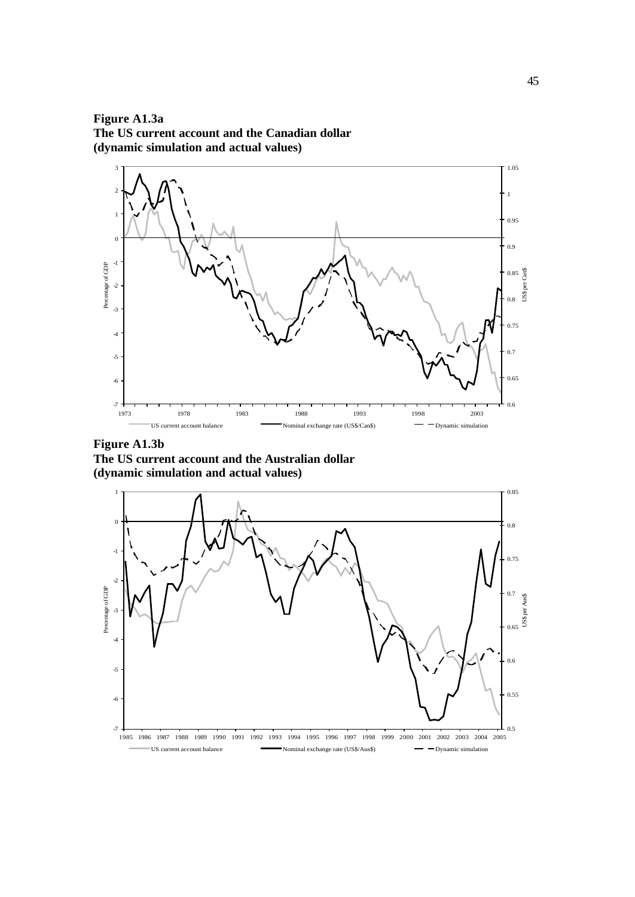**Figure A1.3a The US current account and the Canadian dollar (dynamic simulation and actual values)**



**Figure A1.3b The US current account and the Australian dollar (dynamic simulation and actual values)**

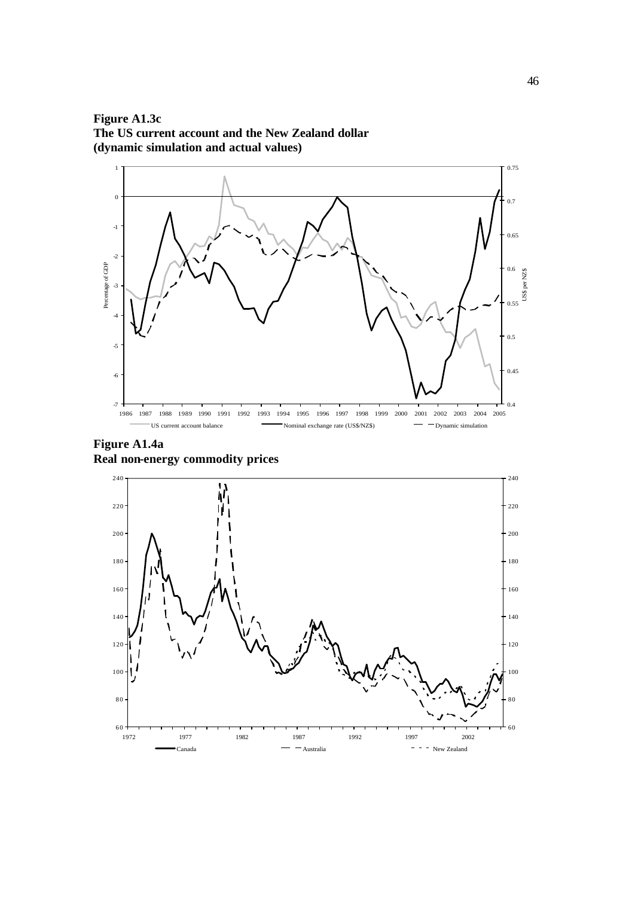**Figure A1.3c The US current account and the New Zealand dollar (dynamic simulation and actual values)**



**Figure A1.4a Real non-energy commodity prices**

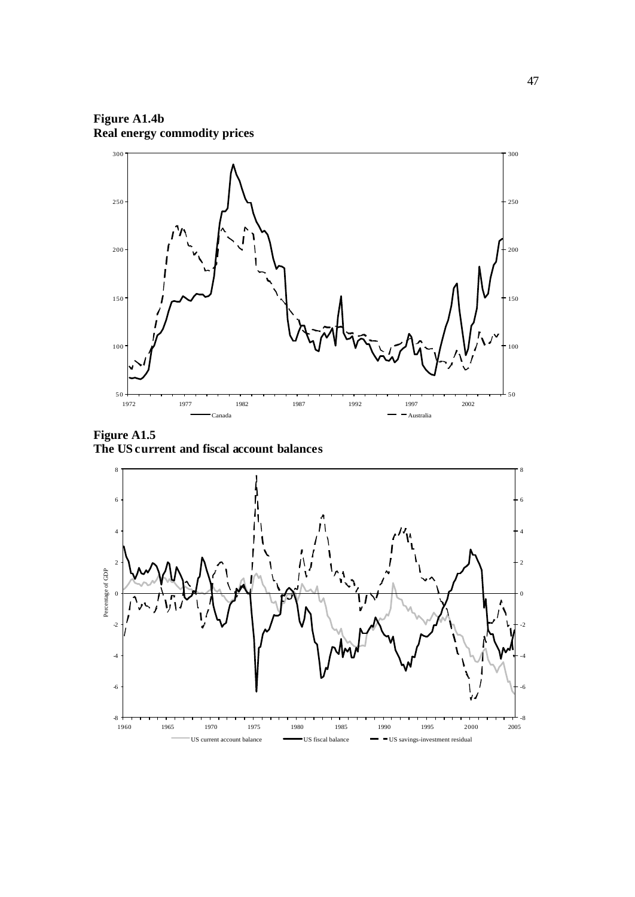**Figure A1.4b Real energy commodity prices**



**Figure A1.5 The US current and fiscal account balances**

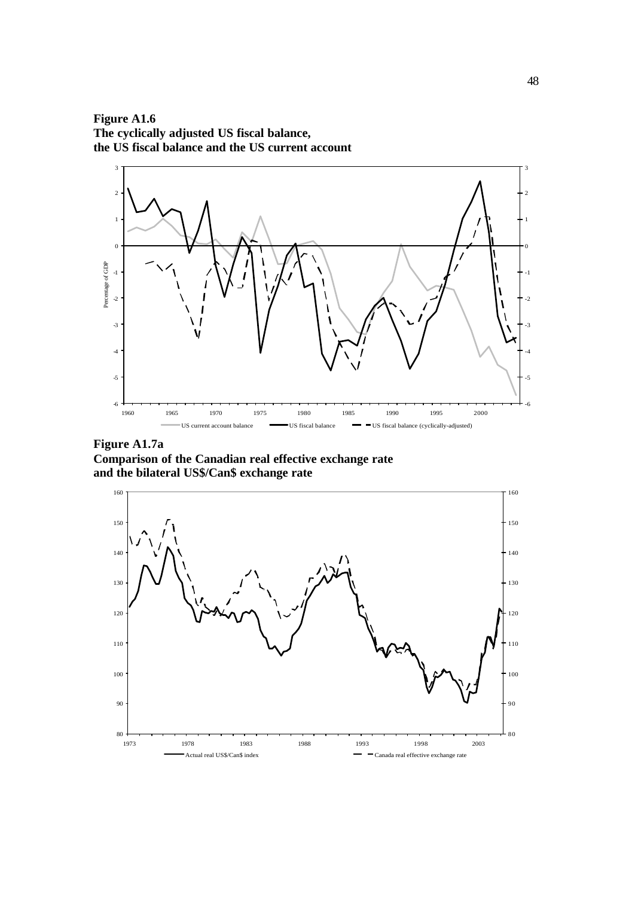**Figure A1.6 The cyclically adjusted US fiscal balance, the US fiscal balance and the US current account**



**Figure A1.7a Comparison of the Canadian real effective exchange rate and the bilateral US\$/Can\$ exchange rate**

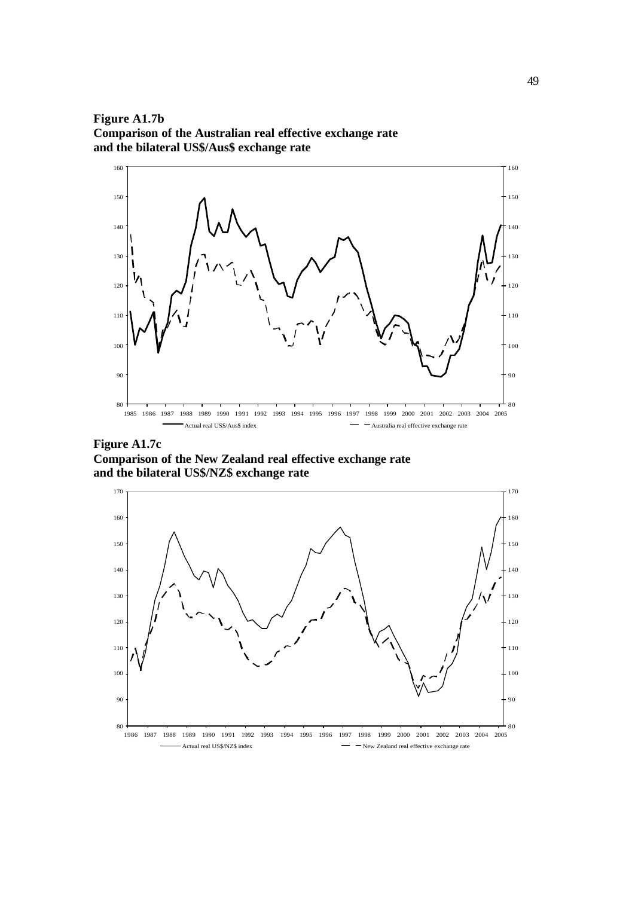**Figure A1.7b Comparison of the Australian real effective exchange rate and the bilateral US\$/Aus\$ exchange rate**



**Figure A1.7c Comparison of the New Zealand real effective exchange rate and the bilateral US\$/NZ\$ exchange rate**

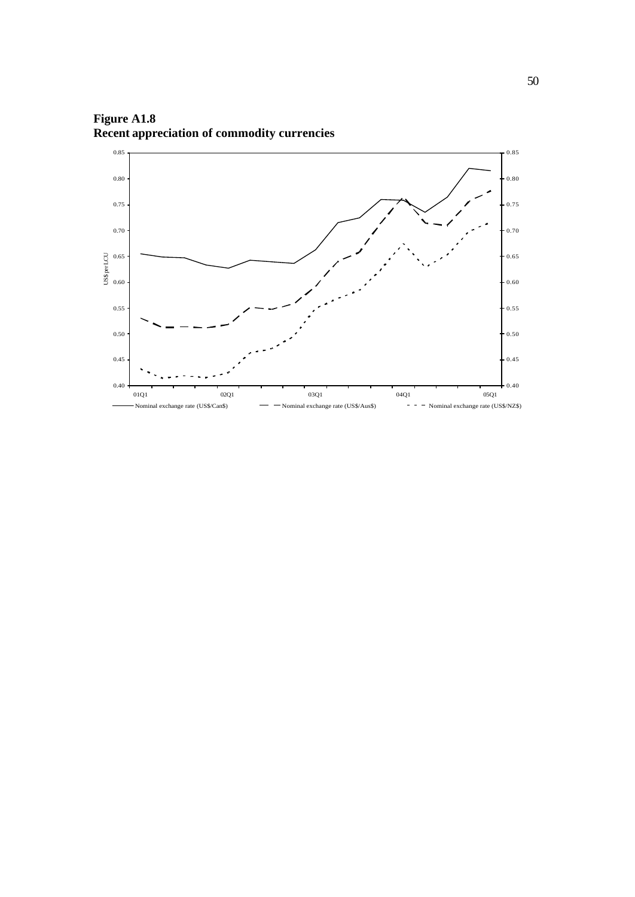

**Figure A1.8 Recent appreciation of commodity currencies**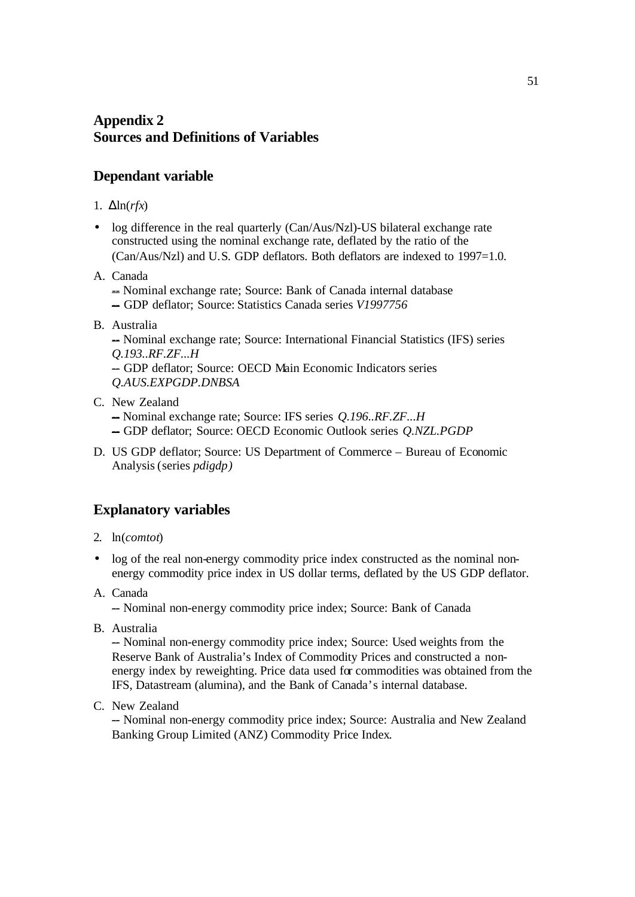# **Appendix 2 Sources and Definitions of Variables**

# **Dependant variable**

- 1. Δln(*rfx*)
- log difference in the real quarterly (Can/Aus/Nzl)-US bilateral exchange rate constructed using the nominal exchange rate, deflated by the ratio of the (Can/Aus/Nzl) and U.S. GDP deflators. Both deflators are indexed to 1997=1.0.
- A. Canada
	- -- Nominal exchange rate; Source: Bank of Canada internal database -- GDP deflator; Source: Statistics Canada series *V1997756*
- B. Australia

-- Nominal exchange rate; Source: International Financial Statistics (IFS) series *Q.193..RF.ZF...H* - GDP deflator: Source: OECD Main Economic Indicators series

- *Q.AUS.EXPGDP.DNBSA*
- C. New Zealand

-- Nominal exchange rate; Source: IFS series *Q.196..RF.ZF...H*

- -- GDP deflator; Source: OECD Economic Outlook series *Q.NZL.PGDP*
- D. US GDP deflator; Source: US Department of Commerce Bureau of Economic Analysis (series *pdigdp)*

# **Explanatory variables**

- 2. ln(*comtot*)
- log of the real non-energy commodity price index constructed as the nominal nonenergy commodity price index in US dollar terms, deflated by the US GDP deflator.
- A. Canada

- Nominal non-energy commodity price index; Source: Bank of Canada

B. Australia

-- Nominal non-energy commodity price index; Source: Used weights from the Reserve Bank of Australia's Index of Commodity Prices and constructed a nonenergy index by reweighting. Price data used for commodities was obtained from the IFS, Datastream (alumina), and the Bank of Canada's internal database.

C. New Zealand

-- Nominal non-energy commodity price index; Source: Australia and New Zealand Banking Group Limited (ANZ) Commodity Price Index.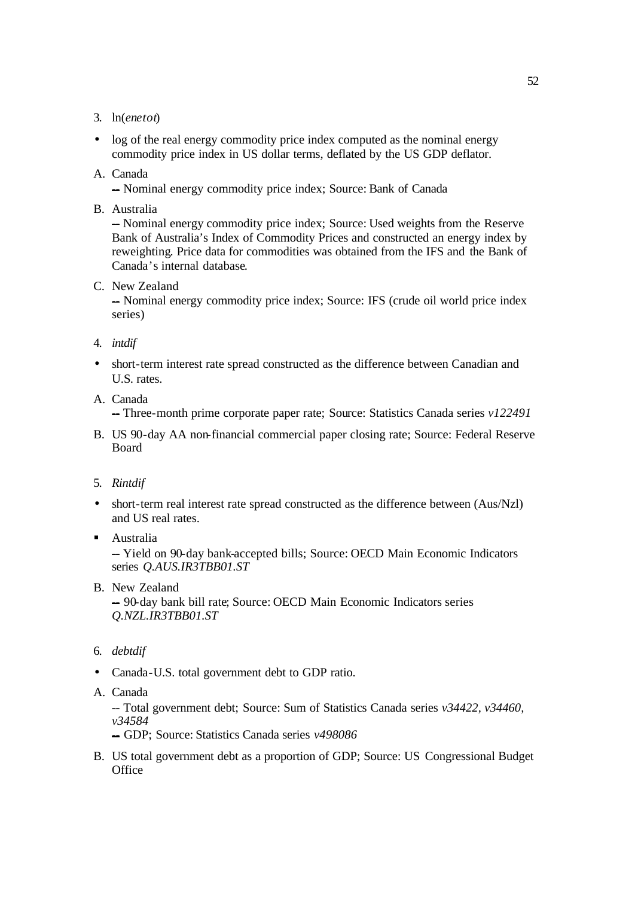- 3. ln(*enetot*)
- log of the real energy commodity price index computed as the nominal energy commodity price index in US dollar terms, deflated by the US GDP deflator.
- A. Canada

- Nominal energy commodity price index; Source: Bank of Canada

B. Australia

-- Nominal energy commodity price index; Source: Used weights from the Reserve Bank of Australia's Index of Commodity Prices and constructed an energy index by reweighting. Price data for commodities was obtained from the IFS and the Bank of Canada's internal database.

C. New Zealand

-- Nominal energy commodity price index; Source: IFS (crude oil world price index series)

- 4. *intdif*
- short-term interest rate spread constructed as the difference between Canadian and U.S. rates.
- A. Canada

-Three-month prime corporate paper rate; Source: Statistics Canada series *v122491* 

- B. US 90-day AA non-financial commercial paper closing rate; Source: Federal Reserve Board
- 5. *Rintdif*
- short-term real interest rate spread constructed as the difference between (Aus/Nzl) and US real rates.
- Australia

-Yield on 90-day bank-accepted bills; Source: OECD Main Economic Indicators series *Q.AUS.IR3TBB01.ST* 

B. New Zealand

-- 90-day bank bill rate; Source: OECD Main Economic Indicators series *Q.NZL.IR3TBB01.ST*

- 6. *debtdif*
- Canada-U.S. total government debt to GDP ratio.
- A. Canada

-- Total government debt; Source: Sum of Statistics Canada series *v34422, v34460, v34584*

- -- GDP; Source: Statistics Canada series *v498086*
- B. US total government debt as a proportion of GDP; Source: US Congressional Budget **Office**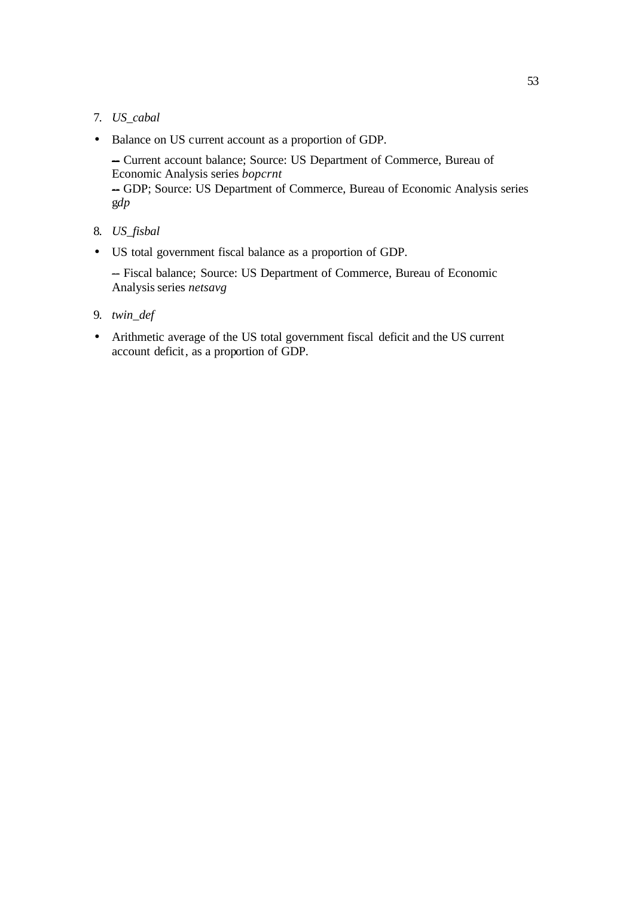## 7. *US\_cabal*

• Balance on US current account as a proportion of GDP.

-- Current account balance; Source: US Department of Commerce, Bureau of Economic Analysis series *bopcrnt* -GDP; Source: US Department of Commerce, Bureau of Economic Analysis series g*dp*

- 8. *US\_fisbal*
- US total government fiscal balance as a proportion of GDP.

-- Fiscal balance; Source: US Department of Commerce, Bureau of Economic Analysis series *netsavg*

- 9. *twin\_def*
- Arithmetic average of the US total government fiscal deficit and the US current account deficit, as a proportion of GDP.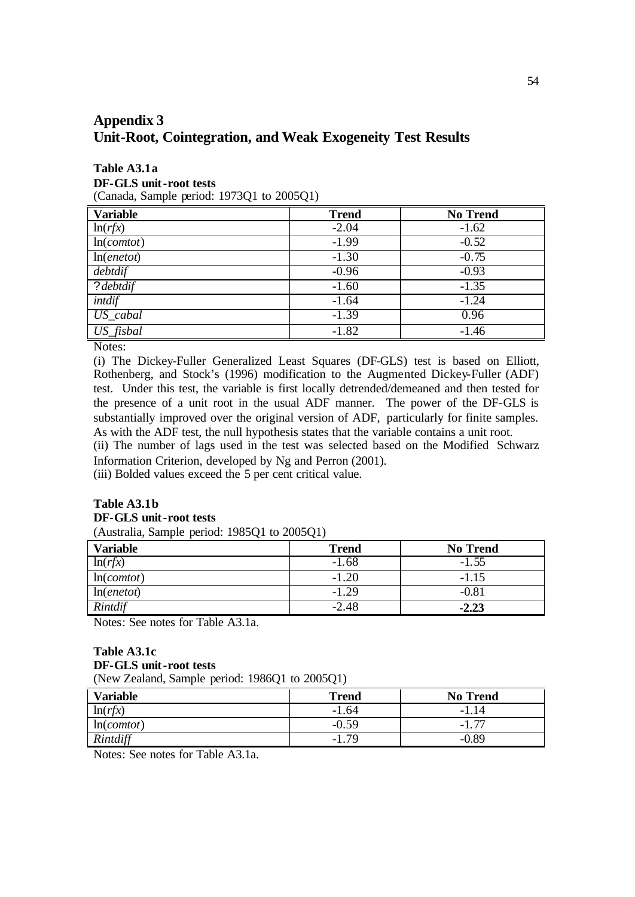# **Appendix 3 Unit-Root, Cointegration, and Weak Exogeneity Test Results**

# **Table A3.1a**

**DF-GLS unit-root tests**

(Canada, Sample period: 1973Q1 to 2005Q1)

| <b>Variable</b>       | <b>Trend</b> | <b>No Trend</b> |
|-----------------------|--------------|-----------------|
| ln(rfx)               | $-2.04$      | $-1.62$         |
| ln(comtot)            | $-1.99$      | $-0.52$         |
| ln( <i>enetot</i> )   | $-1.30$      | $-0.75$         |
| debtdif               | $-0.96$      | $-0.93$         |
| ? debtdif             | $-1.60$      | $-1.35$         |
| intdif                | $-1.64$      | $-1.24$         |
| $US$ <sub>cabal</sub> | $-1.39$      | 0.96            |
| US_fisbal             | $-1.82$      | $-1.46$         |

Notes:

(i) The Dickey-Fuller Generalized Least Squares (DF-GLS) test is based on Elliott, Rothenberg, and Stock's (1996) modification to the Augmented Dickey-Fuller (ADF) test. Under this test, the variable is first locally detrended/demeaned and then tested for the presence of a unit root in the usual ADF manner. The power of the DF-GLS is substantially improved over the original version of ADF, particularly for finite samples. As with the ADF test, the null hypothesis states that the variable contains a unit root.

(ii) The number of lags used in the test was selected based on the Modified Schwarz Information Criterion, developed by Ng and Perron (2001).

(iii) Bolded values exceed the 5 per cent critical value.

#### **Table A3.1b DF-GLS unit-root tests** (Australia, Sample period: 1985Q1 to 2005Q1)

| <b>Variable</b> | <b>Trend</b> | <b>No Trend</b> |
|-----------------|--------------|-----------------|
| ln(rfx)         | $-1.68$      |                 |
| ln(comtot)      | $-1.20$      | $-1.15$         |
| ln(enetot)      | $-1.29$      | $-0.81$         |
| Rintdif         | $-2.48$      | $-2.23$         |

Notes: See notes for Table A3.1a.

### **Table A3.1c DF-GLS unit-root tests** (New Zealand, Sample period: 1986Q1 to 2005Q1)

| <b>Variable</b> | <b>Trend</b> | <b>No Trend</b>                 |
|-----------------|--------------|---------------------------------|
| ln(rfx)         | $-1.64$      | 14                              |
| ln(comtot)      | $-0.59$      | $\overline{\phantom{m}}$<br>-1. |
| Rintdiff        | 79<br>- 1    | -89                             |

Notes: See notes for Table A3.1a.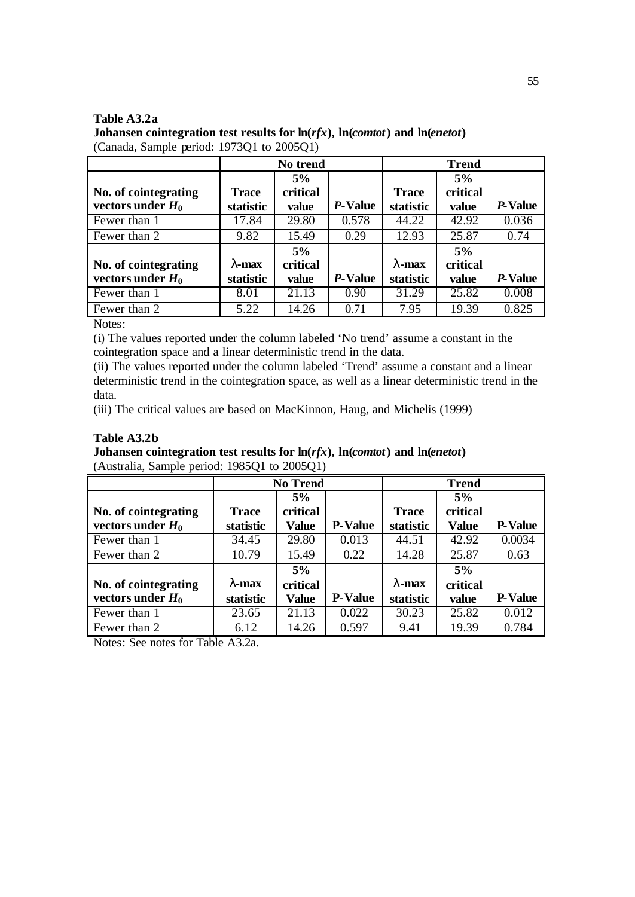| Table A3.2a                               |                                                                                                          |
|-------------------------------------------|----------------------------------------------------------------------------------------------------------|
|                                           | Johansen cointegration test results for $\ln(rfx)$ , $\ln$ ( <i>comtot</i> ) and $\ln$ ( <i>enetot</i> ) |
| (Canada, Sample period: 1973Q1 to 2005Q1) |                                                                                                          |

|                   | No trend |         | <b>Trend</b>      |          |         |  |
|-------------------|----------|---------|-------------------|----------|---------|--|
|                   | 5%       |         |                   | 5%       |         |  |
| <b>Trace</b>      | critical |         | <b>Trace</b>      | critical |         |  |
| statistic         | value    | P-Value | statistic         | value    | P-Value |  |
| 17.84             | 29.80    | 0.578   | 44.22             | 42.92    | 0.036   |  |
| 9.82              | 15.49    | 0.29    | 12.93             | 25.87    | 0.74    |  |
|                   | 5%       |         |                   | 5%       |         |  |
| $\mathbf{l}$ -max | critical |         | $\mathbf{l}$ -max | critical |         |  |
| statistic         | value    | P-Value | statistic         | value    | P-Value |  |
| 8.01              | 21.13    | 0.90    | 31.29             | 25.82    | 0.008   |  |
| 5.22              | 14.26    | 0.71    | 7.95              | 19.39    | 0.825   |  |
|                   |          |         |                   |          |         |  |

Notes:

(i) The values reported under the column labeled 'No trend' assume a constant in the cointegration space and a linear deterministic trend in the data.

(ii) The values reported under the column labeled 'Trend' assume a constant and a linear deterministic trend in the cointegration space, as well as a linear deterministic trend in the data.

(iii) The critical values are based on MacKinnon, Haug, and Michelis (1999)

## **Table A3.2b**

**Johansen cointegration test results for ln(***rfx***), ln(***comtot***) and ln(***enetot***)** (Australia, Sample period: 1985Q1 to 2005Q1)

|                      | <b>No Trend</b><br><b>Trend</b> |              |                |                   |              |                |
|----------------------|---------------------------------|--------------|----------------|-------------------|--------------|----------------|
|                      |                                 | 5%           |                |                   | 5%           |                |
| No. of cointegrating | Trace                           | critical     |                | <b>Trace</b>      | critical     |                |
| vectors under $H_0$  | statistic                       | Value        | <b>P-Value</b> | statistic         | <b>Value</b> | <b>P-Value</b> |
| Fewer than 1         | 34.45                           | 29.80        | 0.013          | 44.51             | 42.92        | 0.0034         |
| Fewer than 2         | 10.79                           | 15.49        | 0.22           | 14.28             | 25.87        | 0.63           |
|                      |                                 | 5%           |                |                   | 5%           |                |
| No. of cointegrating | $\mathbf{l}$ -max               | critical     |                | $\mathbf{l}$ -max | critical     |                |
| vectors under $H_0$  | statistic                       | <b>Value</b> | <b>P-Value</b> | statistic         | value        | <b>P-Value</b> |
| Fewer than 1         | 23.65                           | 21.13        | 0.022          | 30.23             | 25.82        | 0.012          |
| Fewer than 2         | 6.12                            | 14.26        | 0.597          | 9.41              | 19.39        | 0.784          |

Notes: See notes for Table A3.2a.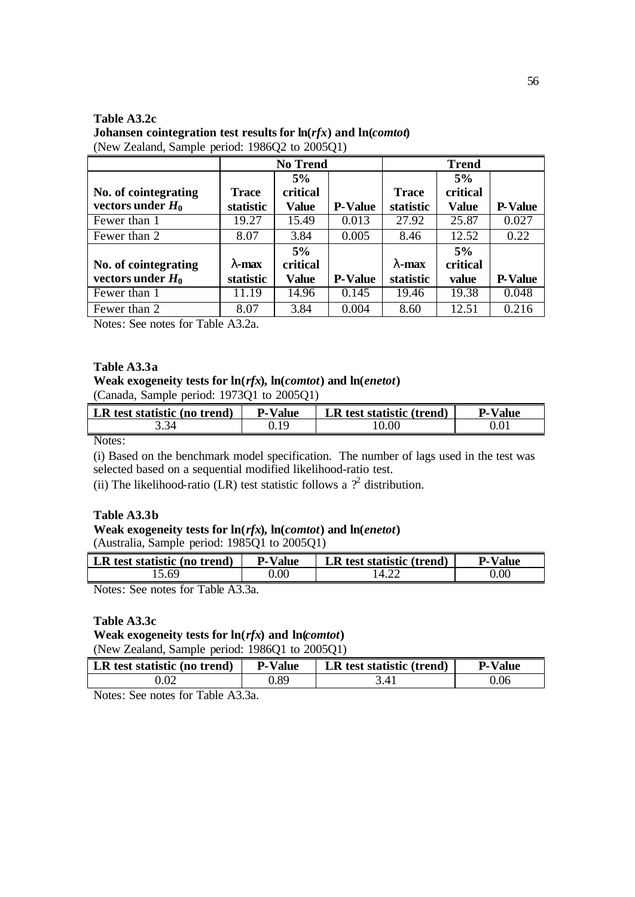### **Table A3.2c Johansen cointegration test results for ln(***rfx***) and ln(***comtot***)**  (New Zealand, Sample period: 1986Q2 to 2005Q1)

|                                                         |                               | <b>No Trend</b>                |                | <b>Trend</b>                   |                                |                |  |
|---------------------------------------------------------|-------------------------------|--------------------------------|----------------|--------------------------------|--------------------------------|----------------|--|
| No. of cointegrating<br>vectors under $H_0$             | <b>Trace</b><br>statistic     | 5%<br>critical<br>Value        | <b>P-Value</b> | <b>Trace</b><br>statistic      | 5%<br>critical<br><b>Value</b> | <b>P-Value</b> |  |
| Fewer than 1                                            | 19.27                         | 15.49                          | 0.013          | 27.92                          | 25.87                          | 0.027          |  |
| Fewer than 2                                            | 8.07                          | 3.84                           | 0.005          | 8.46                           | 12.52                          | 0.22           |  |
| No. of cointegrating<br>vectors under $H_0$             | 1-max<br>statistic            | 5%<br>critical<br><b>Value</b> | <b>P-Value</b> | $\mathbf{l}$ -max<br>statistic | 5%<br>critical<br>value        | <b>P-Value</b> |  |
| Fewer than 1                                            | 11.19                         | 14.96                          | 0.145          | 19.46                          | 19.38                          | 0.048          |  |
| Fewer than 2<br>$\mathbf{r}$ a $\mathbf{r}$<br>$T = 11$ | 8.07<br>$\lambda \cap \Delta$ | 3.84                           | 0.004          | 8.60                           | 12.51                          | 0.216          |  |

Notes: See notes for Table A3.2a.

### **Table A3.3a**

#### **Weak exogeneity tests for ln(***rfx***), ln(***comtot***) and ln(***enetot***)** (Canada, Sample period: 1973Q1 to 2005Q1)

| LR test statistic (no trend) | <b>P-Value</b> | LR test statistic (trend) | <b>P-Value</b> |
|------------------------------|----------------|---------------------------|----------------|
| 3.34                         | 0.19           | 10.00                     | 0.01           |

Notes:

(i) Based on the benchmark model specification. The number of lags used in the test was selected based on a sequential modified likelihood-ratio test.

(ii) The likelihood-ratio (LR) test statistic follows a  $\mathcal{P}^2$  distribution.

### **Table A3.3b**

# **Weak exogeneity tests for ln(***rfx***), ln(***comtot***) and ln(***enetot***)**

(Australia, Sample period: 1985Q1 to 2005Q1)

| LR test statistic (no trend) | <b>P-Value</b> | LR test statistic (trend) | <b>P-Value</b> |
|------------------------------|----------------|---------------------------|----------------|
| 0.60                         | 0.00           | .4.22                     | 0.00           |
|                              |                |                           |                |

Notes: See notes for Table A3.3a.

### **Table A3.3c**

**Weak exogeneity tests for ln(***rfx***) and ln(***comtot***)**

(New Zealand, Sample period: 1986Q1 to 2005Q1)

| LR test statistic (no trend) | <b>P-Value</b> | LR test statistic (trend) | <b>P-Value</b> |
|------------------------------|----------------|---------------------------|----------------|
| 0.02                         | ).89           |                           | 0.06           |

Notes: See notes for Table A3.3a.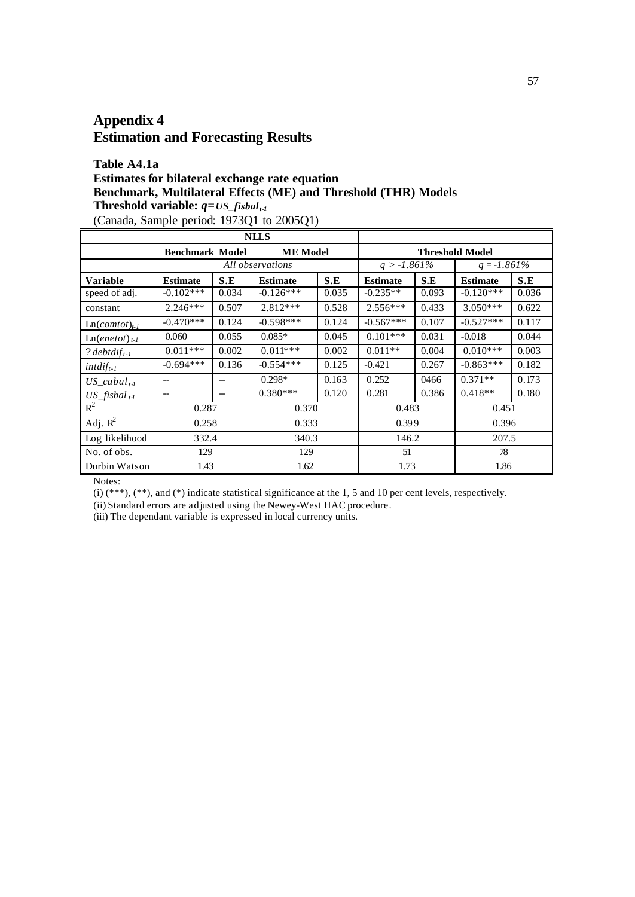# **Appendix 4 Estimation and Forecasting Results**

# **Table A4.1a Estimates for bilateral exchange rate equation Benchmark, Multilateral Effects (ME) and Threshold (THR) Models Threshold variable:**  $q = US\_fisbal_{t-1}$

(Canada, Sample period: 1973Q1 to 2005Q1)

|                                 |                        |       | <b>NLLS</b>      |                                           |                 |       |                 |       |
|---------------------------------|------------------------|-------|------------------|-------------------------------------------|-----------------|-------|-----------------|-------|
|                                 | <b>Benchmark Model</b> |       |                  | <b>ME</b> Model<br><b>Threshold Model</b> |                 |       |                 |       |
|                                 |                        |       | All observations |                                           | $q > -1.861\%$  |       | $q = -1.861\%$  |       |
| <b>Variable</b>                 | <b>Estimate</b>        | S.E   | <b>Estimate</b>  | S.E                                       | <b>Estimate</b> | S.E   | <b>Estimate</b> | S.E   |
| speed of adj.                   | $-0.102***$            | 0.034 | $-0.126***$      | 0.035                                     | $-0.235**$      | 0.093 | $-0.120***$     | 0.036 |
| constant                        | $2.246***$             | 0.507 | $2.812***$       | 0.528                                     | $2.556***$      | 0.433 | $3.050***$      | 0.622 |
| $Ln(comtot)_{t-l}$              | $-0.470***$            | 0.124 | $-0.598***$      | 0.124                                     | $-0.567***$     | 0.107 | $-0.527***$     | 0.117 |
| $\text{Ln}(enetot)_{t-1}$       | 0.060                  | 0.055 | $0.085*$         | 0.045                                     | $0.101***$      | 0.031 | $-0.018$        | 0.044 |
| ? debtdif <sub>t-1</sub>        | $0.011***$             | 0.002 | $0.011***$       | 0.002                                     | $0.011**$       | 0.004 | $0.010***$      | 0.003 |
| $intdiff_{t-1}$                 | $-0.694***$            | 0.136 | $-0.554***$      | 0.125                                     | $-0.421$        | 0.267 | $-0.863***$     | 0.182 |
| $US\_cabal_{t4}$                | $-$                    | $-$   | $0.298*$         | 0.163                                     | 0.252           | 0466  | $0.371**$       | 0.173 |
| $US_{\_}f$ isbal <sub>t-1</sub> | $-$                    | $-$   | $0.380***$       | 0.120                                     | 0.281           | 0.386 | $0.418**$       | 0.180 |
| $R^2$                           | 0.287                  |       | 0.370            |                                           | 0.483           |       | 0.451           |       |
| Adj. $R^2$                      | 0.258                  |       | 0.333            |                                           | 0.399           |       | 0.396           |       |
| Log likelihood                  | 332.4                  |       | 340.3            |                                           | 146.2           |       | 207.5           |       |
| No. of obs.                     | 129                    |       | 129              |                                           | 51              |       | 78              |       |
| Durbin Watson                   | 1.43                   |       | 1.62             |                                           | 1.73            |       | 1.86            |       |

Notes:

(i) (\*\*\*), (\*\*), and (\*) indicate statistical significance at the 1, 5 and 10 per cent levels, respectively.

(ii) Standard errors are adjusted using the Newey-West HAC procedure.

(iii) The dependant variable is expressed in local currency units.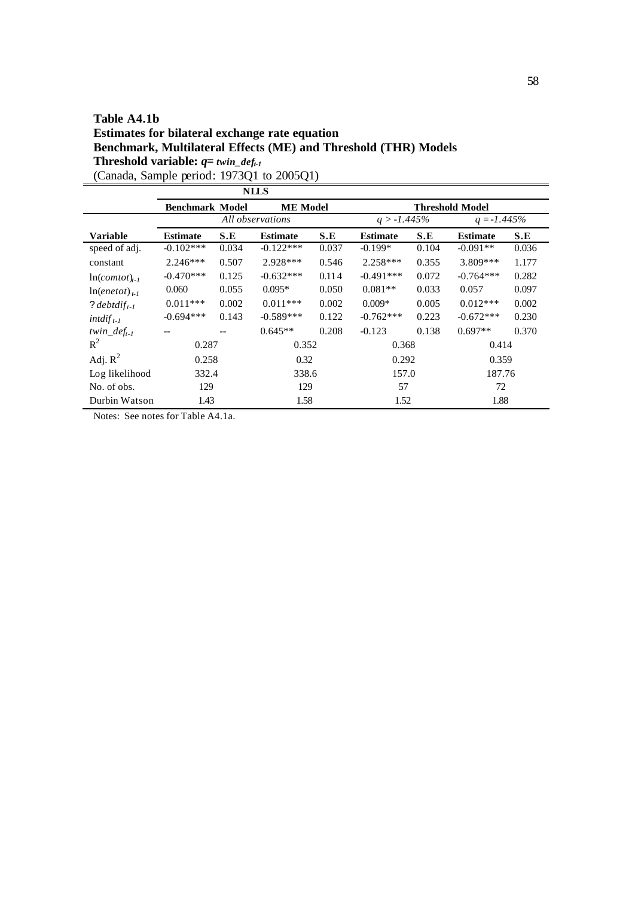## **Table A4.1b Estimates for bilateral exchange rate equation Benchmark, Multilateral Effects (ME) and Threshold (THR) Models Threshold variable:** *q= twin\_deft-1* (Canada, Sample period: 1973Q1 to 2005Q1)

**NLLS Benchmark Model 1988 ME Model 1988 Threshold Model All observations**  $q > -1.445\%$  **Threshold Model**  $All$  *observations* **Variable Estimate S.E Estimate S.E Estimate S.E Estimate S.E** speed of adj.  $-0.102***$   $-0.034$   $-0.122***$   $-0.037$   $-0.199*$   $-0.104$   $-0.091**$   $-0.036$ constant 2.246\*\*\* 0.507 2.928\*\*\* 0.546 2.258\*\*\* 0.355 3.809\*\*\* 1.177  $ln($ *comtot* $)$ <sub>t-1</sub> -0.470\*\*\* 0.125 -0.632\*\*\* 0.114 -0.491\*\*\* 0.072 -0.764\*\*\* 0.282  $ln(enetot)_{t-1}$ 0.060 0.055 0.095\* 0.050 0.081\*\* 0.033 0.057 0.097 ? *debtdif*<sub>t-1</sub> 0.011\*\*\* 0.002 0.011\*\*\* 0.002 0.009\* 0.005 0.012\*\*\* 0.002 *intdif t-1* -0.694\*\*\* 0.143 -0.589\*\*\* 0.122 -0.762\*\*\* 0.223 -0.672\*\*\* 0.230 *twin\_deft-1* -- -- 0.645\*\* 0.208 -0.123 0.138 0.697\*\* 0.370  $R^2$ 0.287 0.352 0.368 0.414 Adj.  $R^2$ 0.258 0.32 0.292 0.359 Log likelihood 332.4 338.6 157.0 187.76 No. of obs. 129 129 57 72 Durbin Watson 1.43 1.58 1.52 1.88

Notes: See notes for Table A4.1a.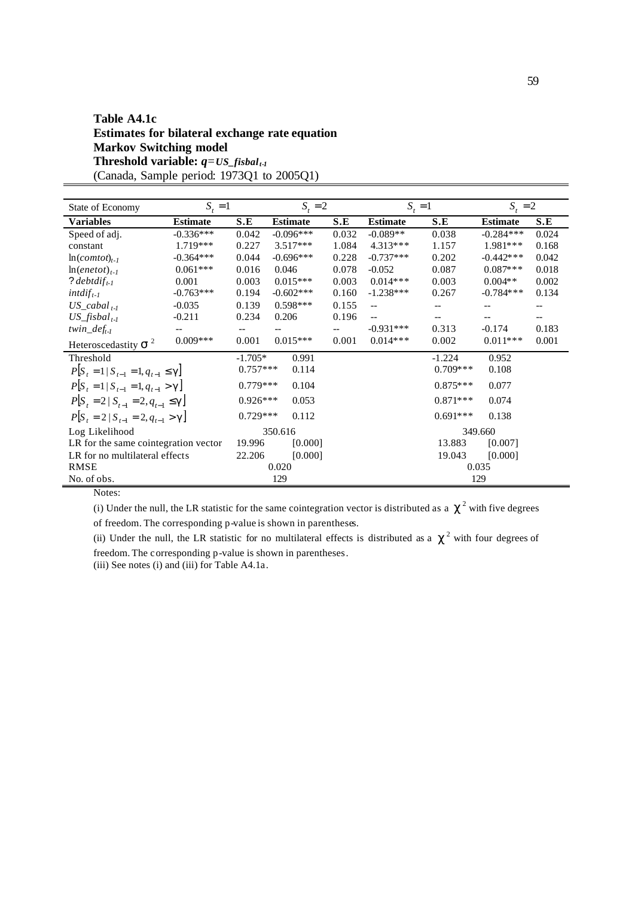# **Table A4.1c Estimates for bilateral exchange rate equation Markov Switching model Threshold variable:** *q=US\_fisbal t-1* (Canada, Sample period: 1973Q1 to 2005Q1)

| State of Economy                           | $S_t = 1$       |            | $S_t = 2$       |       | $S_t = 1$       |            | $S_t = 2$       |       |
|--------------------------------------------|-----------------|------------|-----------------|-------|-----------------|------------|-----------------|-------|
| Variables                                  | <b>Estimate</b> | S.E        | <b>Estimate</b> | S.E   | <b>Estimate</b> | S.E        | <b>Estimate</b> | S.E   |
| Speed of adj.                              | $-0.336***$     | 0.042      | $-0.096***$     | 0.032 | $-0.089**$      | 0.038      | $-0.284***$     | 0.024 |
| constant                                   | 1.719***        | 0.227      | $3.517***$      | 1.084 | $4.313***$      | 1.157      | 1.981***        | 0.168 |
| $ln(comtot)_{t-1}$                         | $-0.364***$     | 0.044      | $-0.696***$     | 0.228 | $-0.737***$     | 0.202      | $-0.442***$     | 0.042 |
| $ln(enetot)_{t-1}$                         | $0.061***$      | 0.016      | 0.046           | 0.078 | $-0.052$        | 0.087      | $0.087***$      | 0.018 |
| ? debtdif <sub>t-1</sub>                   | 0.001           | 0.003      | $0.015***$      | 0.003 | $0.014***$      | 0.003      | $0.004**$       | 0.002 |
| $int\, df_{t-1}$                           | $-0.763***$     | 0.194      | $-0.602***$     | 0.160 | $-1.238***$     | 0.267      | $-0.784***$     | 0.134 |
| $US\_cabal_{t-l}$                          | $-0.035$        | 0.139      | $0.598***$      | 0.155 | $-$             |            |                 | --    |
| $US_{\_}fishal_{t-l}$                      | $-0.211$        | 0.234      | 0.206           | 0.196 |                 |            |                 |       |
| $twin\_def_{t-1}$                          |                 |            |                 |       | $-0.931***$     | 0.313      | $-0.174$        | 0.183 |
| Heteroscedastity $s^2$                     | $0.009***$      | 0.001      | $0.015***$      | 0.001 | $0.014***$      | 0.002      | $0.011***$      | 0.001 |
| Threshold                                  |                 | $-1.705*$  | 0.991           |       |                 | $-1.224$   | 0.952           |       |
| $P S_t = 1   S_{t-1} = 1, q_{t-1} \leq g$  |                 | $0.757***$ | 0.114           |       |                 | $0.709***$ | 0.108           |       |
| $P[S_t = 1   S_{t-1} = 1, q_{t-1} > g]$    |                 | $0.779***$ | 0.104           |       |                 | $0.875***$ | 0.077           |       |
| $P[S_t = 2   S_{t-1} = 2, q_{t-1} \leq g]$ |                 | $0.926***$ | 0.053           |       |                 | $0.871***$ | 0.074           |       |
| $P[S_t = 2   S_{t-1} = 2, q_{t-1} > g]$    |                 | $0.729***$ | 0.112           |       |                 | $0.691***$ | 0.138           |       |
| Log Likelihood                             |                 |            | 350.616         |       |                 |            | 349.660         |       |
| LR for the same cointegration vector       |                 | 19.996     | [0.000]         |       |                 | 13.883     | [0.007]         |       |
| LR for no multilateral effects             |                 | 22.206     | [0.000]         |       |                 | 19.043     | [0.000]         |       |
| <b>RMSE</b>                                |                 |            | 0.020           |       |                 |            | 0.035           |       |
| No. of obs.                                |                 |            | 129             |       |                 |            | 129             |       |

Notes:

(i) Under the null, the LR statistic for the same cointegration vector is distributed as a  $c^2$  with five degrees of freedom. The corresponding p-value is shown in parentheses.

(ii) Under the null, the LR statistic for no multilateral effects is distributed as a  $c^2$  with four degrees of freedom. The corresponding p-value is shown in parentheses.

(iii) See notes (i) and (iii) for Table A4.1a.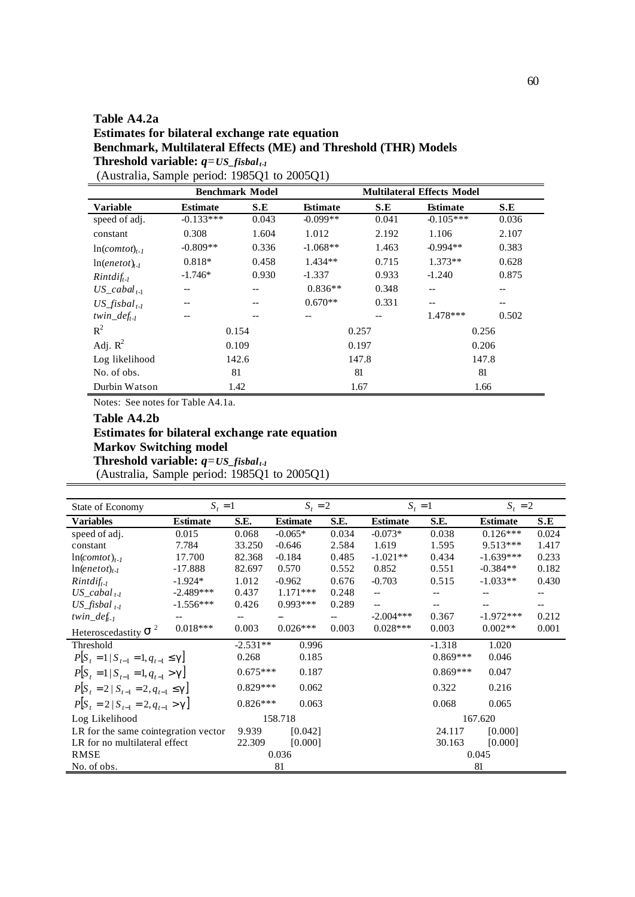# **Table A4.2a Estimates for bilateral exchange rate equation Benchmark, Multilateral Effects (ME) and Threshold (THR) Models Threshold variable:**  $q = US\_fisbal_{t-1}$

| (Australia, Sample period: 1985Q1 to 2005Q1) |  |  |
|----------------------------------------------|--|--|
|                                              |  |  |

|                           | <b>Benchmark Model</b> |       |                 |       | <b>Multilateral Effects Model</b> |       |
|---------------------------|------------------------|-------|-----------------|-------|-----------------------------------|-------|
| Variable                  | <b>Estimate</b>        | S.E   | <b>Estimate</b> | S.E   | <b>Estimate</b>                   | S.E   |
| speed of adj.             | $-0.133***$            | 0.043 | $-0.099**$      | 0.041 | $-0.105***$                       | 0.036 |
| constant                  | 0.308                  | 1.604 | 1.012           | 2.192 | 1.106                             | 2.107 |
| $ln(comtot)_{t-1}$        | $-0.809**$             | 0.336 | $-1.068**$      | 1.463 | $-0.994**$                        | 0.383 |
| $ln(enetot)_{t-l}$        | $0.818*$               | 0.458 | $1.434**$       | 0.715 | $1.373**$                         | 0.628 |
| $Rintdiff_{t-1}$          | $-1.746*$              | 0.930 | $-1.337$        | 0.933 | $-1.240$                          | 0.875 |
| $US$ cabal <sub>t-1</sub> | $-$                    |       | $0.836**$       | 0.348 |                                   |       |
| US fisbal <sub>t-1</sub>  | --                     |       | $0.670**$       | 0.331 | --                                |       |
| twin_def <sub>t-1</sub>   | --                     |       | --              | --    | $1.478***$                        | 0.502 |
| $R^2$                     | 0.154                  |       |                 | 0.257 |                                   | 0.256 |
| Adj. $R^2$                | 0.109                  |       |                 | 0.197 |                                   | 0.206 |
| Log likelihood            |                        | 142.6 |                 | 147.8 |                                   | 147.8 |
| No. of obs.               | 81                     |       |                 | 81    | 81                                |       |
| Durbin Watson             | 1.42                   |       |                 | 1.67  |                                   | 1.66  |

Notes: See notes for Table A4.1a.

# **Table A4.2b**

# **Estimates for bilateral exchange rate equation Markov Switching model**

**Threshold variable:** *q=US\_fisbal t-1*

(Australia, Sample period: 1985Q1 to 2005Q1)

| State of Economy                           | $S_t = 1$       |            | $S_t = 2$       |       | $S_t = 1$       |            | $S_t = 2$       |       |
|--------------------------------------------|-----------------|------------|-----------------|-------|-----------------|------------|-----------------|-------|
| Variables                                  | <b>Estimate</b> | S.E.       | <b>Estimate</b> | S.E.  | <b>Estimate</b> | S.E.       | <b>Estimate</b> | S.E   |
| speed of adj.                              | 0.015           | 0.068      | $-0.065*$       | 0.034 | $-0.073*$       | 0.038      | $0.126***$      | 0.024 |
| constant                                   | 7.784           | 33.250     | $-0.646$        | 2.584 | 1.619           | 1.595      | $9.513***$      | 1.417 |
| $ln(comtot)_{t-1}$                         | 17.700          | 82.368     | $-0.184$        | 0.485 | $-1.021**$      | 0.434      | $-1.639***$     | 0.233 |
| $ln(enetot)_{t-l}$                         | $-17.888$       | 82.697     | 0.570           | 0.552 | 0.852           | 0.551      | $-0.384**$      | 0.182 |
| $Rintdiff_{t-1}$                           | $-1.924*$       | 1.012      | $-0.962$        | 0.676 | $-0.703$        | 0.515      | $-1.033**$      | 0.430 |
| $US\_cabal_{t-l}$                          | $-2.489***$     | 0.437      | $1.171***$      | 0.248 | $-$             |            |                 |       |
| $US_{\_}f$ isbal $_{t-1}$                  | $-1.556***$     | 0.426      | $0.993***$      | 0.289 | $-$             |            |                 |       |
| twin_def <sub>t-1</sub>                    |                 |            |                 |       | $-2.004***$     | 0.367      | $-1.972***$     | 0.212 |
| Heteroscedastity $S^2$                     | $0.018***$      | 0.003      | $0.026***$      | 0.003 | $0.028***$      | 0.003      | $0.002**$       | 0.001 |
| Threshold                                  |                 | $-2.531**$ | 0.996           |       |                 | $-1.318$   | 1.020           |       |
| $P[S_t = 1   S_{t-1} = 1, q_{t-1} \leq g]$ |                 | 0.268      | 0.185           |       |                 | $0.869***$ | 0.046           |       |
| $P[S_{t} = 1   S_{t-1} = 1, q_{t-1} > g]$  |                 | $0.675***$ | 0.187           |       |                 | $0.869***$ | 0.047           |       |
| $P[S_t = 2   S_{t-1} = 2, q_{t-1} \leq g]$ |                 | $0.829***$ | 0.062           |       |                 | 0.322      | 0.216           |       |
| $P[S_t = 2   S_{t-1} = 2, q_{t-1} > g]$    |                 | $0.826***$ | 0.063           |       |                 | 0.068      | 0.065           |       |
| Log Likelihood                             |                 | 158.718    |                 |       |                 | 167.620    |                 |       |
| LR for the same cointegration vector       |                 | 9.939      | [0.042]         |       |                 | 24.117     | [0.000]         |       |
| LR for no multilateral effect              |                 | 22.309     | [0.000]         |       |                 | 30.163     | [0.000]         |       |
| <b>RMSE</b>                                |                 |            | 0.036           |       |                 |            | 0.045           |       |
| No. of obs.                                |                 |            | 81              |       |                 |            | 81              |       |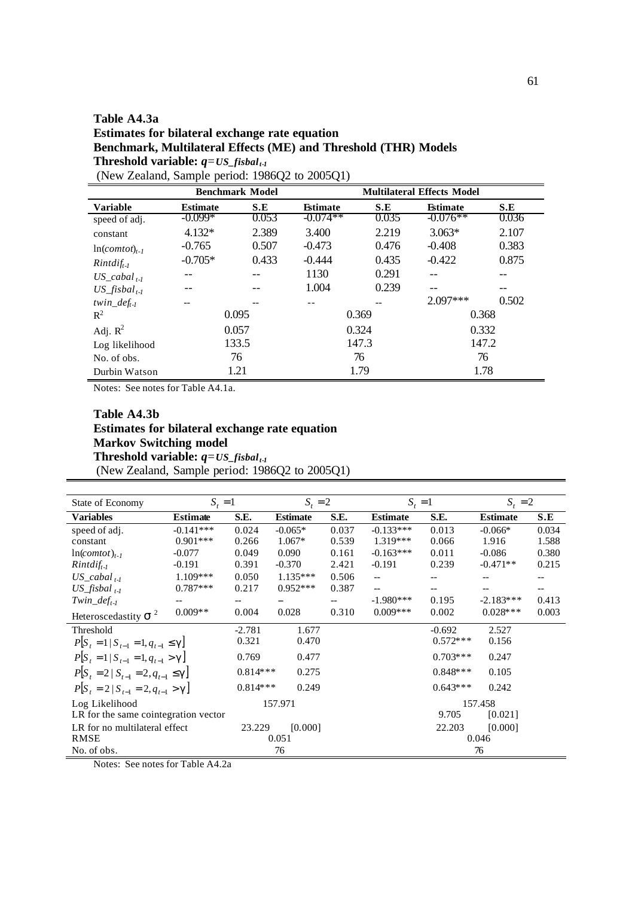# **Table A4.3a Estimates for bilateral exchange rate equation Benchmark, Multilateral Effects (ME) and Threshold (THR) Models Threshold variable:** *q=US\_fisbal t-1* (New Zealand, Sample period: 1986Q2 to 2005Q1)

|                          |                 | <b>Benchmark Model</b> |                 |       | <b>Multilateral Effects Model</b> |       |
|--------------------------|-----------------|------------------------|-----------------|-------|-----------------------------------|-------|
| <b>Variable</b>          | <b>Estimate</b> | S.E                    | <b>Estimate</b> | S.E   | <b>Estimate</b>                   | S.E   |
| speed of adj.            | $-0.099*$       | 0.053                  | $-0.074**$      | 0.035 | $-0.076**$                        | 0.036 |
| constant                 | $4.132*$        | 2.389                  | 3.400           | 2.219 | $3.063*$                          | 2.107 |
| $ln(comtot)_{t=1}$       | $-0.765$        | 0.507                  | $-0.473$        | 0.476 | $-0.408$                          | 0.383 |
| $Rintdiff_{t-1}$         | $-0.705*$       | 0.433                  | $-0.444$        | 0.435 | $-0.422$                          | 0.875 |
| $US$ cabal $_{t-1}$      |                 |                        | 1130            | 0.291 |                                   |       |
| US fisbal <sub>t-1</sub> |                 |                        | 1.004           | 0.239 |                                   |       |
| twin $def_{t-1}$         |                 |                        |                 |       | $2.097***$                        | 0.502 |
| $R^2$                    |                 | 0.095                  |                 | 0.369 | 0.368                             |       |
| Adj. $R^2$               |                 | 0.057                  |                 | 0.324 | 0.332                             |       |
| Log likelihood           |                 | 133.5                  |                 | 147.3 |                                   | 147.2 |
| No. of obs.              |                 | 76                     | 76              |       | 76                                |       |
| Durbin Watson            |                 | 1.21                   |                 | 1.79  |                                   | 1.78  |

Notes: See notes for Table A4.1a.

## **Table A4.3b Estimates for bilateral exchange rate equation Markov Switching model** Threshold variable:  $q = US\_fishal_{t-1}$ (New Zealand, Sample period: 1986Q2 to 2005Q1)

| State of Economy                             | $S_t = 1$       |            | $S_t = 2$       |       | $S_t = 1$       |            | $S_t = 2$       |       |
|----------------------------------------------|-----------------|------------|-----------------|-------|-----------------|------------|-----------------|-------|
| Variables                                    | <b>Estimate</b> | S.E.       | <b>Estimate</b> | S.E.  | <b>Estimate</b> | S.E.       | <b>Estimate</b> | S.E   |
| speed of adj.                                | $-0.141***$     | 0.024      | $-0.065*$       | 0.037 | $-0.133***$     | 0.013      | $-0.066*$       | 0.034 |
| constant                                     | $0.901***$      | 0.266      | $1.067*$        | 0.539 | $1.319***$      | 0.066      | 1.916           | 1.588 |
| $ln(comtot)_{t-1}$                           | $-0.077$        | 0.049      | 0.090           | 0.161 | $-0.163***$     | 0.011      | $-0.086$        | 0.380 |
| $Rintdiff_{t-1}$                             | $-0.191$        | 0.391      | $-0.370$        | 2.421 | $-0.191$        | 0.239      | $-0.471**$      | 0.215 |
| $US\_cabal_{t-1}$                            | $1.109***$      | 0.050      | $1.135***$      | 0.506 | $-$             |            |                 |       |
| $US_{\_}f$ isbal $_{t-1}$                    | $0.787***$      | 0.217      | $0.952***$      | 0.387 |                 |            |                 |       |
| Twin_def <sub>t-1</sub>                      |                 |            |                 |       | $-1.980***$     | 0.195      | $-2.183***$     | 0.413 |
| Heteroscedastity $S^2$                       | $0.009**$       | 0.004      | 0.028           | 0.310 | $0.009***$      | 0.002      | $0.028***$      | 0.003 |
| Threshold                                    |                 | $-2.781$   | 1.677           |       |                 | $-0.692$   | 2.527           |       |
| $P[S_t = 1   S_{t-1} = 1, q_{t-1} \leq g]$   |                 | 0.321      | 0.470           |       |                 | $0.572***$ | 0.156           |       |
| $P[S_t = 1   S_{t-1} = 1, q_{t-1} > g]$      |                 | 0.769      | 0.477           |       |                 | $0.703***$ | 0.247           |       |
| $P[S_{t} = 2   S_{t-1} = 2, q_{t-1} \leq g]$ |                 | $0.814***$ | 0.275           |       |                 | $0.848***$ | 0.105           |       |
| $P[S_{t} = 2   S_{t-1} = 2, q_{t-1} > g]$    |                 | $0.814***$ | 0.249           |       |                 | $0.643***$ | 0.242           |       |
| Log Likelihood                               |                 | 157.971    |                 |       | 157.458         |            |                 |       |
| LR for the same cointegration vector         |                 |            |                 |       |                 | 9.705      | [0.021]         |       |
| LR for no multilateral effect                |                 | 23.229     | [0.000]         |       |                 | 22.203     | [0.000]         |       |
| <b>RMSE</b>                                  |                 |            | 0.051           |       |                 |            | 0.046           |       |
| No. of obs.                                  |                 |            | 76              |       |                 |            | 76              |       |

Notes: See notes for Table A4.2a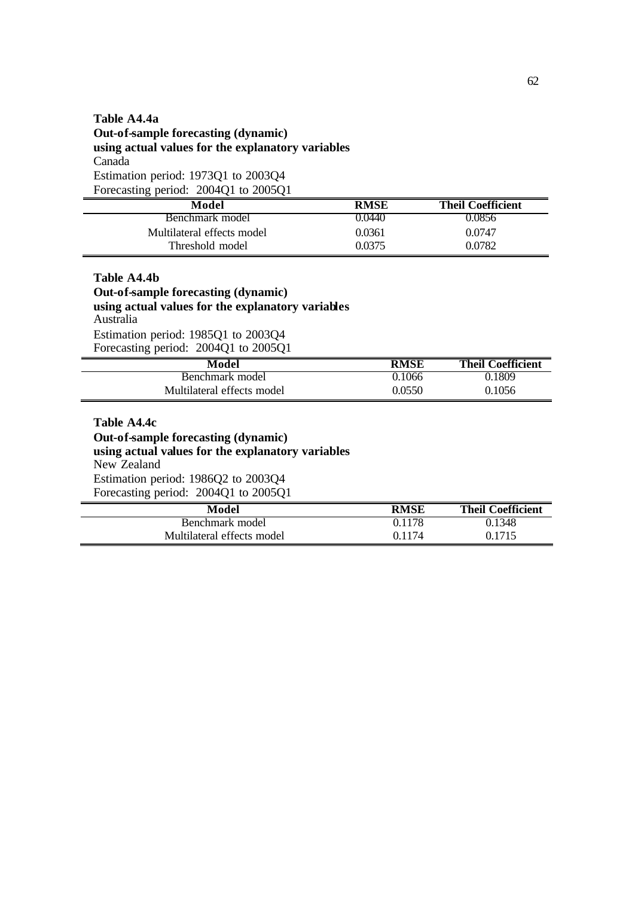# **Table A4.4a Out-of-sample forecasting (dynamic) using actual values for the explanatory variables** Canada Estimation period: 1973Q1 to 2003Q4 Forecasting period: 2004Q1 to 2005Q1

| Model                      | <b>RMSE</b> | <b>Theil Coefficient</b> |
|----------------------------|-------------|--------------------------|
| Benchmark model            | 0.0440      | 0.0856                   |
| Multilateral effects model | 0.0361      | 0.0747                   |
| Threshold model            | 0.0375      | 0.0782                   |

**Table A4.4b Out-of-sample forecasting (dynamic) using actual values for the explanatory variables**  Australia Estimation period: 1985Q1 to 2003Q4 Forecasting period: 2004Q1 to 2005Q1

| Model                      | <b>RMSE</b> | <b>Theil Coefficient</b> |
|----------------------------|-------------|--------------------------|
| Benchmark model            | 0.1066      | 0.1809                   |
| Multilateral effects model | 0.0550      | 0.1056                   |

**Table A4.4c Out-of-sample forecasting (dynamic) using actual values for the explanatory variables** New Zealand

Estimation period: 1986Q2 to 2003Q4 Forecasting period: 2004Q1 to 2005Q1

| Model                      | <b>RMSE</b> | <b>Theil Coefficient</b> |
|----------------------------|-------------|--------------------------|
| Benchmark model            | 0.1178      | 0.1348                   |
| Multilateral effects model | 0.1174      | 0.1715                   |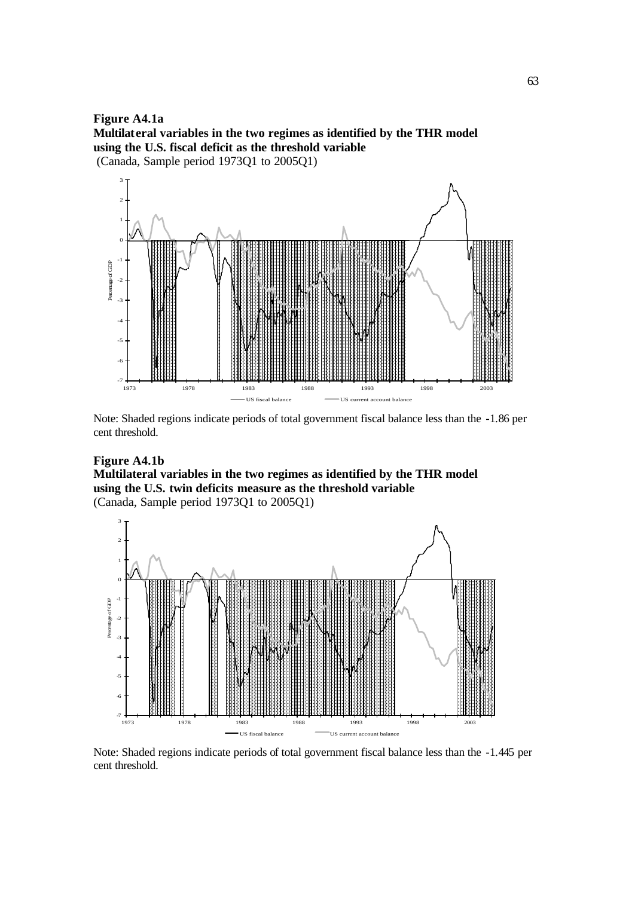**Figure A4.1a Multilateral variables in the two regimes as identified by the THR model using the U.S. fiscal deficit as the threshold variable** (Canada, Sample period 1973Q1 to 2005Q1)



Note: Shaded regions indicate periods of total government fiscal balance less than the -1.86 per cent threshold.

# **Figure A4.1b**

## **Multilateral variables in the two regimes as identified by the THR model using the U.S. twin deficits measure as the threshold variable** (Canada, Sample period 1973Q1 to 2005Q1)



Note: Shaded regions indicate periods of total government fiscal balance less than the -1.445 per cent threshold.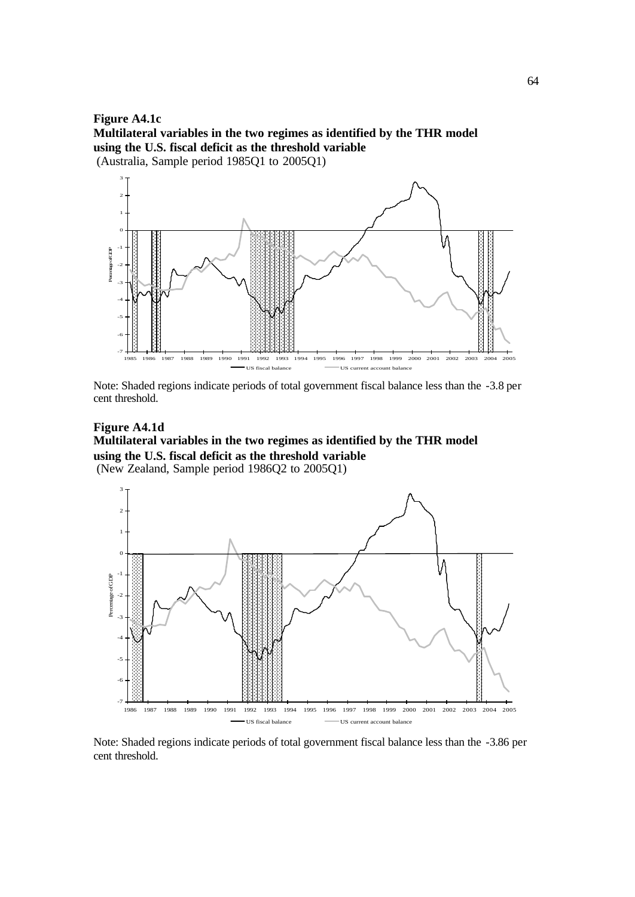**Figure A4.1c Multilateral variables in the two regimes as identified by the THR model using the U.S. fiscal deficit as the threshold variable** (Australia, Sample period 1985Q1 to 2005Q1)



Note: Shaded regions indicate periods of total government fiscal balance less than the -3.8 per cent threshold.

# **Figure A4.1d Multilateral variables in the two regimes as identified by the THR model using the U.S. fiscal deficit as the threshold variable**

(New Zealand, Sample period 1986Q2 to 2005Q1)



Note: Shaded regions indicate periods of total government fiscal balance less than the -3.86 per cent threshold.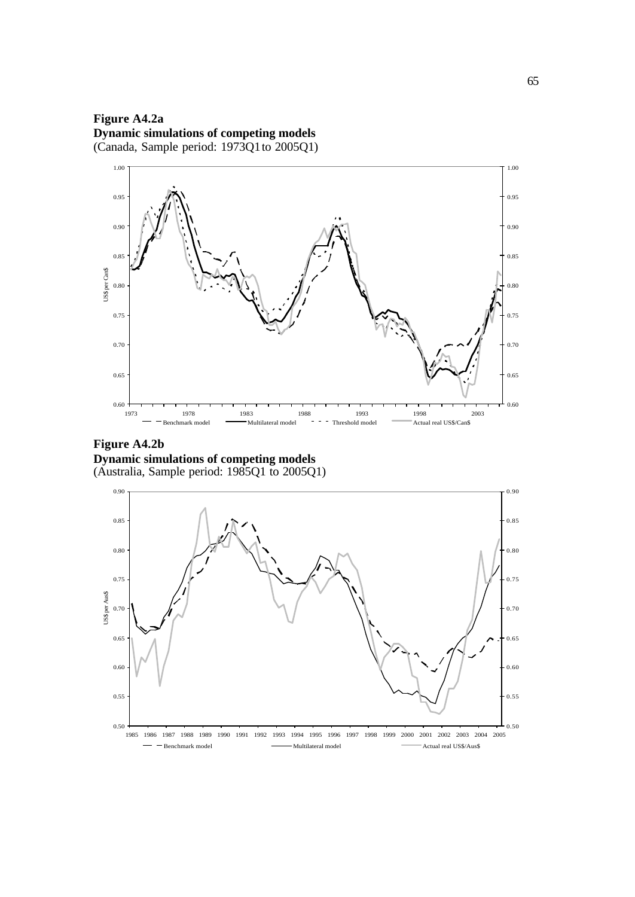**Figure A4.2a Dynamic simulations of competing models** (Canada, Sample period: 1973Q1 to 2005Q1)



**Figure A4.2b Dynamic simulations of competing models** (Australia, Sample period: 1985Q1 to 2005Q1)

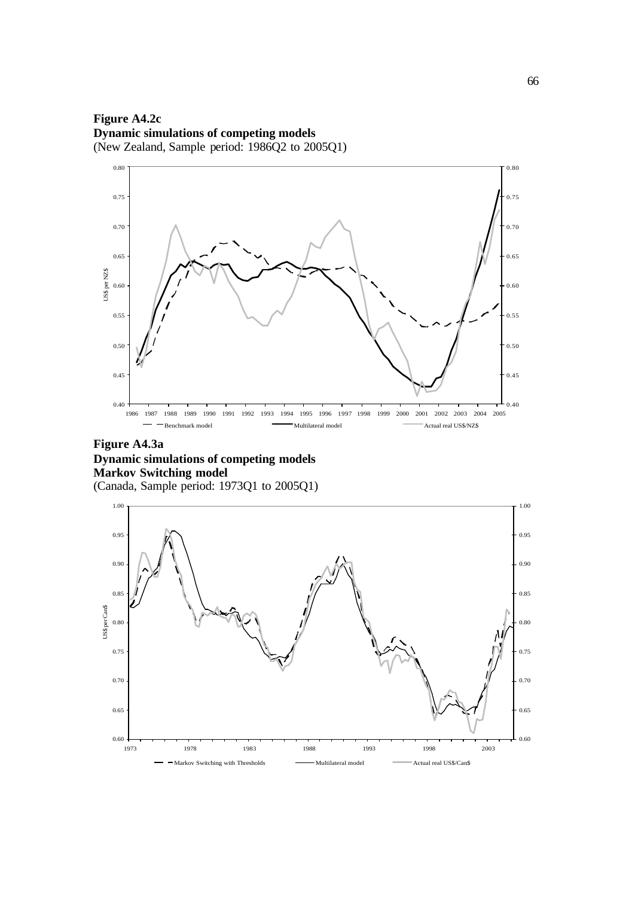**Figure A4.2c Dynamic simulations of competing models** (New Zealand, Sample period: 1986Q2 to 2005Q1)



# **Figure A4.3a Dynamic simulations of competing models Markov Switching model** (Canada, Sample period: 1973Q1 to 2005Q1)

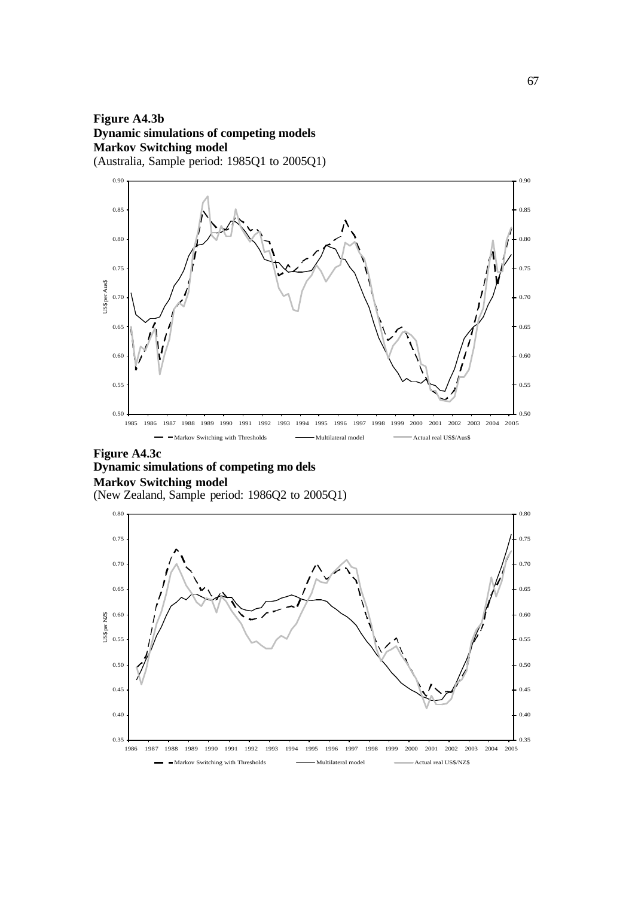# **Figure A4.3b Dynamic simulations of competing models Markov Switching model** (Australia, Sample period: 1985Q1 to 2005Q1)



### **Figure A4.3c Dynamic simulations of competing mo dels Markov Switching model** (New Zealand, Sample period: 1986Q2 to 2005Q1)

0.35 0.40 0.45 0.50 0.55  $\sum_{\substack{10 \ 25 \ 25 \ 10.55}}$ 0.65 0.70 0.75 0.80 1986 1987 1988 1989 1990 1991 1992 1993 1994 1995 1996 1997 1998 1999 2000 2001 2002 2003 2004 2005 0.35 0.40 0.45 0.50 0.55 0.60 0.65 0.70 0.75 0.80 Markov Switching with Thresholds Multilateral model Actual real US\$/NZ\$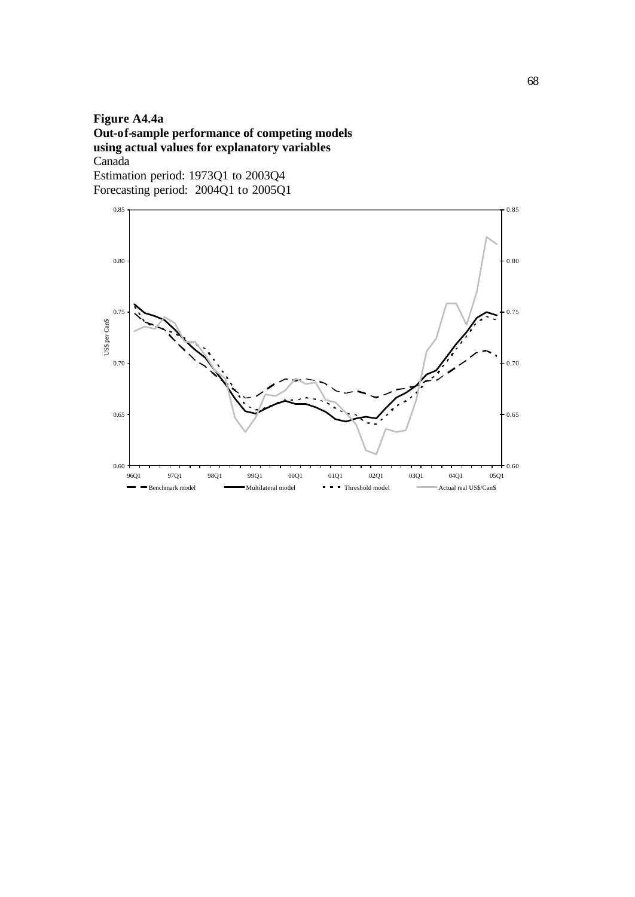# **Figure A4.4a Out-of-sample performance of competing models using actual values for explanatory variables** Canada Estimation period: 1973Q1 to 2003Q4

Forecasting period: 2004Q1 to 2005Q1

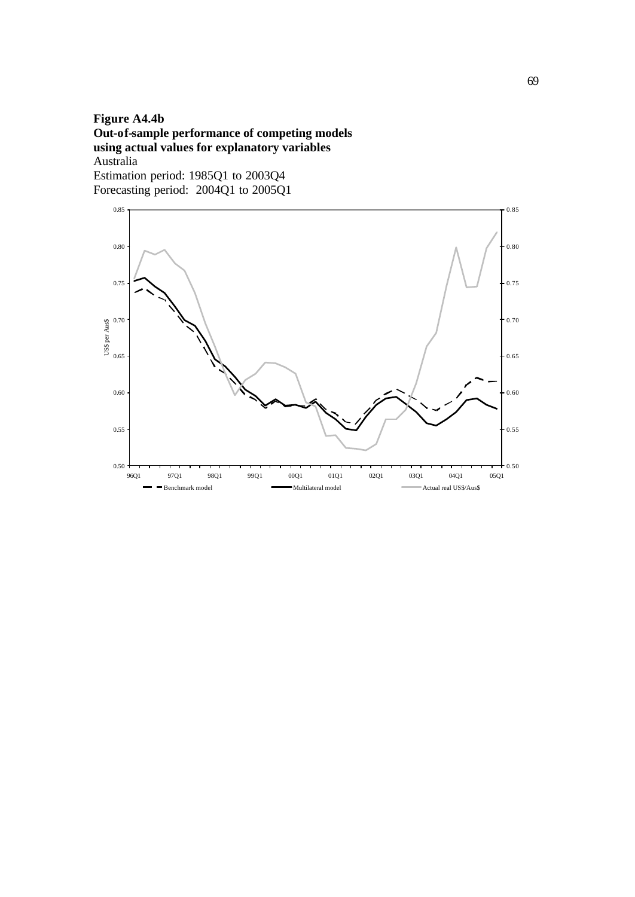# **Figure A4.4b Out-of-sample performance of competing models using actual values for explanatory variables** Australia Estimation period: 1985Q1 to 2003Q4

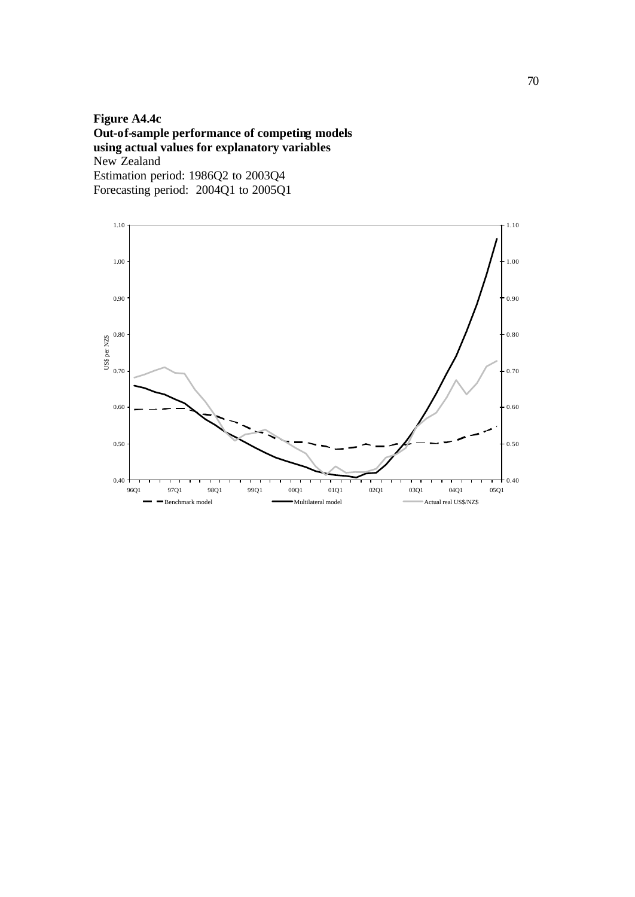**Figure A4.4c Out-of-sample performance of competing models using actual values for explanatory variables** New Zealand Estimation period: 1986Q2 to 2003Q4 Forecasting period: 2004Q1 to 2005Q1

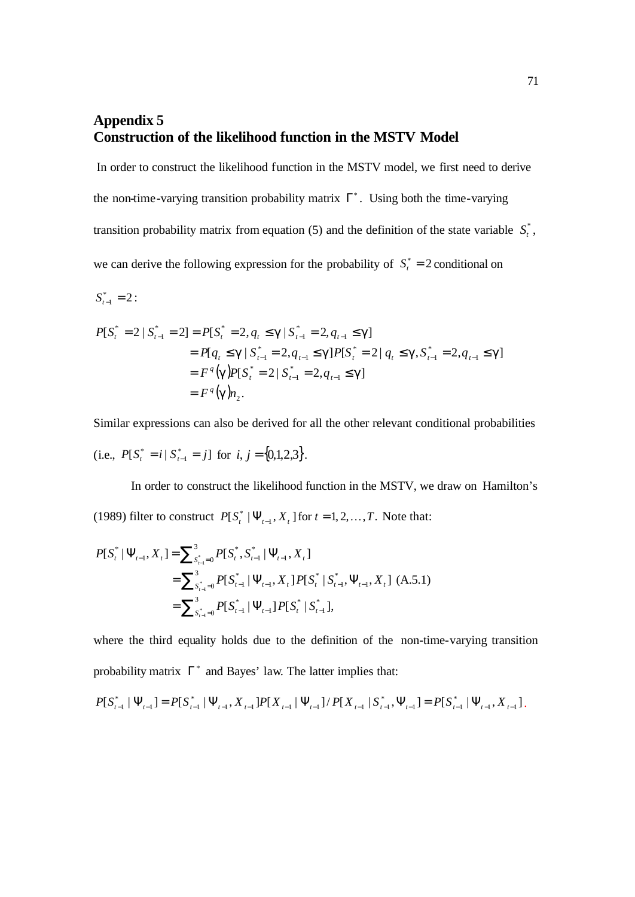# **Appendix 5 Construction of the likelihood function in the MSTV Model**

In order to construct the likelihood function in the MSTV model, we first need to derive the non-time-varying transition probability matrix  $\Gamma^*$ . Using both the time-varying transition probability matrix from equation (5) and the definition of the state variable  $S_t^*$ , we can derive the following expression for the probability of  $S_t^* = 2$  conditional on

$$
S_{t-1}^* = 2:
$$

$$
P[S_t^* = 2 | S_{t-1}^* = 2] = P[S_t^* = 2, q_t \le g | S_{t-1}^* = 2, q_{t-1} \le g]
$$
  
=  $P[q_t \le g | S_{t-1}^* = 2, q_{t-1} \le g]P[S_t^* = 2 | q_t \le g, S_{t-1}^* = 2, q_{t-1} \le g]$   
=  $F^q(g)P[S_t^* = 2 | S_{t-1}^* = 2, q_{t-1} \le g]$   
=  $F^q(g)n_2$ .

Similar expressions can also be derived for all the other relevant conditional probabilities

(i.e., 
$$
P[S_i^* = i | S_{i-1}^* = j]
$$
 for  $i, j = \{0,1,2,3\}$ .

In order to construct the likelihood function in the MSTV, we draw on Hamilton's (1989) filter to construct  $P[S_t^* | \Psi_{t-1}, X_t]$  for  $t = 1, 2, ..., T$ . Note that:

$$
P[S_t^* | \Psi_{t-1}, X_t] = \sum_{s_{t-1}^* = 0}^{3} P[S_t^*, S_{t-1}^* | \Psi_{t-1}, X_t]
$$
  
= 
$$
\sum_{s_{t-1}^* = 0}^{3} P[S_{t-1}^* | \Psi_{t-1}, X_t] P[S_t^* | S_{t-1}^*, \Psi_{t-1}, X_t] (A.5.1)
$$
  
= 
$$
\sum_{s_{t-1}^* = 0}^{3} P[S_{t-1}^* | \Psi_{t-1}] P[S_t^* | S_{t-1}^*],
$$

where the third equality holds due to the definition of the non-time-varying transition probability matrix  $\Gamma^*$  and Bayes' law. The latter implies that:

$$
P[S_{t-1}^* | \Psi_{t-1}] = P[S_{t-1}^* | \Psi_{t-1}, X_{t-1}] P[X_{t-1} | \Psi_{t-1}] / P[X_{t-1} | S_{t-1}^*, \Psi_{t-1}] = P[S_{t-1}^* | \Psi_{t-1}, X_{t-1}].
$$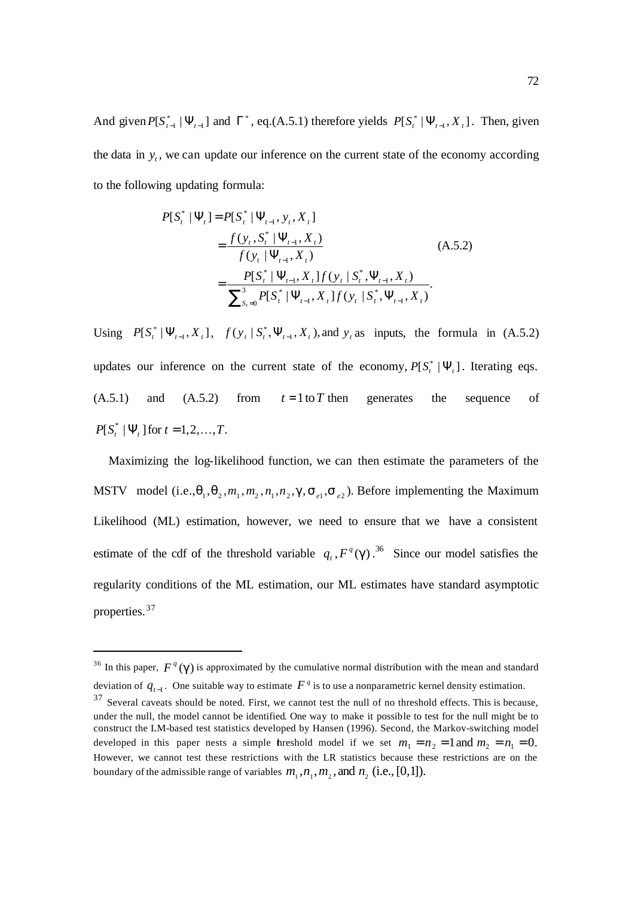And given  $P[S_{t-1}^* | \Psi_{t-1}]$  and  $\Gamma^*$ , eq.(A.5.1) therefore yields  $P[S_t^* | \Psi_{t-1}, X_t]$ . Then, given the data in  $y_t$ , we can update our inference on the current state of the economy according to the following updating formula:

$$
P[S_t^* | \Psi_t] = P[S_t^* | \Psi_{t-1}, y_t, X_t]
$$
  
= 
$$
\frac{f(y_t, S_t^* | \Psi_{t-1}, X_t)}{f(y_t | \Psi_{t-1}, X_t)}
$$
  
= 
$$
\frac{P[S_t^* | \Psi_{t-1}, X_t] f(y_t | S_t^*, \Psi_{t-1}, X_t)}{\sum_{S_t=0}^{3} P[S_t^* | \Psi_{t-1}, X_t] f(y_t | S_t^*, \Psi_{t-1}, X_t)}.
$$
 (A.5.2)

Using  $P[S_t^* | \Psi_{t-1}, X_t]$ ,  $f(y_t | S_t^*, \Psi_{t-1}, X_t)$ , and  $y_t$  as inputs, the formula in (A.5.2) updates our inference on the current state of the economy,  $P[S_i^* | \Psi_t]$ . Iterating eqs.  $(A.5.1)$  and  $(A.5.2)$  from  $t=1$  to T then generates the sequence of  $P[S_t^* | \Psi_t]$  for  $t = 1,2,..., T$ .

 Maximizing the log-likelihood function, we can then estimate the parameters of the MSTV model (i.e., $\mathbf{q}_1, \mathbf{q}_2, m_1, m_2, n_1, n_2, \mathbf{g}, \mathbf{s}_{e_1}, \mathbf{s}_{e_2}$ ). Before implementing the Maximum Likelihood (ML) estimation, however, we need to ensure that we have a consistent estimate of the cdf of the threshold variable  $q_t$ ,  $F^q$ (g).<sup>36</sup> Since our model satisfies the regularity conditions of the ML estimation, our ML estimates have standard asymptotic properties. 37

<sup>&</sup>lt;sup>36</sup> In this paper,  $F^q(\mathbf{g})$  is approximated by the cumulative normal distribution with the mean and standard deviation of  $q_{t-1}$ . One suitable way to estimate  $F^q$  is to use a nonparametric kernel density estimation.

<sup>&</sup>lt;sup>37</sup> Several caveats should be noted. First, we cannot test the null of no threshold effects. This is because, under the null, the model cannot be identified. One way to make it possible to test for the null might be to construct the LM-based test statistics developed by Hansen (1996). Second, the Markov-switching model developed in this paper nests a simple threshold model if we set  $m_1 = n_2 = 1$  and  $m_2 = n_1 = 0$ . However, we cannot test these restrictions with the LR statistics because these restrictions are on the boundary of the admissible range of variables  $m_1$ ,  $n_1$ ,  $m_2$ , and  $n_2$  (i.e., [0,1]).